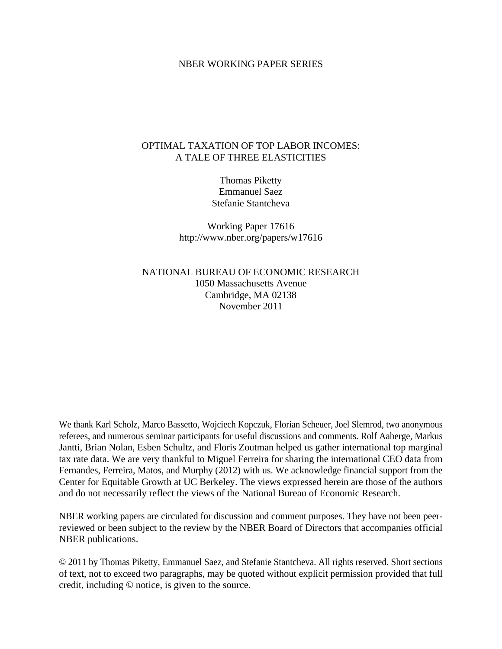#### NBER WORKING PAPER SERIES

### OPTIMAL TAXATION OF TOP LABOR INCOMES: A TALE OF THREE ELASTICITIES

Thomas Piketty Emmanuel Saez Stefanie Stantcheva

Working Paper 17616 http://www.nber.org/papers/w17616

NATIONAL BUREAU OF ECONOMIC RESEARCH 1050 Massachusetts Avenue Cambridge, MA 02138 November 2011

We thank Karl Scholz, Marco Bassetto, Wojciech Kopczuk, Florian Scheuer, Joel Slemrod, two anonymous referees, and numerous seminar participants for useful discussions and comments. Rolf Aaberge, Markus Jantti, Brian Nolan, Esben Schultz, and Floris Zoutman helped us gather international top marginal tax rate data. We are very thankful to Miguel Ferreira for sharing the international CEO data from Fernandes, Ferreira, Matos, and Murphy (2012) with us. We acknowledge financial support from the Center for Equitable Growth at UC Berkeley. The views expressed herein are those of the authors and do not necessarily reflect the views of the National Bureau of Economic Research.

NBER working papers are circulated for discussion and comment purposes. They have not been peerreviewed or been subject to the review by the NBER Board of Directors that accompanies official NBER publications.

© 2011 by Thomas Piketty, Emmanuel Saez, and Stefanie Stantcheva. All rights reserved. Short sections of text, not to exceed two paragraphs, may be quoted without explicit permission provided that full credit, including © notice, is given to the source.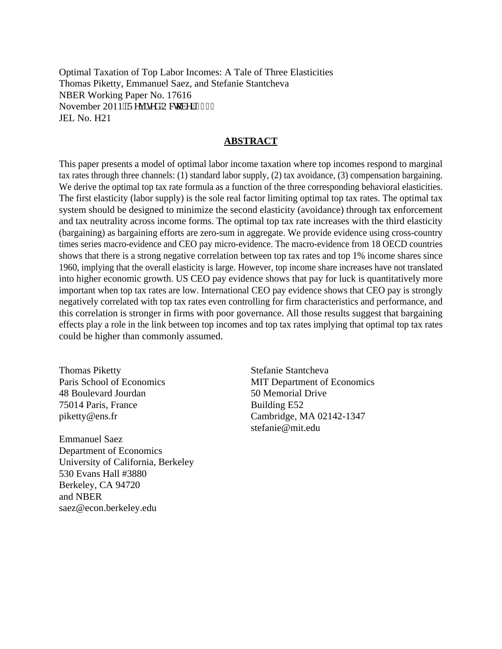Optimal Taxation of Top Labor Incomes: A Tale of Three Elasticities Thomas Piketty, Emmanuel Saez, and Stefanie Stantcheva NBER Working Paper No. 17616 November 2011. Tgxkugf 'Qevqdgt '4234 JEL No. H21

### **ABSTRACT**

This paper presents a model of optimal labor income taxation where top incomes respond to marginal tax rates through three channels: (1) standard labor supply, (2) tax avoidance, (3) compensation bargaining. We derive the optimal top tax rate formula as a function of the three corresponding behavioral elasticities. The first elasticity (labor supply) is the sole real factor limiting optimal top tax rates. The optimal tax system should be designed to minimize the second elasticity (avoidance) through tax enforcement and tax neutrality across income forms. The optimal top tax rate increases with the third elasticity (bargaining) as bargaining efforts are zero-sum in aggregate. We provide evidence using cross-country times series macro-evidence and CEO pay micro-evidence. The macro-evidence from 18 OECD countries shows that there is a strong negative correlation between top tax rates and top 1% income shares since 1960, implying that the overall elasticity is large. However, top income share increases have not translated into higher economic growth. US CEO pay evidence shows that pay for luck is quantitatively more important when top tax rates are low. International CEO pay evidence shows that CEO pay is strongly negatively correlated with top tax rates even controlling for firm characteristics and performance, and this correlation is stronger in firms with poor governance. All those results suggest that bargaining effects play a role in the link between top incomes and top tax rates implying that optimal top tax rates could be higher than commonly assumed.

Thomas Piketty Paris School of Economics 48 Boulevard Jourdan 75014 Paris, France piketty@ens.fr

Emmanuel Saez Department of Economics University of California, Berkeley 530 Evans Hall #3880 Berkeley, CA 94720 and NBER saez@econ.berkeley.edu

Stefanie Stantcheva MIT Department of Economics 50 Memorial Drive Building E52 Cambridge, MA 02142-1347 stefanie@mit.edu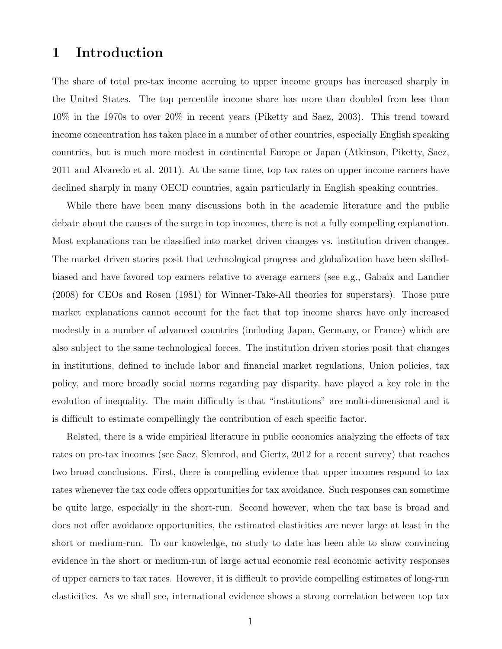# 1 Introduction

The share of total pre-tax income accruing to upper income groups has increased sharply in the United States. The top percentile income share has more than doubled from less than 10% in the 1970s to over 20% in recent years (Piketty and Saez, 2003). This trend toward income concentration has taken place in a number of other countries, especially English speaking countries, but is much more modest in continental Europe or Japan (Atkinson, Piketty, Saez, 2011 and Alvaredo et al. 2011). At the same time, top tax rates on upper income earners have declined sharply in many OECD countries, again particularly in English speaking countries.

While there have been many discussions both in the academic literature and the public debate about the causes of the surge in top incomes, there is not a fully compelling explanation. Most explanations can be classified into market driven changes vs. institution driven changes. The market driven stories posit that technological progress and globalization have been skilledbiased and have favored top earners relative to average earners (see e.g., Gabaix and Landier (2008) for CEOs and Rosen (1981) for Winner-Take-All theories for superstars). Those pure market explanations cannot account for the fact that top income shares have only increased modestly in a number of advanced countries (including Japan, Germany, or France) which are also subject to the same technological forces. The institution driven stories posit that changes in institutions, defined to include labor and financial market regulations, Union policies, tax policy, and more broadly social norms regarding pay disparity, have played a key role in the evolution of inequality. The main difficulty is that "institutions" are multi-dimensional and it is difficult to estimate compellingly the contribution of each specific factor.

Related, there is a wide empirical literature in public economics analyzing the effects of tax rates on pre-tax incomes (see Saez, Slemrod, and Giertz, 2012 for a recent survey) that reaches two broad conclusions. First, there is compelling evidence that upper incomes respond to tax rates whenever the tax code offers opportunities for tax avoidance. Such responses can sometime be quite large, especially in the short-run. Second however, when the tax base is broad and does not offer avoidance opportunities, the estimated elasticities are never large at least in the short or medium-run. To our knowledge, no study to date has been able to show convincing evidence in the short or medium-run of large actual economic real economic activity responses of upper earners to tax rates. However, it is difficult to provide compelling estimates of long-run elasticities. As we shall see, international evidence shows a strong correlation between top tax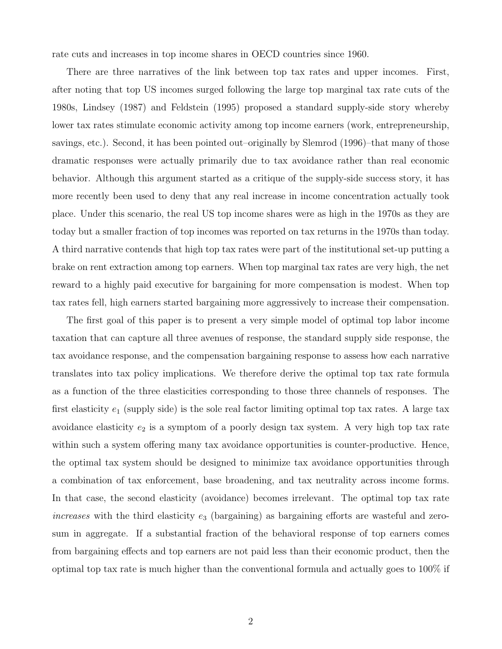rate cuts and increases in top income shares in OECD countries since 1960.

There are three narratives of the link between top tax rates and upper incomes. First, after noting that top US incomes surged following the large top marginal tax rate cuts of the 1980s, Lindsey (1987) and Feldstein (1995) proposed a standard supply-side story whereby lower tax rates stimulate economic activity among top income earners (work, entrepreneurship, savings, etc.). Second, it has been pointed out–originally by Slemrod (1996)–that many of those dramatic responses were actually primarily due to tax avoidance rather than real economic behavior. Although this argument started as a critique of the supply-side success story, it has more recently been used to deny that any real increase in income concentration actually took place. Under this scenario, the real US top income shares were as high in the 1970s as they are today but a smaller fraction of top incomes was reported on tax returns in the 1970s than today. A third narrative contends that high top tax rates were part of the institutional set-up putting a brake on rent extraction among top earners. When top marginal tax rates are very high, the net reward to a highly paid executive for bargaining for more compensation is modest. When top tax rates fell, high earners started bargaining more aggressively to increase their compensation.

The first goal of this paper is to present a very simple model of optimal top labor income taxation that can capture all three avenues of response, the standard supply side response, the tax avoidance response, and the compensation bargaining response to assess how each narrative translates into tax policy implications. We therefore derive the optimal top tax rate formula as a function of the three elasticities corresponding to those three channels of responses. The first elasticity  $e_1$  (supply side) is the sole real factor limiting optimal top tax rates. A large tax avoidance elasticity  $e_2$  is a symptom of a poorly design tax system. A very high top tax rate within such a system offering many tax avoidance opportunities is counter-productive. Hence, the optimal tax system should be designed to minimize tax avoidance opportunities through a combination of tax enforcement, base broadening, and tax neutrality across income forms. In that case, the second elasticity (avoidance) becomes irrelevant. The optimal top tax rate  $increases$  with the third elasticity  $e_3$  (bargaining) as bargaining efforts are wasteful and zerosum in aggregate. If a substantial fraction of the behavioral response of top earners comes from bargaining effects and top earners are not paid less than their economic product, then the optimal top tax rate is much higher than the conventional formula and actually goes to 100% if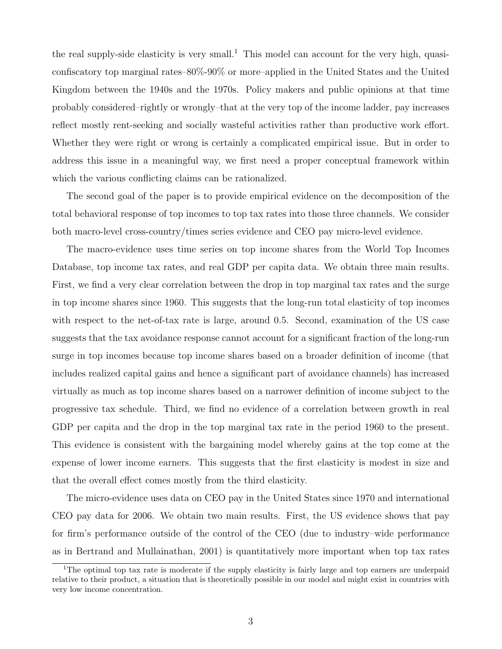the real supply-side elasticity is very small.<sup>1</sup> This model can account for the very high, quasiconfiscatory top marginal rates–80%-90% or more–applied in the United States and the United Kingdom between the 1940s and the 1970s. Policy makers and public opinions at that time probably considered–rightly or wrongly–that at the very top of the income ladder, pay increases reflect mostly rent-seeking and socially wasteful activities rather than productive work effort. Whether they were right or wrong is certainly a complicated empirical issue. But in order to address this issue in a meaningful way, we first need a proper conceptual framework within which the various conflicting claims can be rationalized.

The second goal of the paper is to provide empirical evidence on the decomposition of the total behavioral response of top incomes to top tax rates into those three channels. We consider both macro-level cross-country/times series evidence and CEO pay micro-level evidence.

The macro-evidence uses time series on top income shares from the World Top Incomes Database, top income tax rates, and real GDP per capita data. We obtain three main results. First, we find a very clear correlation between the drop in top marginal tax rates and the surge in top income shares since 1960. This suggests that the long-run total elasticity of top incomes with respect to the net-of-tax rate is large, around 0.5. Second, examination of the US case suggests that the tax avoidance response cannot account for a significant fraction of the long-run surge in top incomes because top income shares based on a broader definition of income (that includes realized capital gains and hence a significant part of avoidance channels) has increased virtually as much as top income shares based on a narrower definition of income subject to the progressive tax schedule. Third, we find no evidence of a correlation between growth in real GDP per capita and the drop in the top marginal tax rate in the period 1960 to the present. This evidence is consistent with the bargaining model whereby gains at the top come at the expense of lower income earners. This suggests that the first elasticity is modest in size and that the overall effect comes mostly from the third elasticity.

The micro-evidence uses data on CEO pay in the United States since 1970 and international CEO pay data for 2006. We obtain two main results. First, the US evidence shows that pay for firm's performance outside of the control of the CEO (due to industry–wide performance as in Bertrand and Mullainathan, 2001) is quantitatively more important when top tax rates

<sup>&</sup>lt;sup>1</sup>The optimal top tax rate is moderate if the supply elasticity is fairly large and top earners are underpaid relative to their product, a situation that is theoretically possible in our model and might exist in countries with very low income concentration.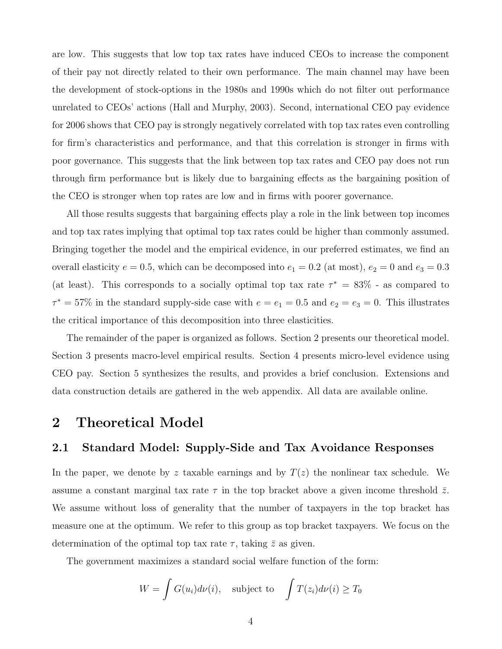are low. This suggests that low top tax rates have induced CEOs to increase the component of their pay not directly related to their own performance. The main channel may have been the development of stock-options in the 1980s and 1990s which do not filter out performance unrelated to CEOs' actions (Hall and Murphy, 2003). Second, international CEO pay evidence for 2006 shows that CEO pay is strongly negatively correlated with top tax rates even controlling for firm's characteristics and performance, and that this correlation is stronger in firms with poor governance. This suggests that the link between top tax rates and CEO pay does not run through firm performance but is likely due to bargaining effects as the bargaining position of the CEO is stronger when top rates are low and in firms with poorer governance.

All those results suggests that bargaining effects play a role in the link between top incomes and top tax rates implying that optimal top tax rates could be higher than commonly assumed. Bringing together the model and the empirical evidence, in our preferred estimates, we find an overall elasticity  $e = 0.5$ , which can be decomposed into  $e_1 = 0.2$  (at most),  $e_2 = 0$  and  $e_3 = 0.3$ (at least). This corresponds to a socially optimal top tax rate  $\tau^* = 83\%$  - as compared to  $\tau^* = 57\%$  in the standard supply-side case with  $e = e_1 = 0.5$  and  $e_2 = e_3 = 0$ . This illustrates the critical importance of this decomposition into three elasticities.

The remainder of the paper is organized as follows. Section 2 presents our theoretical model. Section 3 presents macro-level empirical results. Section 4 presents micro-level evidence using CEO pay. Section 5 synthesizes the results, and provides a brief conclusion. Extensions and data construction details are gathered in the web appendix. All data are available online.

# 2 Theoretical Model

### 2.1 Standard Model: Supply-Side and Tax Avoidance Responses

In the paper, we denote by z taxable earnings and by  $T(z)$  the nonlinear tax schedule. We assume a constant marginal tax rate  $\tau$  in the top bracket above a given income threshold  $\bar{z}$ . We assume without loss of generality that the number of taxpayers in the top bracket has measure one at the optimum. We refer to this group as top bracket taxpayers. We focus on the determination of the optimal top tax rate  $\tau$ , taking  $\bar{z}$  as given.

The government maximizes a standard social welfare function of the form:

$$
W = \int G(u_i) d\nu(i), \text{ subject to } \int T(z_i) d\nu(i) \ge T_0
$$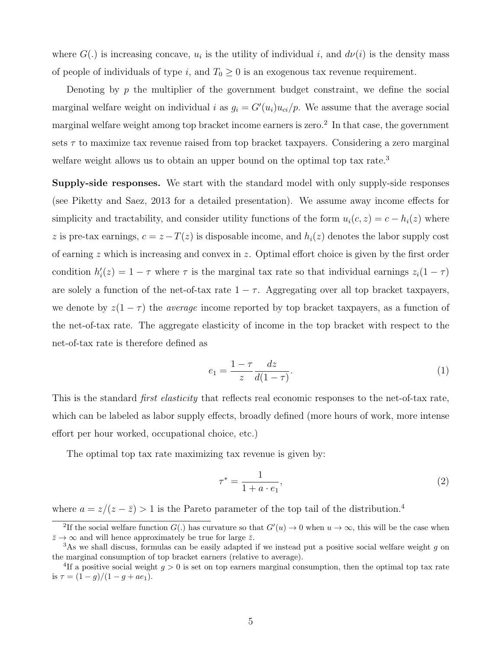where  $G(.)$  is increasing concave,  $u_i$  is the utility of individual i, and  $d\nu(i)$  is the density mass of people of individuals of type i, and  $T_0 \geq 0$  is an exogenous tax revenue requirement.

Denoting by  $p$  the multiplier of the government budget constraint, we define the social marginal welfare weight on individual i as  $g_i = G'(u_i)u_{ci}/p$ . We assume that the average social marginal welfare weight among top bracket income earners is zero.<sup>2</sup> In that case, the government sets  $\tau$  to maximize tax revenue raised from top bracket taxpayers. Considering a zero marginal welfare weight allows us to obtain an upper bound on the optimal top tax rate.<sup>3</sup>

Supply-side responses. We start with the standard model with only supply-side responses (see Piketty and Saez, 2013 for a detailed presentation). We assume away income effects for simplicity and tractability, and consider utility functions of the form  $u_i(c, z) = c - h_i(z)$  where z is pre-tax earnings,  $c = z - T(z)$  is disposable income, and  $h<sub>i</sub>(z)$  denotes the labor supply cost of earning  $z$  which is increasing and convex in  $z$ . Optimal effort choice is given by the first order condition  $h'_i(z) = 1 - \tau$  where  $\tau$  is the marginal tax rate so that individual earnings  $z_i(1 - \tau)$ are solely a function of the net-of-tax rate  $1 - \tau$ . Aggregating over all top bracket taxpayers, we denote by  $z(1 - \tau)$  the *average* income reported by top bracket taxpayers, as a function of the net-of-tax rate. The aggregate elasticity of income in the top bracket with respect to the net-of-tax rate is therefore defined as

$$
e_1 = \frac{1 - \tau}{z} \frac{dz}{d(1 - \tau)}.\tag{1}
$$

This is the standard *first elasticity* that reflects real economic responses to the net-of-tax rate, which can be labeled as labor supply effects, broadly defined (more hours of work, more intense effort per hour worked, occupational choice, etc.)

The optimal top tax rate maximizing tax revenue is given by:

$$
\tau^* = \frac{1}{1 + a \cdot e_1},\tag{2}
$$

where  $a = z/(z - \bar{z}) > 1$  is the Pareto parameter of the top tail of the distribution.<sup>4</sup>

<sup>&</sup>lt;sup>2</sup>If the social welfare function  $G(.)$  has curvature so that  $G'(u) \to 0$  when  $u \to \infty$ , this will be the case when  $\bar{z} \to \infty$  and will hence approximately be true for large  $\bar{z}$ .

<sup>&</sup>lt;sup>3</sup>As we shall discuss, formulas can be easily adapted if we instead put a positive social welfare weight g on the marginal consumption of top bracket earners (relative to average).

<sup>&</sup>lt;sup>4</sup>If a positive social weight  $g > 0$  is set on top earners marginal consumption, then the optimal top tax rate is  $\tau = (1 - g)/(1 - g + ae_1).$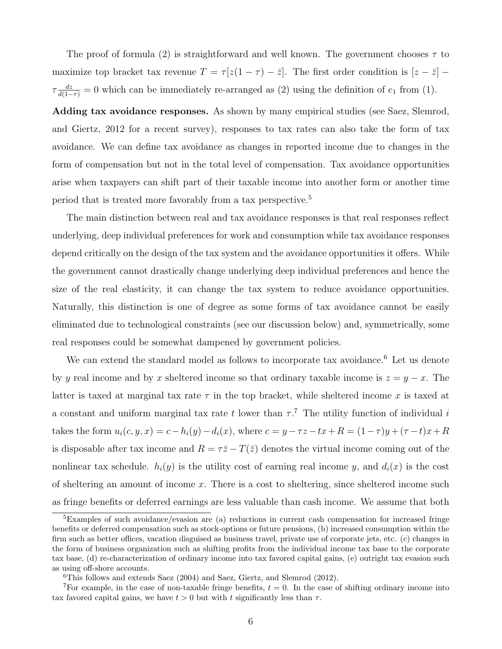The proof of formula (2) is straightforward and well known. The government chooses  $\tau$  to maximize top bracket tax revenue  $T = \tau [z(1 - \tau) - \bar{z}]$ . The first order condition is  $[z - \bar{z}]$  –  $\tau \frac{dz}{d(1-\tau)} = 0$  which can be immediately re-arranged as (2) using the definition of  $e_1$  from (1).

Adding tax avoidance responses. As shown by many empirical studies (see Saez, Slemrod, and Giertz, 2012 for a recent survey), responses to tax rates can also take the form of tax avoidance. We can define tax avoidance as changes in reported income due to changes in the form of compensation but not in the total level of compensation. Tax avoidance opportunities arise when taxpayers can shift part of their taxable income into another form or another time period that is treated more favorably from a tax perspective.<sup>5</sup>

The main distinction between real and tax avoidance responses is that real responses reflect underlying, deep individual preferences for work and consumption while tax avoidance responses depend critically on the design of the tax system and the avoidance opportunities it offers. While the government cannot drastically change underlying deep individual preferences and hence the size of the real elasticity, it can change the tax system to reduce avoidance opportunities. Naturally, this distinction is one of degree as some forms of tax avoidance cannot be easily eliminated due to technological constraints (see our discussion below) and, symmetrically, some real responses could be somewhat dampened by government policies.

We can extend the standard model as follows to incorporate tax avoidance.<sup>6</sup> Let us denote by y real income and by x sheltered income so that ordinary taxable income is  $z = y - x$ . The latter is taxed at marginal tax rate  $\tau$  in the top bracket, while sheltered income x is taxed at a constant and uniform marginal tax rate t lower than  $\tau$ .<sup>7</sup> The utility function of individual i takes the form  $u_i(c, y, x) = c - h_i(y) - d_i(x)$ , where  $c = y - \tau z - tx + R = (1 - \tau)y + (\tau - t)x + R$ is disposable after tax income and  $R = \tau \bar{z} - T(\bar{z})$  denotes the virtual income coming out of the nonlinear tax schedule.  $h_i(y)$  is the utility cost of earning real income y, and  $d_i(x)$  is the cost of sheltering an amount of income  $x$ . There is a cost to sheltering, since sheltered income such as fringe benefits or deferred earnings are less valuable than cash income. We assume that both

<sup>&</sup>lt;sup>5</sup>Examples of such avoidance/evasion are (a) reductions in current cash compensation for increased fringe benefits or deferred compensation such as stock-options or future pensions, (b) increased consumption within the firm such as better offices, vacation disguised as business travel, private use of corporate jets, etc. (c) changes in the form of business organization such as shifting profits from the individual income tax base to the corporate tax base, (d) re-characterization of ordinary income into tax favored capital gains, (e) outright tax evasion such as using off-shore accounts.

 ${}^{6}$ This follows and extends Saez (2004) and Saez, Giertz, and Slemrod (2012).

<sup>&</sup>lt;sup>7</sup>For example, in the case of non-taxable fringe benefits,  $t = 0$ . In the case of shifting ordinary income into tax favored capital gains, we have  $t > 0$  but with t significantly less than  $\tau$ .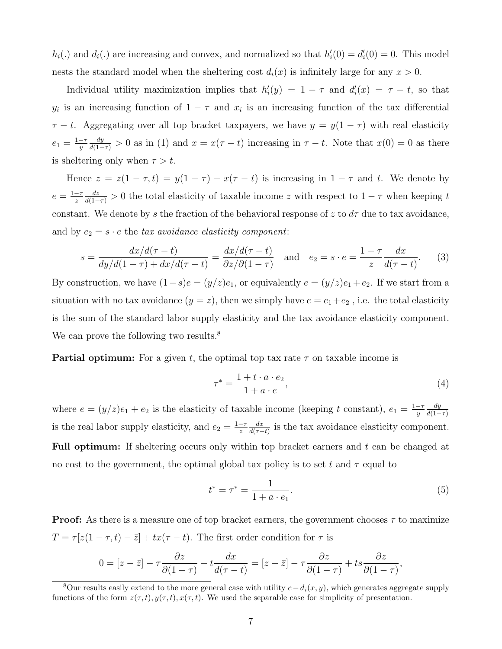$h_i(.)$  and  $d_i(.)$  are increasing and convex, and normalized so that  $h'_i(0) = d'_i(0) = 0$ . This model nests the standard model when the sheltering cost  $d_i(x)$  is infinitely large for any  $x > 0$ .

Individual utility maximization implies that  $h'_i(y) = 1 - \tau$  and  $d'_i(x) = \tau - t$ , so that  $y_i$  is an increasing function of  $1 - \tau$  and  $x_i$  is an increasing function of the tax differential  $\tau - t$ . Aggregating over all top bracket taxpayers, we have  $y = y(1 - \tau)$  with real elasticity  $e_1 = \frac{1-\tau}{u}$  $\overline{y}$  $\frac{dy}{d(1-\tau)} > 0$  as in (1) and  $x = x(\tau - t)$  increasing in  $\tau - t$ . Note that  $x(0) = 0$  as there is sheltering only when  $\tau > t$ .

Hence  $z = z(1 - \tau, t) = y(1 - \tau) - x(\tau - t)$  is increasing in  $1 - \tau$  and t. We denote by  $e=\frac{1-\tau}{z}$ z  $\frac{dz}{d(1-\tau)} > 0$  the total elasticity of taxable income z with respect to  $1-\tau$  when keeping t constant. We denote by s the fraction of the behavioral response of z to  $d\tau$  due to tax avoidance, and by  $e_2 = s \cdot e$  the tax avoidance elasticity component:

$$
s = \frac{dx/d(\tau - t)}{dy/d(1 - \tau) + dx/d(\tau - t)} = \frac{dx/d(\tau - t)}{\partial z/\partial(1 - \tau)}
$$
 and  $e_2 = s \cdot e = \frac{1 - \tau}{z} \frac{dx}{d(\tau - t)}.$  (3)

By construction, we have  $(1-s)e = (y/z)e_1$ , or equivalently  $e = (y/z)e_1 + e_2$ . If we start from a situation with no tax avoidance  $(y = z)$ , then we simply have  $e = e_1 + e_2$ , i.e. the total elasticity is the sum of the standard labor supply elasticity and the tax avoidance elasticity component. We can prove the following two results.<sup>8</sup>

**Partial optimum:** For a given t, the optimal top tax rate  $\tau$  on taxable income is

$$
\tau^* = \frac{1 + t \cdot a \cdot e_2}{1 + a \cdot e},\tag{4}
$$

where  $e = (y/z)e_1 + e_2$  is the elasticity of taxable income (keeping t constant),  $e_1 = \frac{1-\tau}{y}$  $\overline{y}$ dy  $d(1-\tau)$ is the real labor supply elasticity, and  $e_2 = \frac{1-\tau}{z}$ z  $dx$  $\frac{dx}{d(\tau-t)}$  is the tax avoidance elasticity component. Full optimum: If sheltering occurs only within top bracket earners and t can be changed at no cost to the government, the optimal global tax policy is to set t and  $\tau$  equal to

$$
t^* = \tau^* = \frac{1}{1 + a \cdot e_1}.\tag{5}
$$

**Proof:** As there is a measure one of top bracket earners, the government chooses  $\tau$  to maximize  $T = \tau[z(1-\tau,t) - \bar{z}] + tx(\tau - t)$ . The first order condition for  $\tau$  is

$$
0 = [z - \bar{z}] - \tau \frac{\partial z}{\partial (1 - \tau)} + t \frac{dx}{d(\tau - t)} = [z - \bar{z}] - \tau \frac{\partial z}{\partial (1 - \tau)} + ts \frac{\partial z}{\partial (1 - \tau)},
$$

<sup>&</sup>lt;sup>8</sup>Our results easily extend to the more general case with utility  $c-d_i(x, y)$ , which generates aggregate supply functions of the form  $z(\tau, t)$ ,  $y(\tau, t)$ ,  $x(\tau, t)$ . We used the separable case for simplicity of presentation.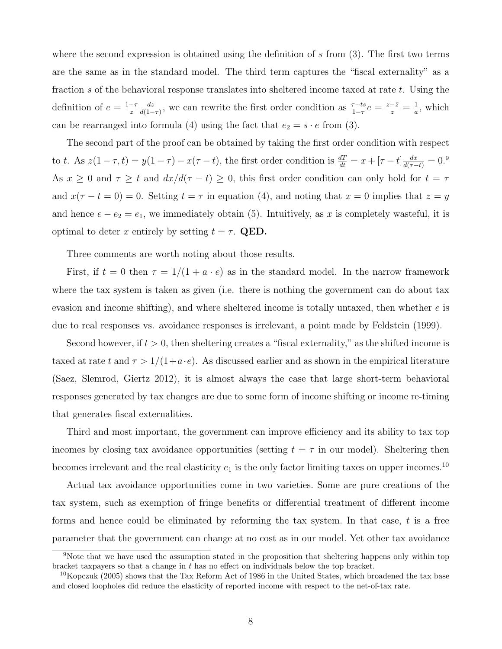where the second expression is obtained using the definition of  $s$  from  $(3)$ . The first two terms are the same as in the standard model. The third term captures the "fiscal externality" as a fraction s of the behavioral response translates into sheltered income taxed at rate  $t$ . Using the definition of  $e = \frac{1-\tau}{\tau}$ z dz  $\frac{dz}{d(1-\tau)}$ , we can rewrite the first order condition as  $\frac{\tau-ts}{1-\tau}e = \frac{z-\overline{z}}{z} = \frac{1}{a}$  $\frac{1}{a}$ , which can be rearranged into formula (4) using the fact that  $e_2 = s \cdot e$  from (3).

The second part of the proof can be obtained by taking the first order condition with respect to t. As  $z(1-\tau,t) = y(1-\tau) - x(\tau-t)$ , the first order condition is  $\frac{dT}{dt} = x + [\tau - t] \frac{dx}{d(\tau-t)} = 0$ .<sup>9</sup> As  $x \ge 0$  and  $\tau \ge t$  and  $dx/d(\tau - t) \ge 0$ , this first order condition can only hold for  $t = \tau$ and  $x(\tau - t = 0) = 0$ . Setting  $t = \tau$  in equation (4), and noting that  $x = 0$  implies that  $z = y$ and hence  $e - e_2 = e_1$ , we immediately obtain (5). Intuitively, as x is completely wasteful, it is optimal to deter x entirely by setting  $t = \tau$ . QED.

Three comments are worth noting about those results.

First, if  $t = 0$  then  $\tau = 1/(1 + a \cdot e)$  as in the standard model. In the narrow framework where the tax system is taken as given (i.e. there is nothing the government can do about tax evasion and income shifting), and where sheltered income is totally untaxed, then whether  $e$  is due to real responses vs. avoidance responses is irrelevant, a point made by Feldstein (1999).

Second however, if  $t > 0$ , then sheltering creates a "fiscal externality," as the shifted income is taxed at rate t and  $\tau > 1/(1+a\cdot e)$ . As discussed earlier and as shown in the empirical literature (Saez, Slemrod, Giertz 2012), it is almost always the case that large short-term behavioral responses generated by tax changes are due to some form of income shifting or income re-timing that generates fiscal externalities.

Third and most important, the government can improve efficiency and its ability to tax top incomes by closing tax avoidance opportunities (setting  $t = \tau$  in our model). Sheltering then becomes irrelevant and the real elasticity  $e_1$  is the only factor limiting taxes on upper incomes.<sup>10</sup>

Actual tax avoidance opportunities come in two varieties. Some are pure creations of the tax system, such as exemption of fringe benefits or differential treatment of different income forms and hence could be eliminated by reforming the tax system. In that case,  $t$  is a free parameter that the government can change at no cost as in our model. Yet other tax avoidance

<sup>9</sup>Note that we have used the assumption stated in the proposition that sheltering happens only within top bracket taxpayers so that a change in t has no effect on individuals below the top bracket.

 $10$ Kopczuk (2005) shows that the Tax Reform Act of 1986 in the United States, which broadened the tax base and closed loopholes did reduce the elasticity of reported income with respect to the net-of-tax rate.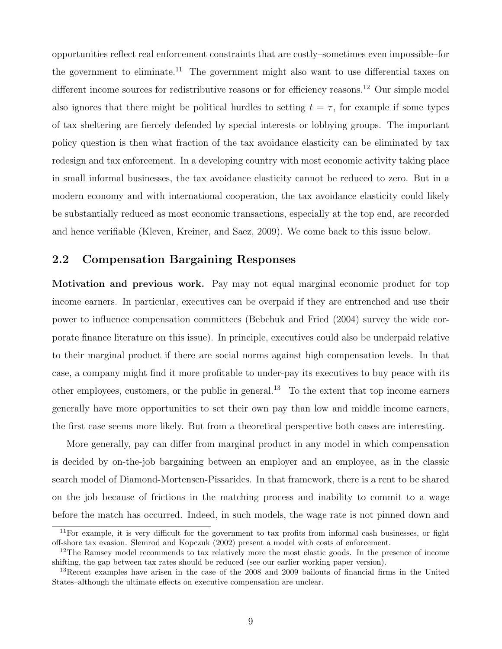opportunities reflect real enforcement constraints that are costly–sometimes even impossible–for the government to eliminate.<sup>11</sup> The government might also want to use differential taxes on different income sources for redistributive reasons or for efficiency reasons.<sup>12</sup> Our simple model also ignores that there might be political hurdles to setting  $t = \tau$ , for example if some types of tax sheltering are fiercely defended by special interests or lobbying groups. The important policy question is then what fraction of the tax avoidance elasticity can be eliminated by tax redesign and tax enforcement. In a developing country with most economic activity taking place in small informal businesses, the tax avoidance elasticity cannot be reduced to zero. But in a modern economy and with international cooperation, the tax avoidance elasticity could likely be substantially reduced as most economic transactions, especially at the top end, are recorded and hence verifiable (Kleven, Kreiner, and Saez, 2009). We come back to this issue below.

### 2.2 Compensation Bargaining Responses

Motivation and previous work. Pay may not equal marginal economic product for top income earners. In particular, executives can be overpaid if they are entrenched and use their power to influence compensation committees (Bebchuk and Fried (2004) survey the wide corporate finance literature on this issue). In principle, executives could also be underpaid relative to their marginal product if there are social norms against high compensation levels. In that case, a company might find it more profitable to under-pay its executives to buy peace with its other employees, customers, or the public in general.<sup>13</sup> To the extent that top income earners generally have more opportunities to set their own pay than low and middle income earners, the first case seems more likely. But from a theoretical perspective both cases are interesting.

More generally, pay can differ from marginal product in any model in which compensation is decided by on-the-job bargaining between an employer and an employee, as in the classic search model of Diamond-Mortensen-Pissarides. In that framework, there is a rent to be shared on the job because of frictions in the matching process and inability to commit to a wage before the match has occurred. Indeed, in such models, the wage rate is not pinned down and

 $11$ For example, it is very difficult for the government to tax profits from informal cash businesses, or fight off-shore tax evasion. Slemrod and Kopczuk (2002) present a model with costs of enforcement.

<sup>&</sup>lt;sup>12</sup>The Ramsey model recommends to tax relatively more the most elastic goods. In the presence of income shifting, the gap between tax rates should be reduced (see our earlier working paper version).

<sup>13</sup>Recent examples have arisen in the case of the 2008 and 2009 bailouts of financial firms in the United States–although the ultimate effects on executive compensation are unclear.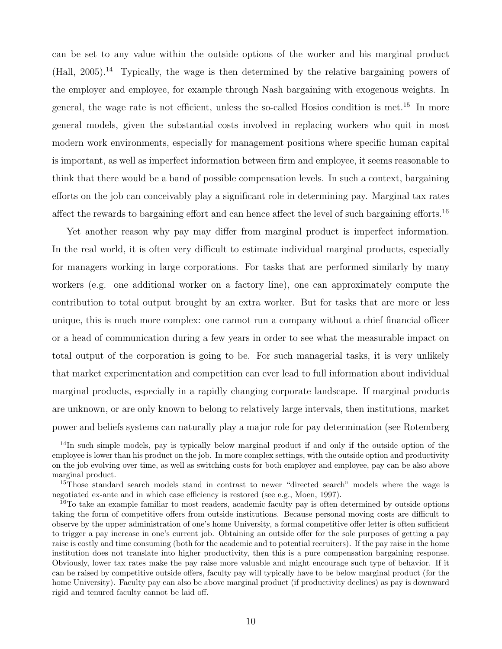can be set to any value within the outside options of the worker and his marginal product  $(Hall, 2005).$ <sup>14</sup> Typically, the wage is then determined by the relative bargaining powers of the employer and employee, for example through Nash bargaining with exogenous weights. In general, the wage rate is not efficient, unless the so-called Hosios condition is met.<sup>15</sup> In more general models, given the substantial costs involved in replacing workers who quit in most modern work environments, especially for management positions where specific human capital is important, as well as imperfect information between firm and employee, it seems reasonable to think that there would be a band of possible compensation levels. In such a context, bargaining efforts on the job can conceivably play a significant role in determining pay. Marginal tax rates affect the rewards to bargaining effort and can hence affect the level of such bargaining efforts.<sup>16</sup>

Yet another reason why pay may differ from marginal product is imperfect information. In the real world, it is often very difficult to estimate individual marginal products, especially for managers working in large corporations. For tasks that are performed similarly by many workers (e.g. one additional worker on a factory line), one can approximately compute the contribution to total output brought by an extra worker. But for tasks that are more or less unique, this is much more complex: one cannot run a company without a chief financial officer or a head of communication during a few years in order to see what the measurable impact on total output of the corporation is going to be. For such managerial tasks, it is very unlikely that market experimentation and competition can ever lead to full information about individual marginal products, especially in a rapidly changing corporate landscape. If marginal products are unknown, or are only known to belong to relatively large intervals, then institutions, market power and beliefs systems can naturally play a major role for pay determination (see Rotemberg

<sup>&</sup>lt;sup>14</sup>In such simple models, pay is typically below marginal product if and only if the outside option of the employee is lower than his product on the job. In more complex settings, with the outside option and productivity on the job evolving over time, as well as switching costs for both employer and employee, pay can be also above marginal product.

<sup>&</sup>lt;sup>15</sup>Those standard search models stand in contrast to newer "directed search" models where the wage is negotiated ex-ante and in which case efficiency is restored (see e.g., Moen, 1997).

<sup>&</sup>lt;sup>16</sup>To take an example familiar to most readers, academic faculty pay is often determined by outside options taking the form of competitive offers from outside institutions. Because personal moving costs are difficult to observe by the upper administration of one's home University, a formal competitive offer letter is often sufficient to trigger a pay increase in one's current job. Obtaining an outside offer for the sole purposes of getting a pay raise is costly and time consuming (both for the academic and to potential recruiters). If the pay raise in the home institution does not translate into higher productivity, then this is a pure compensation bargaining response. Obviously, lower tax rates make the pay raise more valuable and might encourage such type of behavior. If it can be raised by competitive outside offers, faculty pay will typically have to be below marginal product (for the home University). Faculty pay can also be above marginal product (if productivity declines) as pay is downward rigid and tenured faculty cannot be laid off.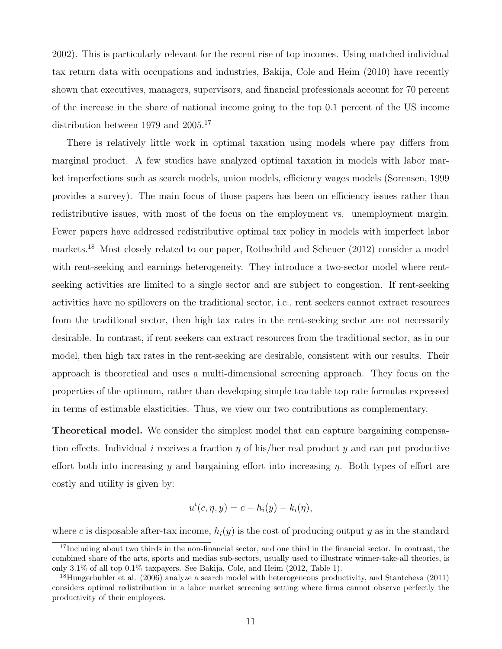2002). This is particularly relevant for the recent rise of top incomes. Using matched individual tax return data with occupations and industries, Bakija, Cole and Heim (2010) have recently shown that executives, managers, supervisors, and financial professionals account for 70 percent of the increase in the share of national income going to the top 0.1 percent of the US income distribution between 1979 and 2005.<sup>17</sup>

There is relatively little work in optimal taxation using models where pay differs from marginal product. A few studies have analyzed optimal taxation in models with labor market imperfections such as search models, union models, efficiency wages models (Sorensen, 1999 provides a survey). The main focus of those papers has been on efficiency issues rather than redistributive issues, with most of the focus on the employment vs. unemployment margin. Fewer papers have addressed redistributive optimal tax policy in models with imperfect labor markets.<sup>18</sup> Most closely related to our paper, Rothschild and Scheuer (2012) consider a model with rent-seeking and earnings heterogeneity. They introduce a two-sector model where rentseeking activities are limited to a single sector and are subject to congestion. If rent-seeking activities have no spillovers on the traditional sector, i.e., rent seekers cannot extract resources from the traditional sector, then high tax rates in the rent-seeking sector are not necessarily desirable. In contrast, if rent seekers can extract resources from the traditional sector, as in our model, then high tax rates in the rent-seeking are desirable, consistent with our results. Their approach is theoretical and uses a multi-dimensional screening approach. They focus on the properties of the optimum, rather than developing simple tractable top rate formulas expressed in terms of estimable elasticities. Thus, we view our two contributions as complementary.

Theoretical model. We consider the simplest model that can capture bargaining compensation effects. Individual i receives a fraction  $\eta$  of his/her real product y and can put productive effort both into increasing y and bargaining effort into increasing  $\eta$ . Both types of effort are costly and utility is given by:

$$
u^{i}(c, \eta, y) = c - h_{i}(y) - k_{i}(\eta),
$$

where c is disposable after-tax income,  $h_i(y)$  is the cost of producing output y as in the standard

 $17$ Including about two thirds in the non-financial sector, and one third in the financial sector. In contrast, the combined share of the arts, sports and medias sub-sectors, usually used to illustrate winner-take-all theories, is only 3.1% of all top 0.1% taxpayers. See Bakija, Cole, and Heim (2012, Table 1).

<sup>&</sup>lt;sup>18</sup>Hungerbuhler et al. (2006) analyze a search model with heterogeneous productivity, and Stantcheva (2011) considers optimal redistribution in a labor market screening setting where firms cannot observe perfectly the productivity of their employees.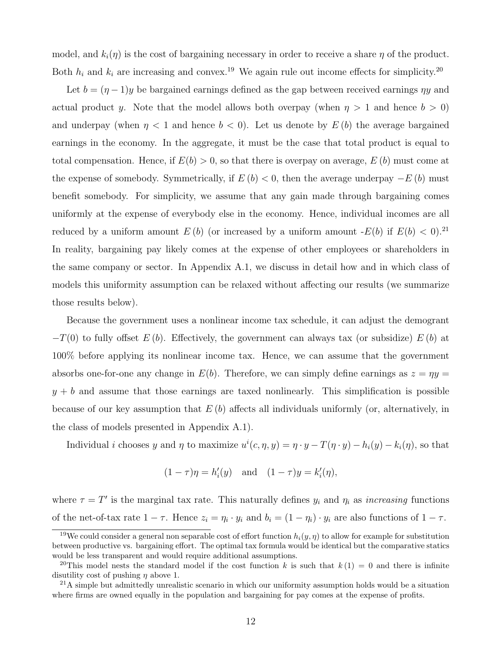model, and  $k_i(\eta)$  is the cost of bargaining necessary in order to receive a share  $\eta$  of the product. Both  $h_i$  and  $k_i$  are increasing and convex.<sup>19</sup> We again rule out income effects for simplicity.<sup>20</sup>

Let  $b = (\eta - 1)y$  be bargained earnings defined as the gap between received earnings  $\eta y$  and actual product y. Note that the model allows both overpay (when  $\eta > 1$  and hence  $b > 0$ ) and underpay (when  $\eta < 1$  and hence  $b < 0$ ). Let us denote by  $E(b)$  the average bargained earnings in the economy. In the aggregate, it must be the case that total product is equal to total compensation. Hence, if  $E(b) > 0$ , so that there is overpay on average,  $E(b)$  must come at the expense of somebody. Symmetrically, if  $E(b) < 0$ , then the average underpay  $-E(b)$  must benefit somebody. For simplicity, we assume that any gain made through bargaining comes uniformly at the expense of everybody else in the economy. Hence, individual incomes are all reduced by a uniform amount  $E(b)$  (or increased by a uniform amount  $-E(b)$  if  $E(b) < 0$ ).<sup>21</sup> In reality, bargaining pay likely comes at the expense of other employees or shareholders in the same company or sector. In Appendix A.1, we discuss in detail how and in which class of models this uniformity assumption can be relaxed without affecting our results (we summarize those results below).

Because the government uses a nonlinear income tax schedule, it can adjust the demogrant  $-T(0)$  to fully offset  $E(b)$ . Effectively, the government can always tax (or subsidize)  $E(b)$  at 100% before applying its nonlinear income tax. Hence, we can assume that the government absorbs one-for-one any change in  $E(b)$ . Therefore, we can simply define earnings as  $z = \eta y =$  $y + b$  and assume that those earnings are taxed nonlinearly. This simplification is possible because of our key assumption that  $E(b)$  affects all individuals uniformly (or, alternatively, in the class of models presented in Appendix A.1).

Individual *i* chooses y and  $\eta$  to maximize  $u^{i}(c, \eta, y) = \eta \cdot y - T(\eta \cdot y) - h_{i}(y) - k_{i}(\eta)$ , so that

$$
(1 - \tau)\eta = h'_i(y)
$$
 and  $(1 - \tau)y = k'_i(\eta)$ ,

where  $\tau = T'$  is the marginal tax rate. This naturally defines  $y_i$  and  $\eta_i$  as *increasing* functions of the net-of-tax rate  $1 - \tau$ . Hence  $z_i = \eta_i \cdot y_i$  and  $b_i = (1 - \eta_i) \cdot y_i$  are also functions of  $1 - \tau$ .

<sup>&</sup>lt;sup>19</sup>We could consider a general non separable cost of effort function  $h_i(y, \eta)$  to allow for example for substitution between productive vs. bargaining effort. The optimal tax formula would be identical but the comparative statics would be less transparent and would require additional assumptions.

<sup>&</sup>lt;sup>20</sup>This model nests the standard model if the cost function k is such that  $k(1) = 0$  and there is infinite disutility cost of pushing  $\eta$  above 1.

 $^{21}$ A simple but admittedly unrealistic scenario in which our uniformity assumption holds would be a situation where firms are owned equally in the population and bargaining for pay comes at the expense of profits.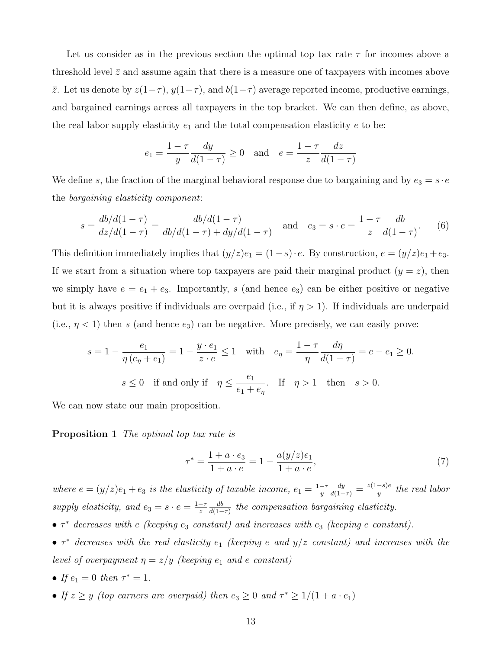Let us consider as in the previous section the optimal top tax rate  $\tau$  for incomes above a threshold level  $\bar{z}$  and assume again that there is a measure one of taxpayers with incomes above  $\overline{z}$ . Let us denote by  $z(1−τ)$ ,  $y(1-τ)$ , and  $b(1-τ)$  average reported income, productive earnings, and bargained earnings across all taxpayers in the top bracket. We can then define, as above, the real labor supply elasticity  $e_1$  and the total compensation elasticity  $e$  to be:

$$
e_1 = \frac{1 - \tau}{y} \frac{dy}{d(1 - \tau)} \ge 0
$$
 and  $e = \frac{1 - \tau}{z} \frac{dz}{d(1 - \tau)}$ 

We define s, the fraction of the marginal behavioral response due to bargaining and by  $e_3 = s \cdot e$ the bargaining elasticity component:

$$
s = \frac{db/d(1-\tau)}{dz/d(1-\tau)} = \frac{db/d(1-\tau)}{db/d(1-\tau) + dy/d(1-\tau)}
$$
 and  $e_3 = s \cdot e = \frac{1-\tau}{z} \frac{db}{d(1-\tau)}$ . (6)

This definition immediately implies that  $(y/z)e_1 = (1-s) \cdot e$ . By construction,  $e = (y/z)e_1 + e_3$ . If we start from a situation where top taxpayers are paid their marginal product  $(y = z)$ , then we simply have  $e = e_1 + e_3$ . Importantly, s (and hence  $e_3$ ) can be either positive or negative but it is always positive if individuals are overpaid (i.e., if  $\eta > 1$ ). If individuals are underpaid (i.e.,  $\eta$  < 1) then s (and hence  $e_3$ ) can be negative. More precisely, we can easily prove:

$$
s = 1 - \frac{e_1}{\eta (e_{\eta} + e_1)} = 1 - \frac{y \cdot e_1}{z \cdot e} \le 1 \quad \text{with} \quad e_{\eta} = \frac{1 - \tau}{\eta} \frac{d\eta}{d(1 - \tau)} = e - e_1 \ge 0.
$$
  

$$
s \le 0 \quad \text{if and only if} \quad \eta \le \frac{e_1}{e_1 + e_{\eta}}. \quad \text{If} \quad \eta > 1 \quad \text{then} \quad s > 0.
$$

We can now state our main proposition.

Proposition 1 The optimal top tax rate is

$$
\tau^* = \frac{1 + a \cdot e_3}{1 + a \cdot e} = 1 - \frac{a(y/z)e_1}{1 + a \cdot e},\tag{7}
$$

where  $e = (y/z)e_1 + e_3$  is the elasticity of taxable income,  $e_1 = \frac{1-\tau}{y}$  $\overline{y}$  $\frac{dy}{d(1-\tau)} = \frac{z(1-s)e}{y}$  $\frac{-s)e}{y}$  the real labor supply elasticity, and  $e_3 = s \cdot e = \frac{1-\tau}{z}$ z db  $\frac{db}{d(1-\tau)}$  the compensation bargaining elasticity.

- $\tau^*$  decreases with e (keeping  $e_3$  constant) and increases with  $e_3$  (keeping e constant).
- $\tau^*$  decreases with the real elasticity  $e_1$  (keeping e and  $y/z$  constant) and increases with the level of overpayment  $\eta = z/y$  (keeping  $e_1$  and e constant)
- If  $e_1 = 0$  then  $\tau^* = 1$ .
- If  $z \ge y$  (top earners are overpaid) then  $e_3 \ge 0$  and  $\tau^* \ge 1/(1 + a \cdot e_1)$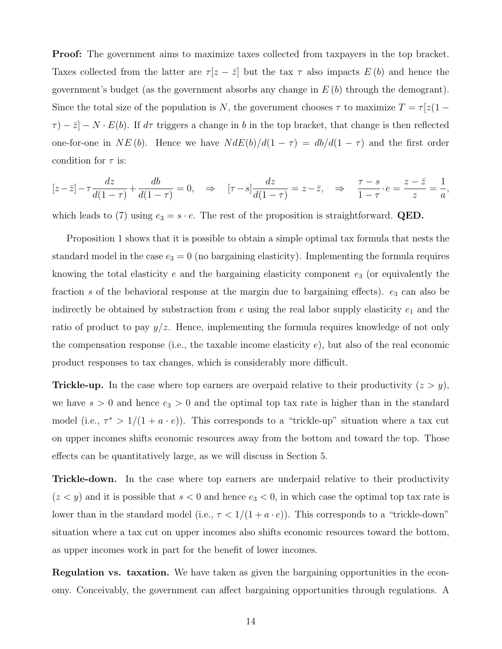Proof: The government aims to maximize taxes collected from taxpayers in the top bracket. Taxes collected from the latter are  $\tau [z - \bar{z}]$  but the tax  $\tau$  also impacts  $E(b)$  and hence the government's budget (as the government absorbs any change in  $E(b)$  through the demogrant). Since the total size of the population is N, the government chooses  $\tau$  to maximize  $T = \tau [z(1 \tau$ ) –  $\bar{z}$ ] – N · E(b). If  $d\tau$  triggers a change in b in the top bracket, that change is then reflected one-for-one in NE (b). Hence we have  $N dE(b)/d(1 - \tau) = db/d(1 - \tau)$  and the first order condition for  $\tau$  is:

$$
[z-\overline{z}] - \tau \frac{dz}{d(1-\tau)} + \frac{db}{d(1-\tau)} = 0, \quad \Rightarrow \quad [\tau - s] \frac{dz}{d(1-\tau)} = z - \overline{z}, \quad \Rightarrow \quad \frac{\tau - s}{1-\tau} \cdot e = \frac{z - \overline{z}}{z} = \frac{1}{a},
$$

which leads to (7) using  $e_3 = s \cdot e$ . The rest of the proposition is straightforward. **QED.** 

Proposition 1 shows that it is possible to obtain a simple optimal tax formula that nests the standard model in the case  $e_3 = 0$  (no bargaining elasticity). Implementing the formula requires knowing the total elasticity  $e$  and the bargaining elasticity component  $e_3$  (or equivalently the fraction s of the behavioral response at the margin due to bargaining effects).  $e_3$  can also be indirectly be obtained by substraction from  $e$  using the real labor supply elasticity  $e_1$  and the ratio of product to pay  $y/z$ . Hence, implementing the formula requires knowledge of not only the compensation response (i.e., the taxable income elasticity  $e$ ), but also of the real economic product responses to tax changes, which is considerably more difficult.

**Trickle-up.** In the case where top earners are overpaid relative to their productivity  $(z > y)$ , we have  $s > 0$  and hence  $e_3 > 0$  and the optimal top tax rate is higher than in the standard model (i.e.,  $\tau^* > 1/(1 + a \cdot e)$ ). This corresponds to a "trickle-up" situation where a tax cut on upper incomes shifts economic resources away from the bottom and toward the top. Those effects can be quantitatively large, as we will discuss in Section 5.

**Trickle-down.** In the case where top earners are underpaid relative to their productivity  $(z < y)$  and it is possible that  $s < 0$  and hence  $e_3 < 0$ , in which case the optimal top tax rate is lower than in the standard model (i.e.,  $\tau < 1/(1 + a \cdot e)$ ). This corresponds to a "trickle-down" situation where a tax cut on upper incomes also shifts economic resources toward the bottom, as upper incomes work in part for the benefit of lower incomes.

Regulation vs. taxation. We have taken as given the bargaining opportunities in the economy. Conceivably, the government can affect bargaining opportunities through regulations. A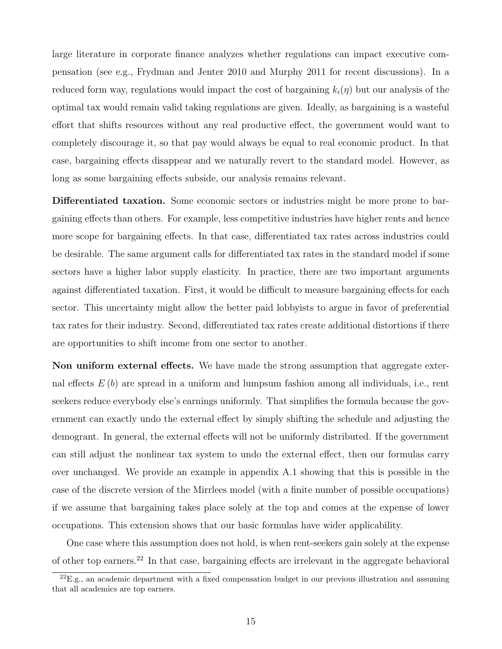large literature in corporate finance analyzes whether regulations can impact executive compensation (see e.g., Frydman and Jenter 2010 and Murphy 2011 for recent discussions). In a reduced form way, regulations would impact the cost of bargaining  $k_i(\eta)$  but our analysis of the optimal tax would remain valid taking regulations are given. Ideally, as bargaining is a wasteful effort that shifts resources without any real productive effect, the government would want to completely discourage it, so that pay would always be equal to real economic product. In that case, bargaining effects disappear and we naturally revert to the standard model. However, as long as some bargaining effects subside, our analysis remains relevant.

Differentiated taxation. Some economic sectors or industries might be more prone to bargaining effects than others. For example, less competitive industries have higher rents and hence more scope for bargaining effects. In that case, differentiated tax rates across industries could be desirable. The same argument calls for differentiated tax rates in the standard model if some sectors have a higher labor supply elasticity. In practice, there are two important arguments against differentiated taxation. First, it would be difficult to measure bargaining effects for each sector. This uncertainty might allow the better paid lobbyists to argue in favor of preferential tax rates for their industry. Second, differentiated tax rates create additional distortions if there are opportunities to shift income from one sector to another.

Non uniform external effects. We have made the strong assumption that aggregate external effects  $E(b)$  are spread in a uniform and lumpsum fashion among all individuals, i.e., rent seekers reduce everybody else's earnings uniformly. That simplifies the formula because the government can exactly undo the external effect by simply shifting the schedule and adjusting the demogrant. In general, the external effects will not be uniformly distributed. If the government can still adjust the nonlinear tax system to undo the external effect, then our formulas carry over unchanged. We provide an example in appendix A.1 showing that this is possible in the case of the discrete version of the Mirrlees model (with a finite number of possible occupations) if we assume that bargaining takes place solely at the top and comes at the expense of lower occupations. This extension shows that our basic formulas have wider applicability.

One case where this assumption does not hold, is when rent-seekers gain solely at the expense of other top earners.<sup>22</sup> In that case, bargaining effects are irrelevant in the aggregate behavioral

 $^{22}E.g.,$  an academic department with a fixed compensation budget in our previous illustration and assuming that all academics are top earners.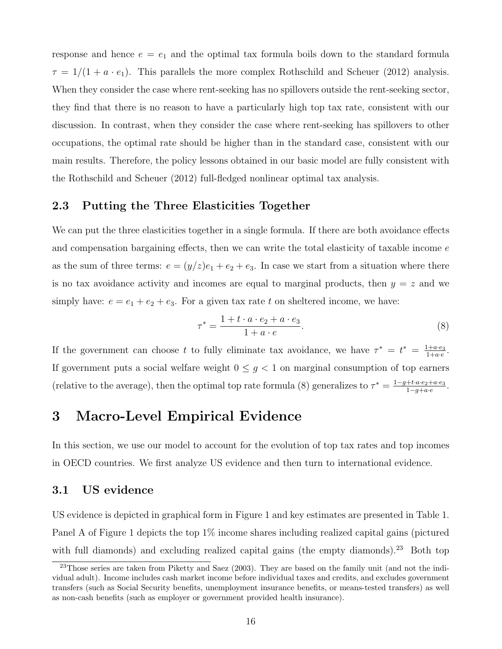response and hence  $e = e_1$  and the optimal tax formula boils down to the standard formula  $\tau = 1/(1 + a \cdot e_1)$ . This parallels the more complex Rothschild and Scheuer (2012) analysis. When they consider the case where rent-seeking has no spillovers outside the rent-seeking sector, they find that there is no reason to have a particularly high top tax rate, consistent with our discussion. In contrast, when they consider the case where rent-seeking has spillovers to other occupations, the optimal rate should be higher than in the standard case, consistent with our main results. Therefore, the policy lessons obtained in our basic model are fully consistent with the Rothschild and Scheuer (2012) full-fledged nonlinear optimal tax analysis.

### 2.3 Putting the Three Elasticities Together

We can put the three elasticities together in a single formula. If there are both avoidance effects and compensation bargaining effects, then we can write the total elasticity of taxable income  $e$ as the sum of three terms:  $e = (y/z)e_1 + e_2 + e_3$ . In case we start from a situation where there is no tax avoidance activity and incomes are equal to marginal products, then  $y = z$  and we simply have:  $e = e_1 + e_2 + e_3$ . For a given tax rate t on sheltered income, we have:

$$
\tau^* = \frac{1 + t \cdot a \cdot e_2 + a \cdot e_3}{1 + a \cdot e}.\tag{8}
$$

If the government can choose t to fully eliminate tax avoidance, we have  $\tau^* = t^* = \frac{1+a\cdot e_3}{1+a\cdot e_3}$  $\frac{1+a\cdot e_3}{1+a\cdot e}$ . If government puts a social welfare weight  $0 \leq g < 1$  on marginal consumption of top earners (relative to the average), then the optimal top rate formula (8) generalizes to  $\tau^* = \frac{1-g+t\cdot a\cdot e_2+a\cdot e_3}{1-g+t\cdot a\cdot e_1}$  $\frac{+t \cdot a \cdot e_2+a \cdot e_3}{1-g+a \cdot e}.$ 

# 3 Macro-Level Empirical Evidence

In this section, we use our model to account for the evolution of top tax rates and top incomes in OECD countries. We first analyze US evidence and then turn to international evidence.

### 3.1 US evidence

US evidence is depicted in graphical form in Figure 1 and key estimates are presented in Table 1. Panel A of Figure 1 depicts the top 1% income shares including realized capital gains (pictured with full diamonds) and excluding realized capital gains (the empty diamonds).<sup>23</sup> Both top

 $23$ Those series are taken from Piketty and Saez (2003). They are based on the family unit (and not the individual adult). Income includes cash market income before individual taxes and credits, and excludes government transfers (such as Social Security benefits, unemployment insurance benefits, or means-tested transfers) as well as non-cash benefits (such as employer or government provided health insurance).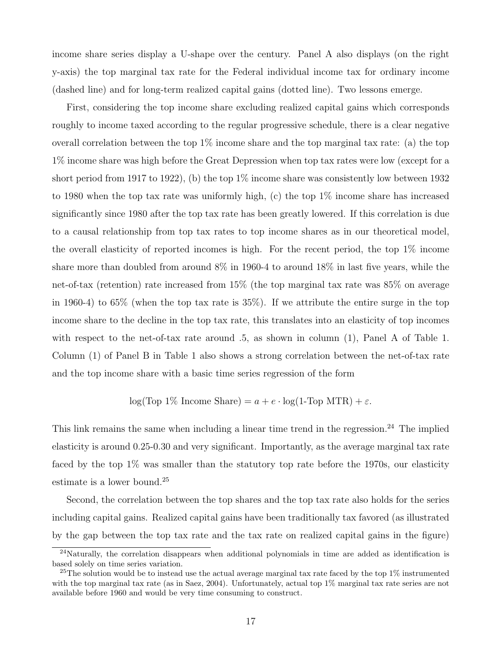income share series display a U-shape over the century. Panel A also displays (on the right y-axis) the top marginal tax rate for the Federal individual income tax for ordinary income (dashed line) and for long-term realized capital gains (dotted line). Two lessons emerge.

First, considering the top income share excluding realized capital gains which corresponds roughly to income taxed according to the regular progressive schedule, there is a clear negative overall correlation between the top  $1\%$  income share and the top marginal tax rate: (a) the top 1% income share was high before the Great Depression when top tax rates were low (except for a short period from 1917 to 1922), (b) the top  $1\%$  income share was consistently low between 1932 to 1980 when the top tax rate was uniformly high, (c) the top 1% income share has increased significantly since 1980 after the top tax rate has been greatly lowered. If this correlation is due to a causal relationship from top tax rates to top income shares as in our theoretical model, the overall elasticity of reported incomes is high. For the recent period, the top 1% income share more than doubled from around 8% in 1960-4 to around 18% in last five years, while the net-of-tax (retention) rate increased from 15% (the top marginal tax rate was 85% on average in 1960-4) to 65% (when the top tax rate is 35%). If we attribute the entire surge in the top income share to the decline in the top tax rate, this translates into an elasticity of top incomes with respect to the net-of-tax rate around .5, as shown in column (1), Panel A of Table 1. Column (1) of Panel B in Table 1 also shows a strong correlation between the net-of-tax rate and the top income share with a basic time series regression of the form

log(Top 1% Income Share) =  $a + e \cdot \log(1-\text{Top} \ MTR) + \varepsilon$ .

This link remains the same when including a linear time trend in the regression.<sup>24</sup> The implied elasticity is around 0.25-0.30 and very significant. Importantly, as the average marginal tax rate faced by the top 1% was smaller than the statutory top rate before the 1970s, our elasticity estimate is a lower bound.<sup>25</sup>

Second, the correlation between the top shares and the top tax rate also holds for the series including capital gains. Realized capital gains have been traditionally tax favored (as illustrated by the gap between the top tax rate and the tax rate on realized capital gains in the figure)

<sup>&</sup>lt;sup>24</sup>Naturally, the correlation disappears when additional polynomials in time are added as identification is based solely on time series variation.

<sup>&</sup>lt;sup>25</sup>The solution would be to instead use the actual average marginal tax rate faced by the top 1% instrumented with the top marginal tax rate (as in Saez, 2004). Unfortunately, actual top 1\% marginal tax rate series are not available before 1960 and would be very time consuming to construct.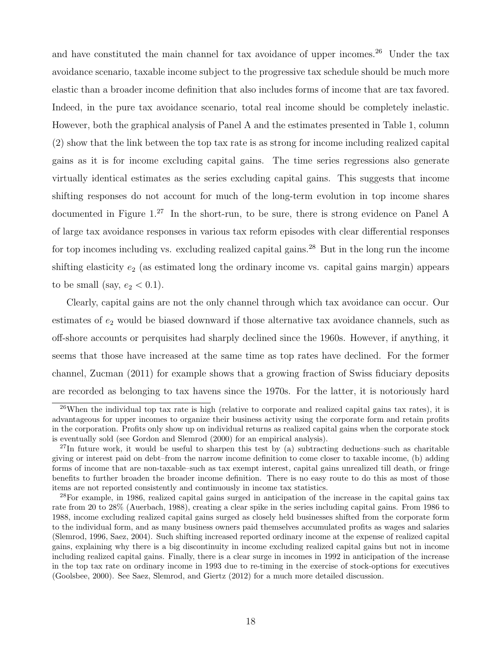and have constituted the main channel for tax avoidance of upper incomes.<sup>26</sup> Under the tax avoidance scenario, taxable income subject to the progressive tax schedule should be much more elastic than a broader income definition that also includes forms of income that are tax favored. Indeed, in the pure tax avoidance scenario, total real income should be completely inelastic. However, both the graphical analysis of Panel A and the estimates presented in Table 1, column (2) show that the link between the top tax rate is as strong for income including realized capital gains as it is for income excluding capital gains. The time series regressions also generate virtually identical estimates as the series excluding capital gains. This suggests that income shifting responses do not account for much of the long-term evolution in top income shares documented in Figure 1.<sup>27</sup> In the short-run, to be sure, there is strong evidence on Panel A of large tax avoidance responses in various tax reform episodes with clear differential responses for top incomes including vs. excluding realized capital gains.<sup>28</sup> But in the long run the income shifting elasticity  $e_2$  (as estimated long the ordinary income vs. capital gains margin) appears to be small (say,  $e_2 < 0.1$ ).

Clearly, capital gains are not the only channel through which tax avoidance can occur. Our estimates of  $e_2$  would be biased downward if those alternative tax avoidance channels, such as off-shore accounts or perquisites had sharply declined since the 1960s. However, if anything, it seems that those have increased at the same time as top rates have declined. For the former channel, Zucman (2011) for example shows that a growing fraction of Swiss fiduciary deposits are recorded as belonging to tax havens since the 1970s. For the latter, it is notoriously hard

<sup>&</sup>lt;sup>26</sup>When the individual top tax rate is high (relative to corporate and realized capital gains tax rates), it is advantageous for upper incomes to organize their business activity using the corporate form and retain profits in the corporation. Profits only show up on individual returns as realized capital gains when the corporate stock is eventually sold (see Gordon and Slemrod (2000) for an empirical analysis).

<sup>&</sup>lt;sup>27</sup>In future work, it would be useful to sharpen this test by (a) subtracting deductions–such as charitable giving or interest paid on debt–from the narrow income definition to come closer to taxable income, (b) adding forms of income that are non-taxable–such as tax exempt interest, capital gains unrealized till death, or fringe benefits to further broaden the broader income definition. There is no easy route to do this as most of those items are not reported consistently and continuously in income tax statistics.

<sup>&</sup>lt;sup>28</sup>For example, in 1986, realized capital gains surged in anticipation of the increase in the capital gains tax rate from 20 to 28% (Auerbach, 1988), creating a clear spike in the series including capital gains. From 1986 to 1988, income excluding realized capital gains surged as closely held businesses shifted from the corporate form to the individual form, and as many business owners paid themselves accumulated profits as wages and salaries (Slemrod, 1996, Saez, 2004). Such shifting increased reported ordinary income at the expense of realized capital gains, explaining why there is a big discontinuity in income excluding realized capital gains but not in income including realized capital gains. Finally, there is a clear surge in incomes in 1992 in anticipation of the increase in the top tax rate on ordinary income in 1993 due to re-timing in the exercise of stock-options for executives (Goolsbee, 2000). See Saez, Slemrod, and Giertz (2012) for a much more detailed discussion.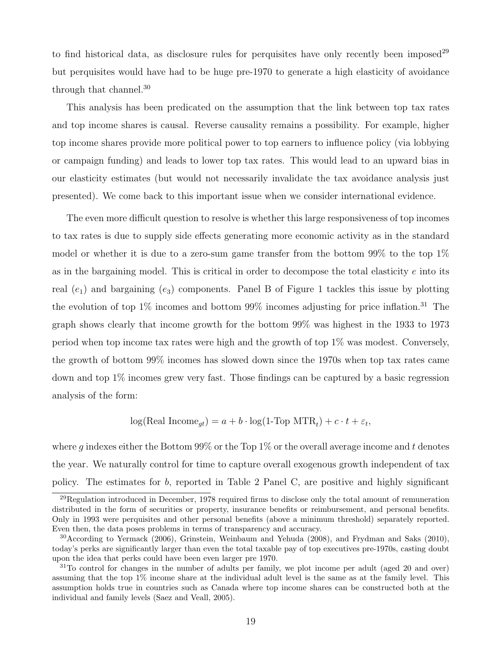to find historical data, as disclosure rules for perquisites have only recently been imposed<sup>29</sup> but perquisites would have had to be huge pre-1970 to generate a high elasticity of avoidance through that channel.<sup>30</sup>

This analysis has been predicated on the assumption that the link between top tax rates and top income shares is causal. Reverse causality remains a possibility. For example, higher top income shares provide more political power to top earners to influence policy (via lobbying or campaign funding) and leads to lower top tax rates. This would lead to an upward bias in our elasticity estimates (but would not necessarily invalidate the tax avoidance analysis just presented). We come back to this important issue when we consider international evidence.

The even more difficult question to resolve is whether this large responsiveness of top incomes to tax rates is due to supply side effects generating more economic activity as in the standard model or whether it is due to a zero-sum game transfer from the bottom  $99\%$  to the top  $1\%$ as in the bargaining model. This is critical in order to decompose the total elasticity  $e$  into its real  $(e_1)$  and bargaining  $(e_3)$  components. Panel B of Figure 1 tackles this issue by plotting the evolution of top  $1\%$  incomes and bottom  $99\%$  incomes adjusting for price inflation.<sup>31</sup> The graph shows clearly that income growth for the bottom 99% was highest in the 1933 to 1973 period when top income tax rates were high and the growth of top 1% was modest. Conversely, the growth of bottom 99% incomes has slowed down since the 1970s when top tax rates came down and top 1% incomes grew very fast. Those findings can be captured by a basic regression analysis of the form:

$$
\log(\text{Real Income}_{gt}) = a + b \cdot \log(1 - \text{Top MTR}_t) + c \cdot t + \varepsilon_t,
$$

where q indexes either the Bottom  $99\%$  or the Top 1% or the overall average income and t denotes the year. We naturally control for time to capture overall exogenous growth independent of tax policy. The estimates for b, reported in Table 2 Panel C, are positive and highly significant

<sup>29</sup>Regulation introduced in December, 1978 required firms to disclose only the total amount of remuneration distributed in the form of securities or property, insurance benefits or reimbursement, and personal benefits. Only in 1993 were perquisites and other personal benefits (above a minimum threshold) separately reported. Even then, the data poses problems in terms of transparency and accuracy.

<sup>30</sup>According to Yermack (2006), Grinstein, Weinbaum and Yehuda (2008), and Frydman and Saks (2010), today's perks are significantly larger than even the total taxable pay of top executives pre-1970s, casting doubt upon the idea that perks could have been even larger pre 1970.

<sup>&</sup>lt;sup>31</sup>To control for changes in the number of adults per family, we plot income per adult (aged 20 and over) assuming that the top 1% income share at the individual adult level is the same as at the family level. This assumption holds true in countries such as Canada where top income shares can be constructed both at the individual and family levels (Saez and Veall, 2005).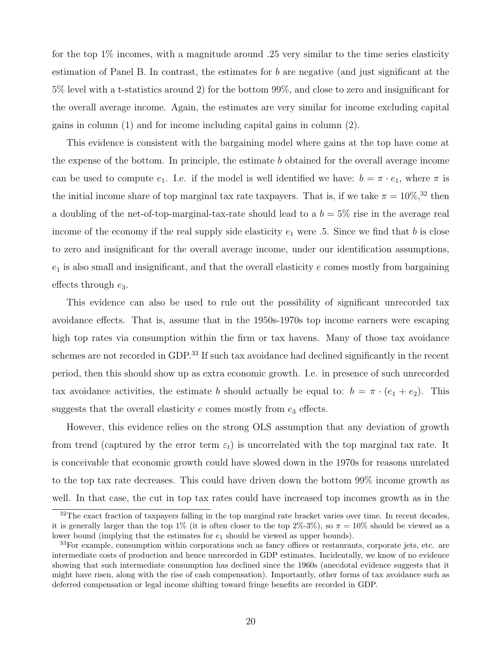for the top  $1\%$  incomes, with a magnitude around .25 very similar to the time series elasticity estimation of Panel B. In contrast, the estimates for b are negative (and just significant at the 5% level with a t-statistics around 2) for the bottom 99%, and close to zero and insignificant for the overall average income. Again, the estimates are very similar for income excluding capital gains in column (1) and for income including capital gains in column (2).

This evidence is consistent with the bargaining model where gains at the top have come at the expense of the bottom. In principle, the estimate b obtained for the overall average income can be used to compute  $e_1$ . I.e. if the model is well identified we have:  $b = \pi \cdot e_1$ , where  $\pi$  is the initial income share of top marginal tax rate taxpayers. That is, if we take  $\pi = 10\%,$ <sup>32</sup> then a doubling of the net-of-top-marginal-tax-rate should lead to a  $b = 5\%$  rise in the average real income of the economy if the real supply side elasticity  $e_1$  were .5. Since we find that b is close to zero and insignificant for the overall average income, under our identification assumptions,  $e_1$  is also small and insignificant, and that the overall elasticity  $e$  comes mostly from bargaining effects through  $e_3$ .

This evidence can also be used to rule out the possibility of significant unrecorded tax avoidance effects. That is, assume that in the 1950s-1970s top income earners were escaping high top rates via consumption within the firm or tax havens. Many of those tax avoidance schemes are not recorded in GDP.<sup>33</sup> If such tax avoidance had declined significantly in the recent period, then this should show up as extra economic growth. I.e. in presence of such unrecorded tax avoidance activities, the estimate b should actually be equal to:  $b = \pi \cdot (e_1 + e_2)$ . This suggests that the overall elasticity  $e$  comes mostly from  $e_3$  effects.

However, this evidence relies on the strong OLS assumption that any deviation of growth from trend (captured by the error term  $\varepsilon_t$ ) is uncorrelated with the top marginal tax rate. It is conceivable that economic growth could have slowed down in the 1970s for reasons unrelated to the top tax rate decreases. This could have driven down the bottom 99% income growth as well. In that case, the cut in top tax rates could have increased top incomes growth as in the

<sup>&</sup>lt;sup>32</sup>The exact fraction of taxpayers falling in the top marginal rate bracket varies over time. In recent decades, it is generally larger than the top  $1\%$  (it is often closer to the top  $2\%$ -3%), so  $\pi = 10\%$  should be viewed as a lower bound (implying that the estimates for  $e_1$  should be viewed as upper bounds).

<sup>&</sup>lt;sup>33</sup>For example, consumption within corporations such as fancy offices or restaurants, corporate jets, etc. are intermediate costs of production and hence unrecorded in GDP estimates. Incidentally, we know of no evidence showing that such intermediate consumption has declined since the 1960s (anecdotal evidence suggests that it might have risen, along with the rise of cash compensation). Importantly, other forms of tax avoidance such as deferred compensation or legal income shifting toward fringe benefits are recorded in GDP.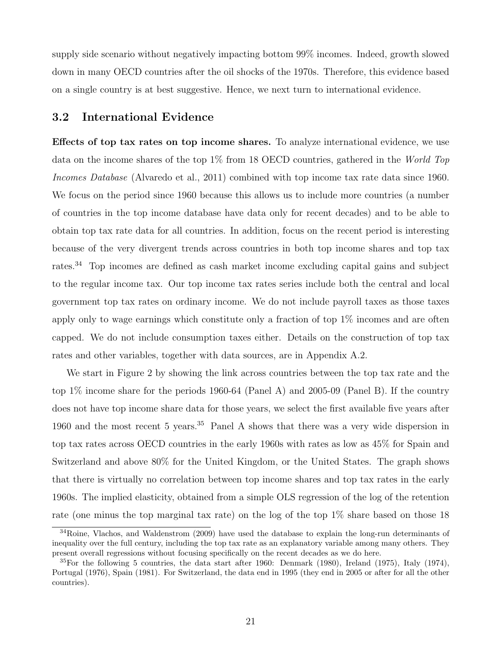supply side scenario without negatively impacting bottom 99% incomes. Indeed, growth slowed down in many OECD countries after the oil shocks of the 1970s. Therefore, this evidence based on a single country is at best suggestive. Hence, we next turn to international evidence.

### 3.2 International Evidence

Effects of top tax rates on top income shares. To analyze international evidence, we use data on the income shares of the top 1% from 18 OECD countries, gathered in the World Top Incomes Database (Alvaredo et al., 2011) combined with top income tax rate data since 1960. We focus on the period since 1960 because this allows us to include more countries (a number of countries in the top income database have data only for recent decades) and to be able to obtain top tax rate data for all countries. In addition, focus on the recent period is interesting because of the very divergent trends across countries in both top income shares and top tax rates.<sup>34</sup> Top incomes are defined as cash market income excluding capital gains and subject to the regular income tax. Our top income tax rates series include both the central and local government top tax rates on ordinary income. We do not include payroll taxes as those taxes apply only to wage earnings which constitute only a fraction of top 1% incomes and are often capped. We do not include consumption taxes either. Details on the construction of top tax rates and other variables, together with data sources, are in Appendix A.2.

We start in Figure 2 by showing the link across countries between the top tax rate and the top 1% income share for the periods 1960-64 (Panel A) and 2005-09 (Panel B). If the country does not have top income share data for those years, we select the first available five years after 1960 and the most recent 5 years.<sup>35</sup> Panel A shows that there was a very wide dispersion in top tax rates across OECD countries in the early 1960s with rates as low as 45% for Spain and Switzerland and above 80% for the United Kingdom, or the United States. The graph shows that there is virtually no correlation between top income shares and top tax rates in the early 1960s. The implied elasticity, obtained from a simple OLS regression of the log of the retention rate (one minus the top marginal tax rate) on the log of the top 1% share based on those 18

<sup>34</sup>Roine, Vlachos, and Waldenstrom (2009) have used the database to explain the long-run determinants of inequality over the full century, including the top tax rate as an explanatory variable among many others. They present overall regressions without focusing specifically on the recent decades as we do here.

 $35$  For the following 5 countries, the data start after 1960: Denmark (1980), Ireland (1975), Italy (1974), Portugal (1976), Spain (1981). For Switzerland, the data end in 1995 (they end in 2005 or after for all the other countries).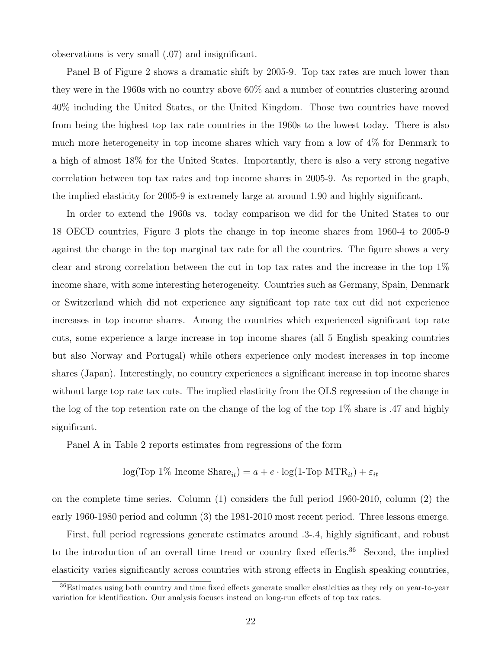observations is very small (.07) and insignificant.

Panel B of Figure 2 shows a dramatic shift by 2005-9. Top tax rates are much lower than they were in the 1960s with no country above 60% and a number of countries clustering around 40% including the United States, or the United Kingdom. Those two countries have moved from being the highest top tax rate countries in the 1960s to the lowest today. There is also much more heterogeneity in top income shares which vary from a low of 4% for Denmark to a high of almost 18% for the United States. Importantly, there is also a very strong negative correlation between top tax rates and top income shares in 2005-9. As reported in the graph, the implied elasticity for 2005-9 is extremely large at around 1.90 and highly significant.

In order to extend the 1960s vs. today comparison we did for the United States to our 18 OECD countries, Figure 3 plots the change in top income shares from 1960-4 to 2005-9 against the change in the top marginal tax rate for all the countries. The figure shows a very clear and strong correlation between the cut in top tax rates and the increase in the top 1% income share, with some interesting heterogeneity. Countries such as Germany, Spain, Denmark or Switzerland which did not experience any significant top rate tax cut did not experience increases in top income shares. Among the countries which experienced significant top rate cuts, some experience a large increase in top income shares (all 5 English speaking countries but also Norway and Portugal) while others experience only modest increases in top income shares (Japan). Interestingly, no country experiences a significant increase in top income shares without large top rate tax cuts. The implied elasticity from the OLS regression of the change in the log of the top retention rate on the change of the log of the top 1% share is .47 and highly significant.

Panel A in Table 2 reports estimates from regressions of the form

$$
log(Top 1\% IncomeShare_{it}) = a + e \cdot log(1-Top MTR_{it}) + \varepsilon_{it}
$$

on the complete time series. Column (1) considers the full period 1960-2010, column (2) the early 1960-1980 period and column (3) the 1981-2010 most recent period. Three lessons emerge.

First, full period regressions generate estimates around .3-.4, highly significant, and robust to the introduction of an overall time trend or country fixed effects.<sup>36</sup> Second, the implied elasticity varies significantly across countries with strong effects in English speaking countries,

<sup>36</sup>Estimates using both country and time fixed effects generate smaller elasticities as they rely on year-to-year variation for identification. Our analysis focuses instead on long-run effects of top tax rates.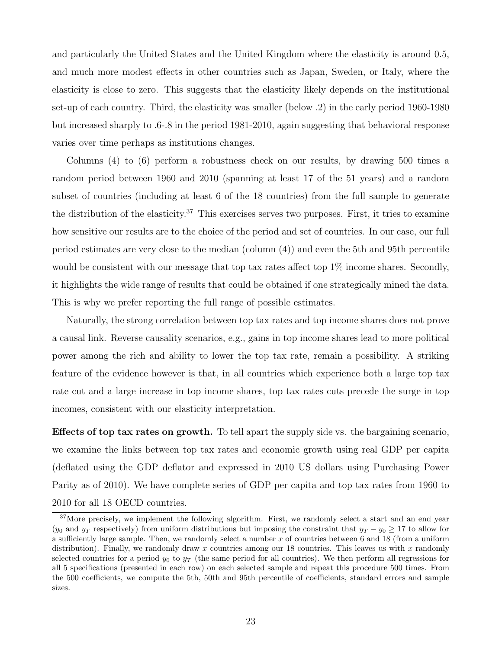and particularly the United States and the United Kingdom where the elasticity is around 0.5, and much more modest effects in other countries such as Japan, Sweden, or Italy, where the elasticity is close to zero. This suggests that the elasticity likely depends on the institutional set-up of each country. Third, the elasticity was smaller (below .2) in the early period 1960-1980 but increased sharply to .6-.8 in the period 1981-2010, again suggesting that behavioral response varies over time perhaps as institutions changes.

Columns (4) to (6) perform a robustness check on our results, by drawing 500 times a random period between 1960 and 2010 (spanning at least 17 of the 51 years) and a random subset of countries (including at least 6 of the 18 countries) from the full sample to generate the distribution of the elasticity.<sup>37</sup> This exercises serves two purposes. First, it tries to examine how sensitive our results are to the choice of the period and set of countries. In our case, our full period estimates are very close to the median (column (4)) and even the 5th and 95th percentile would be consistent with our message that top tax rates affect top  $1\%$  income shares. Secondly, it highlights the wide range of results that could be obtained if one strategically mined the data. This is why we prefer reporting the full range of possible estimates.

Naturally, the strong correlation between top tax rates and top income shares does not prove a causal link. Reverse causality scenarios, e.g., gains in top income shares lead to more political power among the rich and ability to lower the top tax rate, remain a possibility. A striking feature of the evidence however is that, in all countries which experience both a large top tax rate cut and a large increase in top income shares, top tax rates cuts precede the surge in top incomes, consistent with our elasticity interpretation.

Effects of top tax rates on growth. To tell apart the supply side vs. the bargaining scenario, we examine the links between top tax rates and economic growth using real GDP per capita (deflated using the GDP deflator and expressed in 2010 US dollars using Purchasing Power Parity as of 2010). We have complete series of GDP per capita and top tax rates from 1960 to 2010 for all 18 OECD countries.

<sup>&</sup>lt;sup>37</sup>More precisely, we implement the following algorithm. First, we randomly select a start and an end year  $(y_0$  and  $y_T$  respectively) from uniform distributions but imposing the constraint that  $y_T - y_0 \ge 17$  to allow for a sufficiently large sample. Then, we randomly select a number  $x$  of countries between 6 and 18 (from a uniform distribution). Finally, we randomly draw x countries among our 18 countries. This leaves us with x randomly selected countries for a period  $y_0$  to  $y_T$  (the same period for all countries). We then perform all regressions for all 5 specifications (presented in each row) on each selected sample and repeat this procedure 500 times. From the 500 coefficients, we compute the 5th, 50th and 95th percentile of coefficients, standard errors and sample sizes.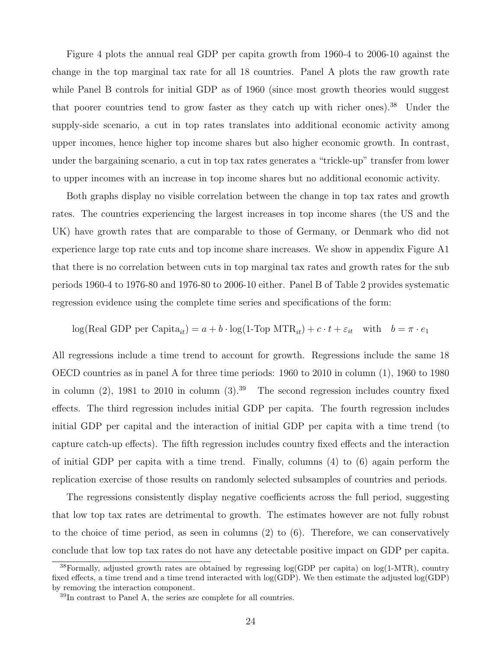Figure 4 plots the annual real GDP per capita growth from 1960-4 to 2006-10 against the change in the top marginal tax rate for all 18 countries. Panel A plots the raw growth rate while Panel B controls for initial GDP as of 1960 (since most growth theories would suggest that poorer countries tend to grow faster as they catch up with richer ones).<sup>38</sup> Under the supply-side scenario, a cut in top rates translates into additional economic activity among upper incomes, hence higher top income shares but also higher economic growth. In contrast, under the bargaining scenario, a cut in top tax rates generates a "trickle-up" transfer from lower to upper incomes with an increase in top income shares but no additional economic activity.

Both graphs display no visible correlation between the change in top tax rates and growth rates. The countries experiencing the largest increases in top income shares (the US and the UK) have growth rates that are comparable to those of Germany, or Denmark who did not experience large top rate cuts and top income share increases. We show in appendix Figure A1 that there is no correlation between cuts in top marginal tax rates and growth rates for the sub periods 1960-4 to 1976-80 and 1976-80 to 2006-10 either. Panel B of Table 2 provides systematic regression evidence using the complete time series and specifications of the form:

$$
\log(\text{Real GDP per Capita}_{it}) = a + b \cdot \log(1 - \text{Top MTR}_{it}) + c \cdot t + \varepsilon_{it} \quad \text{with} \quad b = \pi \cdot e_1
$$

All regressions include a time trend to account for growth. Regressions include the same 18 OECD countries as in panel A for three time periods: 1960 to 2010 in column (1), 1960 to 1980 in column (2), 1981 to 2010 in column  $(3).39$  The second regression includes country fixed effects. The third regression includes initial GDP per capita. The fourth regression includes initial GDP per capital and the interaction of initial GDP per capita with a time trend (to capture catch-up effects). The fifth regression includes country fixed effects and the interaction of initial GDP per capita with a time trend. Finally, columns (4) to (6) again perform the replication exercise of those results on randomly selected subsamples of countries and periods.

The regressions consistently display negative coefficients across the full period, suggesting that low top tax rates are detrimental to growth. The estimates however are not fully robust to the choice of time period, as seen in columns (2) to (6). Therefore, we can conservatively conclude that low top tax rates do not have any detectable positive impact on GDP per capita.

<sup>38</sup>Formally, adjusted growth rates are obtained by regressing log(GDP per capita) on log(1-MTR), country fixed effects, a time trend and a time trend interacted with log(GDP). We then estimate the adjusted log(GDP) by removing the interaction component.

<sup>39</sup>In contrast to Panel A, the series are complete for all countries.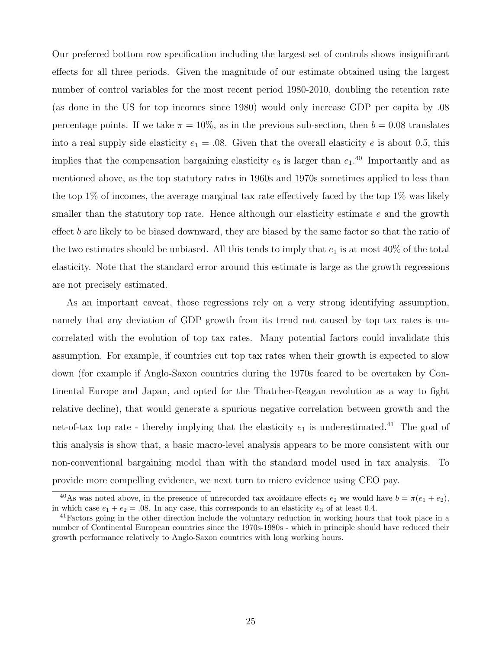Our preferred bottom row specification including the largest set of controls shows insignificant effects for all three periods. Given the magnitude of our estimate obtained using the largest number of control variables for the most recent period 1980-2010, doubling the retention rate (as done in the US for top incomes since 1980) would only increase GDP per capita by .08 percentage points. If we take  $\pi = 10\%$ , as in the previous sub-section, then  $b = 0.08$  translates into a real supply side elasticity  $e_1 = .08$ . Given that the overall elasticity e is about 0.5, this implies that the compensation bargaining elasticity  $e_3$  is larger than  $e_1$ .<sup>40</sup> Importantly and as mentioned above, as the top statutory rates in 1960s and 1970s sometimes applied to less than the top  $1\%$  of incomes, the average marginal tax rate effectively faced by the top  $1\%$  was likely smaller than the statutory top rate. Hence although our elasticity estimate  $e$  and the growth effect b are likely to be biased downward, they are biased by the same factor so that the ratio of the two estimates should be unbiased. All this tends to imply that  $e_1$  is at most 40% of the total elasticity. Note that the standard error around this estimate is large as the growth regressions are not precisely estimated.

As an important caveat, those regressions rely on a very strong identifying assumption, namely that any deviation of GDP growth from its trend not caused by top tax rates is uncorrelated with the evolution of top tax rates. Many potential factors could invalidate this assumption. For example, if countries cut top tax rates when their growth is expected to slow down (for example if Anglo-Saxon countries during the 1970s feared to be overtaken by Continental Europe and Japan, and opted for the Thatcher-Reagan revolution as a way to fight relative decline), that would generate a spurious negative correlation between growth and the net-of-tax top rate - thereby implying that the elasticity  $e_1$  is underestimated.<sup>41</sup> The goal of this analysis is show that, a basic macro-level analysis appears to be more consistent with our non-conventional bargaining model than with the standard model used in tax analysis. To provide more compelling evidence, we next turn to micro evidence using CEO pay.

<sup>&</sup>lt;sup>40</sup>As was noted above, in the presence of unrecorded tax avoidance effects  $e_2$  we would have  $b = \pi(e_1 + e_2)$ , in which case  $e_1 + e_2 = .08$ . In any case, this corresponds to an elasticity  $e_3$  of at least 0.4.

<sup>&</sup>lt;sup>41</sup>Factors going in the other direction include the voluntary reduction in working hours that took place in a number of Continental European countries since the 1970s-1980s - which in principle should have reduced their growth performance relatively to Anglo-Saxon countries with long working hours.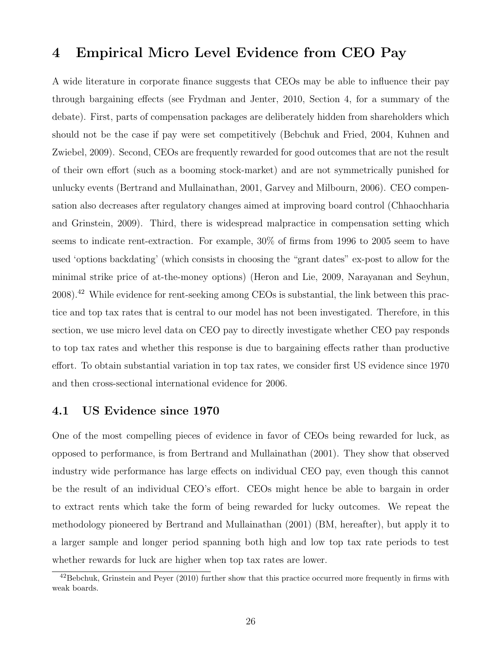# 4 Empirical Micro Level Evidence from CEO Pay

A wide literature in corporate finance suggests that CEOs may be able to influence their pay through bargaining effects (see Frydman and Jenter, 2010, Section 4, for a summary of the debate). First, parts of compensation packages are deliberately hidden from shareholders which should not be the case if pay were set competitively (Bebchuk and Fried, 2004, Kuhnen and Zwiebel, 2009). Second, CEOs are frequently rewarded for good outcomes that are not the result of their own effort (such as a booming stock-market) and are not symmetrically punished for unlucky events (Bertrand and Mullainathan, 2001, Garvey and Milbourn, 2006). CEO compensation also decreases after regulatory changes aimed at improving board control (Chhaochharia and Grinstein, 2009). Third, there is widespread malpractice in compensation setting which seems to indicate rent-extraction. For example, 30% of firms from 1996 to 2005 seem to have used 'options backdating' (which consists in choosing the "grant dates" ex-post to allow for the minimal strike price of at-the-money options) (Heron and Lie, 2009, Narayanan and Seyhun,  $2008$ <sup>42</sup> While evidence for rent-seeking among CEOs is substantial, the link between this practice and top tax rates that is central to our model has not been investigated. Therefore, in this section, we use micro level data on CEO pay to directly investigate whether CEO pay responds to top tax rates and whether this response is due to bargaining effects rather than productive effort. To obtain substantial variation in top tax rates, we consider first US evidence since 1970 and then cross-sectional international evidence for 2006.

### 4.1 US Evidence since 1970

One of the most compelling pieces of evidence in favor of CEOs being rewarded for luck, as opposed to performance, is from Bertrand and Mullainathan (2001). They show that observed industry wide performance has large effects on individual CEO pay, even though this cannot be the result of an individual CEO's effort. CEOs might hence be able to bargain in order to extract rents which take the form of being rewarded for lucky outcomes. We repeat the methodology pioneered by Bertrand and Mullainathan (2001) (BM, hereafter), but apply it to a larger sample and longer period spanning both high and low top tax rate periods to test whether rewards for luck are higher when top tax rates are lower.

<sup>&</sup>lt;sup>42</sup>Bebchuk, Grinstein and Peyer (2010) further show that this practice occurred more frequently in firms with weak boards.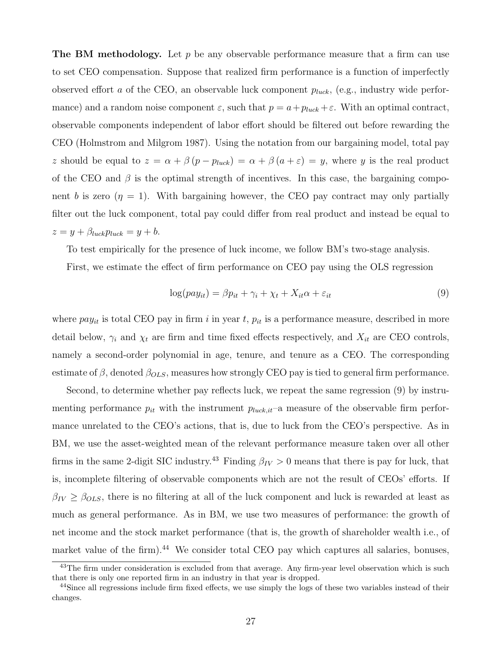**The BM methodology.** Let p be any observable performance measure that a firm can use to set CEO compensation. Suppose that realized firm performance is a function of imperfectly observed effort a of the CEO, an observable luck component  $p_{luck}$ , (e.g., industry wide performance) and a random noise component  $\varepsilon$ , such that  $p = a + p_{luck} + \varepsilon$ . With an optimal contract, observable components independent of labor effort should be filtered out before rewarding the CEO (Holmstrom and Milgrom 1987). Using the notation from our bargaining model, total pay z should be equal to  $z = \alpha + \beta (p - p_{luck}) = \alpha + \beta (a + \varepsilon) = y$ , where y is the real product of the CEO and  $\beta$  is the optimal strength of incentives. In this case, the bargaining component b is zero  $(\eta = 1)$ . With bargaining however, the CEO pay contract may only partially filter out the luck component, total pay could differ from real product and instead be equal to  $z = y + \beta_{luck} p_{luck} = y + b.$ 

To test empirically for the presence of luck income, we follow BM's two-stage analysis.

First, we estimate the effect of firm performance on CEO pay using the OLS regression

$$
\log(pay_{it}) = \beta p_{it} + \gamma_i + \chi_t + X_{it}\alpha + \varepsilon_{it} \tag{9}
$$

where  $pay_{it}$  is total CEO pay in firm i in year t,  $p_{it}$  is a performance measure, described in more detail below,  $\gamma_i$  and  $\chi_t$  are firm and time fixed effects respectively, and  $X_{it}$  are CEO controls, namely a second-order polynomial in age, tenure, and tenure as a CEO. The corresponding estimate of  $\beta$ , denoted  $\beta_{OLS}$ , measures how strongly CEO pay is tied to general firm performance.

Second, to determine whether pay reflects luck, we repeat the same regression (9) by instrumenting performance  $p_{it}$  with the instrument  $p_{luck,it}$ -a measure of the observable firm performance unrelated to the CEO's actions, that is, due to luck from the CEO's perspective. As in BM, we use the asset-weighted mean of the relevant performance measure taken over all other firms in the same 2-digit SIC industry.<sup>43</sup> Finding  $\beta_{IV} > 0$  means that there is pay for luck, that is, incomplete filtering of observable components which are not the result of CEOs' efforts. If  $\beta_{IV} \geq \beta_{OLS}$ , there is no filtering at all of the luck component and luck is rewarded at least as much as general performance. As in BM, we use two measures of performance: the growth of net income and the stock market performance (that is, the growth of shareholder wealth i.e., of market value of the firm).<sup>44</sup> We consider total CEO pay which captures all salaries, bonuses,

<sup>&</sup>lt;sup>43</sup>The firm under consideration is excluded from that average. Any firm-year level observation which is such that there is only one reported firm in an industry in that year is dropped.

<sup>&</sup>lt;sup>44</sup>Since all regressions include firm fixed effects, we use simply the logs of these two variables instead of their changes.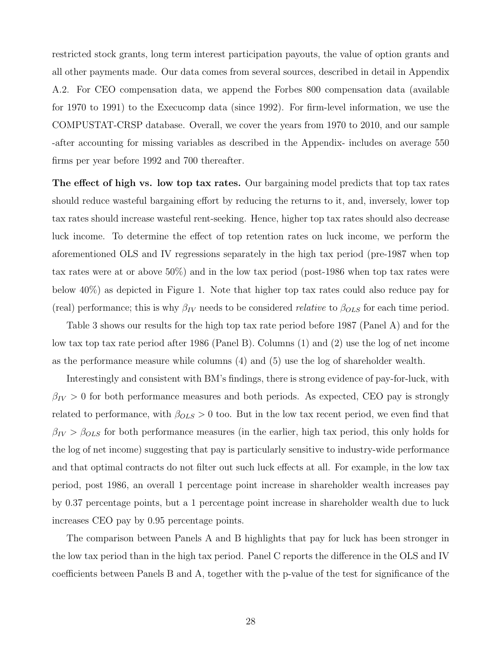restricted stock grants, long term interest participation payouts, the value of option grants and all other payments made. Our data comes from several sources, described in detail in Appendix A.2. For CEO compensation data, we append the Forbes 800 compensation data (available for 1970 to 1991) to the Execucomp data (since 1992). For firm-level information, we use the COMPUSTAT-CRSP database. Overall, we cover the years from 1970 to 2010, and our sample -after accounting for missing variables as described in the Appendix- includes on average 550 firms per year before 1992 and 700 thereafter.

The effect of high vs. low top tax rates. Our bargaining model predicts that top tax rates should reduce wasteful bargaining effort by reducing the returns to it, and, inversely, lower top tax rates should increase wasteful rent-seeking. Hence, higher top tax rates should also decrease luck income. To determine the effect of top retention rates on luck income, we perform the aforementioned OLS and IV regressions separately in the high tax period (pre-1987 when top tax rates were at or above 50%) and in the low tax period (post-1986 when top tax rates were below 40%) as depicted in Figure 1. Note that higher top tax rates could also reduce pay for (real) performance; this is why  $\beta_{IV}$  needs to be considered *relative* to  $\beta_{OLS}$  for each time period.

Table 3 shows our results for the high top tax rate period before 1987 (Panel A) and for the low tax top tax rate period after 1986 (Panel B). Columns (1) and (2) use the log of net income as the performance measure while columns (4) and (5) use the log of shareholder wealth.

Interestingly and consistent with BM's findings, there is strong evidence of pay-for-luck, with  $\beta_{IV} > 0$  for both performance measures and both periods. As expected, CEO pay is strongly related to performance, with  $\beta_{OLS} > 0$  too. But in the low tax recent period, we even find that  $\beta_{IV} > \beta_{OLS}$  for both performance measures (in the earlier, high tax period, this only holds for the log of net income) suggesting that pay is particularly sensitive to industry-wide performance and that optimal contracts do not filter out such luck effects at all. For example, in the low tax period, post 1986, an overall 1 percentage point increase in shareholder wealth increases pay by 0.37 percentage points, but a 1 percentage point increase in shareholder wealth due to luck increases CEO pay by 0.95 percentage points.

The comparison between Panels A and B highlights that pay for luck has been stronger in the low tax period than in the high tax period. Panel C reports the difference in the OLS and IV coefficients between Panels B and A, together with the p-value of the test for significance of the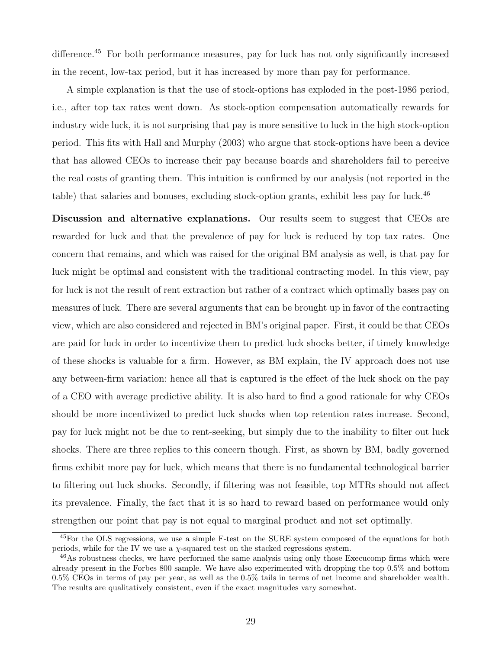difference.<sup>45</sup> For both performance measures, pay for luck has not only significantly increased in the recent, low-tax period, but it has increased by more than pay for performance.

A simple explanation is that the use of stock-options has exploded in the post-1986 period, i.e., after top tax rates went down. As stock-option compensation automatically rewards for industry wide luck, it is not surprising that pay is more sensitive to luck in the high stock-option period. This fits with Hall and Murphy (2003) who argue that stock-options have been a device that has allowed CEOs to increase their pay because boards and shareholders fail to perceive the real costs of granting them. This intuition is confirmed by our analysis (not reported in the table) that salaries and bonuses, excluding stock-option grants, exhibit less pay for luck.<sup>46</sup>

Discussion and alternative explanations. Our results seem to suggest that CEOs are rewarded for luck and that the prevalence of pay for luck is reduced by top tax rates. One concern that remains, and which was raised for the original BM analysis as well, is that pay for luck might be optimal and consistent with the traditional contracting model. In this view, pay for luck is not the result of rent extraction but rather of a contract which optimally bases pay on measures of luck. There are several arguments that can be brought up in favor of the contracting view, which are also considered and rejected in BM's original paper. First, it could be that CEOs are paid for luck in order to incentivize them to predict luck shocks better, if timely knowledge of these shocks is valuable for a firm. However, as BM explain, the IV approach does not use any between-firm variation: hence all that is captured is the effect of the luck shock on the pay of a CEO with average predictive ability. It is also hard to find a good rationale for why CEOs should be more incentivized to predict luck shocks when top retention rates increase. Second, pay for luck might not be due to rent-seeking, but simply due to the inability to filter out luck shocks. There are three replies to this concern though. First, as shown by BM, badly governed firms exhibit more pay for luck, which means that there is no fundamental technological barrier to filtering out luck shocks. Secondly, if filtering was not feasible, top MTRs should not affect its prevalence. Finally, the fact that it is so hard to reward based on performance would only strengthen our point that pay is not equal to marginal product and not set optimally.

<sup>45</sup>For the OLS regressions, we use a simple F-test on the SURE system composed of the equations for both periods, while for the IV we use a  $\chi$ -squared test on the stacked regressions system.

<sup>46</sup>As robustness checks, we have performed the same analysis using only those Execucomp firms which were already present in the Forbes 800 sample. We have also experimented with dropping the top 0.5% and bottom 0.5% CEOs in terms of pay per year, as well as the 0.5% tails in terms of net income and shareholder wealth. The results are qualitatively consistent, even if the exact magnitudes vary somewhat.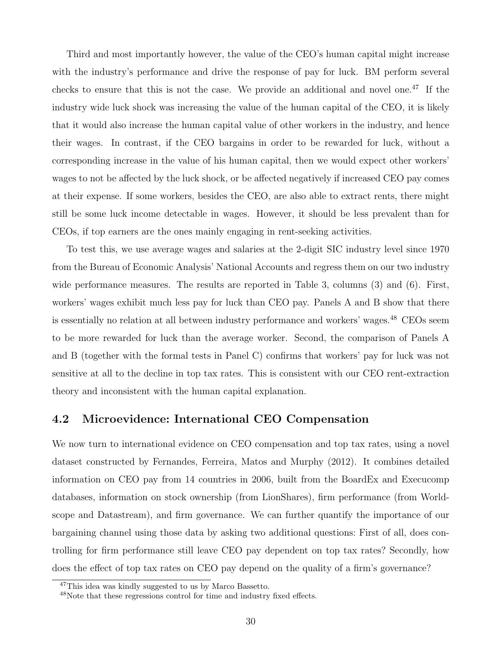Third and most importantly however, the value of the CEO's human capital might increase with the industry's performance and drive the response of pay for luck. BM perform several checks to ensure that this is not the case. We provide an additional and novel one.<sup>47</sup> If the industry wide luck shock was increasing the value of the human capital of the CEO, it is likely that it would also increase the human capital value of other workers in the industry, and hence their wages. In contrast, if the CEO bargains in order to be rewarded for luck, without a corresponding increase in the value of his human capital, then we would expect other workers' wages to not be affected by the luck shock, or be affected negatively if increased CEO pay comes at their expense. If some workers, besides the CEO, are also able to extract rents, there might still be some luck income detectable in wages. However, it should be less prevalent than for CEOs, if top earners are the ones mainly engaging in rent-seeking activities.

To test this, we use average wages and salaries at the 2-digit SIC industry level since 1970 from the Bureau of Economic Analysis' National Accounts and regress them on our two industry wide performance measures. The results are reported in Table 3, columns (3) and (6). First, workers' wages exhibit much less pay for luck than CEO pay. Panels A and B show that there is essentially no relation at all between industry performance and workers' wages.<sup>48</sup> CEOs seem to be more rewarded for luck than the average worker. Second, the comparison of Panels A and B (together with the formal tests in Panel C) confirms that workers' pay for luck was not sensitive at all to the decline in top tax rates. This is consistent with our CEO rent-extraction theory and inconsistent with the human capital explanation.

### 4.2 Microevidence: International CEO Compensation

We now turn to international evidence on CEO compensation and top tax rates, using a novel dataset constructed by Fernandes, Ferreira, Matos and Murphy (2012). It combines detailed information on CEO pay from 14 countries in 2006, built from the BoardEx and Execucomp databases, information on stock ownership (from LionShares), firm performance (from Worldscope and Datastream), and firm governance. We can further quantify the importance of our bargaining channel using those data by asking two additional questions: First of all, does controlling for firm performance still leave CEO pay dependent on top tax rates? Secondly, how does the effect of top tax rates on CEO pay depend on the quality of a firm's governance?

<sup>47</sup>This idea was kindly suggested to us by Marco Bassetto.

<sup>48</sup>Note that these regressions control for time and industry fixed effects.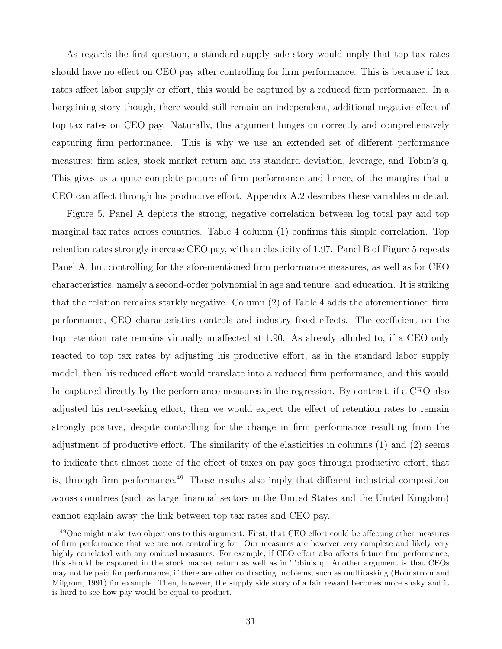As regards the first question, a standard supply side story would imply that top tax rates should have no effect on CEO pay after controlling for firm performance. This is because if tax rates affect labor supply or effort, this would be captured by a reduced firm performance. In a bargaining story though, there would still remain an independent, additional negative effect of top tax rates on CEO pay. Naturally, this argument hinges on correctly and comprehensively capturing firm performance. This is why we use an extended set of different performance measures: firm sales, stock market return and its standard deviation, leverage, and Tobin's q. This gives us a quite complete picture of firm performance and hence, of the margins that a CEO can affect through his productive effort. Appendix A.2 describes these variables in detail.

Figure 5, Panel A depicts the strong, negative correlation between log total pay and top marginal tax rates across countries. Table 4 column (1) confirms this simple correlation. Top retention rates strongly increase CEO pay, with an elasticity of 1.97. Panel B of Figure 5 repeats Panel A, but controlling for the aforementioned firm performance measures, as well as for CEO characteristics, namely a second-order polynomial in age and tenure, and education. It is striking that the relation remains starkly negative. Column (2) of Table 4 adds the aforementioned firm performance, CEO characteristics controls and industry fixed effects. The coefficient on the top retention rate remains virtually unaffected at 1.90. As already alluded to, if a CEO only reacted to top tax rates by adjusting his productive effort, as in the standard labor supply model, then his reduced effort would translate into a reduced firm performance, and this would be captured directly by the performance measures in the regression. By contrast, if a CEO also adjusted his rent-seeking effort, then we would expect the effect of retention rates to remain strongly positive, despite controlling for the change in firm performance resulting from the adjustment of productive effort. The similarity of the elasticities in columns (1) and (2) seems to indicate that almost none of the effect of taxes on pay goes through productive effort, that is, through firm performance.<sup>49</sup> Those results also imply that different industrial composition across countries (such as large financial sectors in the United States and the United Kingdom) cannot explain away the link between top tax rates and CEO pay.

<sup>49</sup>One might make two objections to this argument. First, that CEO effort could be affecting other measures of firm performance that we are not controlling for. Our measures are however very complete and likely very highly correlated with any omitted measures. For example, if CEO effort also affects future firm performance, this should be captured in the stock market return as well as in Tobin's q. Another argument is that CEOs may not be paid for performance, if there are other contracting problems, such as multitasking (Holmstrom and Milgrom, 1991) for example. Then, however, the supply side story of a fair reward becomes more shaky and it is hard to see how pay would be equal to product.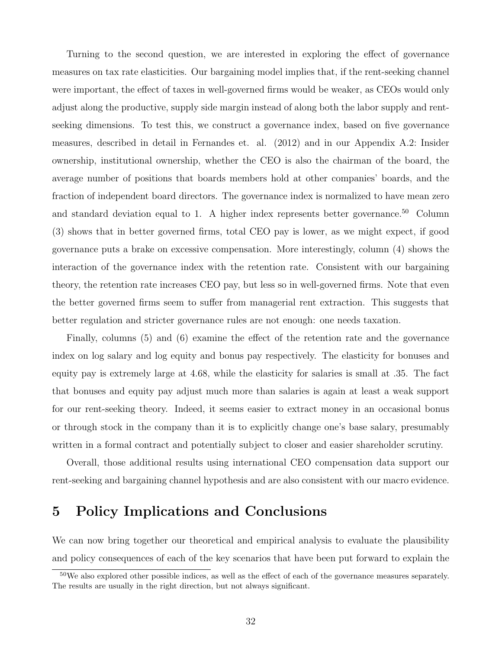Turning to the second question, we are interested in exploring the effect of governance measures on tax rate elasticities. Our bargaining model implies that, if the rent-seeking channel were important, the effect of taxes in well-governed firms would be weaker, as CEOs would only adjust along the productive, supply side margin instead of along both the labor supply and rentseeking dimensions. To test this, we construct a governance index, based on five governance measures, described in detail in Fernandes et. al. (2012) and in our Appendix A.2: Insider ownership, institutional ownership, whether the CEO is also the chairman of the board, the average number of positions that boards members hold at other companies' boards, and the fraction of independent board directors. The governance index is normalized to have mean zero and standard deviation equal to 1. A higher index represents better governance.<sup>50</sup> Column (3) shows that in better governed firms, total CEO pay is lower, as we might expect, if good governance puts a brake on excessive compensation. More interestingly, column (4) shows the interaction of the governance index with the retention rate. Consistent with our bargaining theory, the retention rate increases CEO pay, but less so in well-governed firms. Note that even the better governed firms seem to suffer from managerial rent extraction. This suggests that better regulation and stricter governance rules are not enough: one needs taxation.

Finally, columns (5) and (6) examine the effect of the retention rate and the governance index on log salary and log equity and bonus pay respectively. The elasticity for bonuses and equity pay is extremely large at 4.68, while the elasticity for salaries is small at .35. The fact that bonuses and equity pay adjust much more than salaries is again at least a weak support for our rent-seeking theory. Indeed, it seems easier to extract money in an occasional bonus or through stock in the company than it is to explicitly change one's base salary, presumably written in a formal contract and potentially subject to closer and easier shareholder scrutiny.

Overall, those additional results using international CEO compensation data support our rent-seeking and bargaining channel hypothesis and are also consistent with our macro evidence.

# 5 Policy Implications and Conclusions

We can now bring together our theoretical and empirical analysis to evaluate the plausibility and policy consequences of each of the key scenarios that have been put forward to explain the

 $50$ We also explored other possible indices, as well as the effect of each of the governance measures separately. The results are usually in the right direction, but not always significant.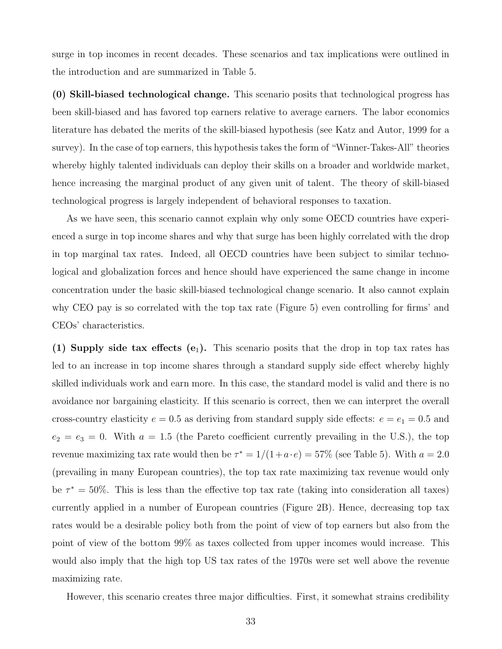surge in top incomes in recent decades. These scenarios and tax implications were outlined in the introduction and are summarized in Table 5.

(0) Skill-biased technological change. This scenario posits that technological progress has been skill-biased and has favored top earners relative to average earners. The labor economics literature has debated the merits of the skill-biased hypothesis (see Katz and Autor, 1999 for a survey). In the case of top earners, this hypothesis takes the form of "Winner-Takes-All" theories whereby highly talented individuals can deploy their skills on a broader and worldwide market, hence increasing the marginal product of any given unit of talent. The theory of skill-biased technological progress is largely independent of behavioral responses to taxation.

As we have seen, this scenario cannot explain why only some OECD countries have experienced a surge in top income shares and why that surge has been highly correlated with the drop in top marginal tax rates. Indeed, all OECD countries have been subject to similar technological and globalization forces and hence should have experienced the same change in income concentration under the basic skill-biased technological change scenario. It also cannot explain why CEO pay is so correlated with the top tax rate (Figure 5) even controlling for firms' and CEOs' characteristics.

(1) Supply side tax effects  $(e_1)$ . This scenario posits that the drop in top tax rates has led to an increase in top income shares through a standard supply side effect whereby highly skilled individuals work and earn more. In this case, the standard model is valid and there is no avoidance nor bargaining elasticity. If this scenario is correct, then we can interpret the overall cross-country elasticity  $e = 0.5$  as deriving from standard supply side effects:  $e = e_1 = 0.5$  and  $e_2 = e_3 = 0$ . With  $a = 1.5$  (the Pareto coefficient currently prevailing in the U.S.), the top revenue maximizing tax rate would then be  $\tau^* = 1/(1 + a \cdot e) = 57\%$  (see Table 5). With  $a = 2.0$ (prevailing in many European countries), the top tax rate maximizing tax revenue would only be  $\tau^* = 50\%$ . This is less than the effective top tax rate (taking into consideration all taxes) currently applied in a number of European countries (Figure 2B). Hence, decreasing top tax rates would be a desirable policy both from the point of view of top earners but also from the point of view of the bottom 99% as taxes collected from upper incomes would increase. This would also imply that the high top US tax rates of the 1970s were set well above the revenue maximizing rate.

However, this scenario creates three major difficulties. First, it somewhat strains credibility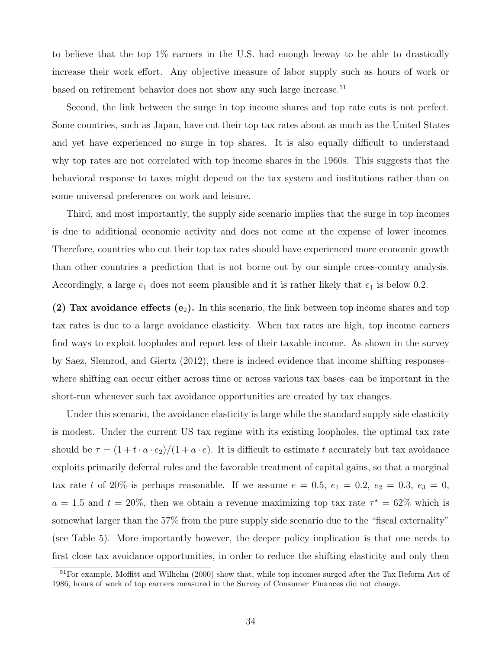to believe that the top 1% earners in the U.S. had enough leeway to be able to drastically increase their work effort. Any objective measure of labor supply such as hours of work or based on retirement behavior does not show any such large increase.<sup>51</sup>

Second, the link between the surge in top income shares and top rate cuts is not perfect. Some countries, such as Japan, have cut their top tax rates about as much as the United States and yet have experienced no surge in top shares. It is also equally difficult to understand why top rates are not correlated with top income shares in the 1960s. This suggests that the behavioral response to taxes might depend on the tax system and institutions rather than on some universal preferences on work and leisure.

Third, and most importantly, the supply side scenario implies that the surge in top incomes is due to additional economic activity and does not come at the expense of lower incomes. Therefore, countries who cut their top tax rates should have experienced more economic growth than other countries a prediction that is not borne out by our simple cross-country analysis. Accordingly, a large  $e_1$  does not seem plausible and it is rather likely that  $e_1$  is below 0.2.

(2) Tax avoidance effects  $(e_2)$ . In this scenario, the link between top income shares and top tax rates is due to a large avoidance elasticity. When tax rates are high, top income earners find ways to exploit loopholes and report less of their taxable income. As shown in the survey by Saez, Slemrod, and Giertz (2012), there is indeed evidence that income shifting responses– where shifting can occur either across time or across various tax bases–can be important in the short-run whenever such tax avoidance opportunities are created by tax changes.

Under this scenario, the avoidance elasticity is large while the standard supply side elasticity is modest. Under the current US tax regime with its existing loopholes, the optimal tax rate should be  $\tau = (1 + t \cdot a \cdot e_2)/(1 + a \cdot e)$ . It is difficult to estimate t accurately but tax avoidance exploits primarily deferral rules and the favorable treatment of capital gains, so that a marginal tax rate t of 20% is perhaps reasonable. If we assume  $e = 0.5, e_1 = 0.2, e_2 = 0.3, e_3 = 0$ ,  $a = 1.5$  and  $t = 20\%$ , then we obtain a revenue maximizing top tax rate  $\tau^* = 62\%$  which is somewhat larger than the 57% from the pure supply side scenario due to the "fiscal externality" (see Table 5). More importantly however, the deeper policy implication is that one needs to first close tax avoidance opportunities, in order to reduce the shifting elasticity and only then

<sup>51</sup>For example, Moffitt and Wilhelm (2000) show that, while top incomes surged after the Tax Reform Act of 1986, hours of work of top earners measured in the Survey of Consumer Finances did not change.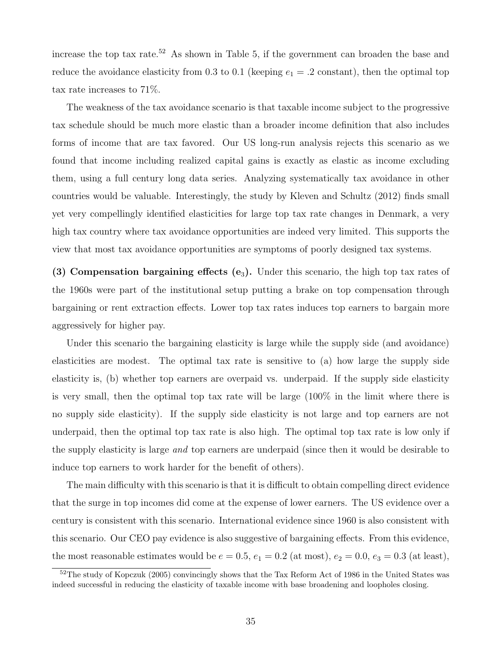increase the top tax rate.<sup>52</sup> As shown in Table 5, if the government can broaden the base and reduce the avoidance elasticity from 0.3 to 0.1 (keeping  $e_1 = .2$  constant), then the optimal top tax rate increases to 71%.

The weakness of the tax avoidance scenario is that taxable income subject to the progressive tax schedule should be much more elastic than a broader income definition that also includes forms of income that are tax favored. Our US long-run analysis rejects this scenario as we found that income including realized capital gains is exactly as elastic as income excluding them, using a full century long data series. Analyzing systematically tax avoidance in other countries would be valuable. Interestingly, the study by Kleven and Schultz (2012) finds small yet very compellingly identified elasticities for large top tax rate changes in Denmark, a very high tax country where tax avoidance opportunities are indeed very limited. This supports the view that most tax avoidance opportunities are symptoms of poorly designed tax systems.

(3) Compensation bargaining effects  $(e_3)$ . Under this scenario, the high top tax rates of the 1960s were part of the institutional setup putting a brake on top compensation through bargaining or rent extraction effects. Lower top tax rates induces top earners to bargain more aggressively for higher pay.

Under this scenario the bargaining elasticity is large while the supply side (and avoidance) elasticities are modest. The optimal tax rate is sensitive to (a) how large the supply side elasticity is, (b) whether top earners are overpaid vs. underpaid. If the supply side elasticity is very small, then the optimal top tax rate will be large (100% in the limit where there is no supply side elasticity). If the supply side elasticity is not large and top earners are not underpaid, then the optimal top tax rate is also high. The optimal top tax rate is low only if the supply elasticity is large *and* top earners are underpaid (since then it would be desirable to induce top earners to work harder for the benefit of others).

The main difficulty with this scenario is that it is difficult to obtain compelling direct evidence that the surge in top incomes did come at the expense of lower earners. The US evidence over a century is consistent with this scenario. International evidence since 1960 is also consistent with this scenario. Our CEO pay evidence is also suggestive of bargaining effects. From this evidence, the most reasonable estimates would be  $e = 0.5$ ,  $e_1 = 0.2$  (at most),  $e_2 = 0.0$ ,  $e_3 = 0.3$  (at least),

 $52$ The study of Kopczuk (2005) convincingly shows that the Tax Reform Act of 1986 in the United States was indeed successful in reducing the elasticity of taxable income with base broadening and loopholes closing.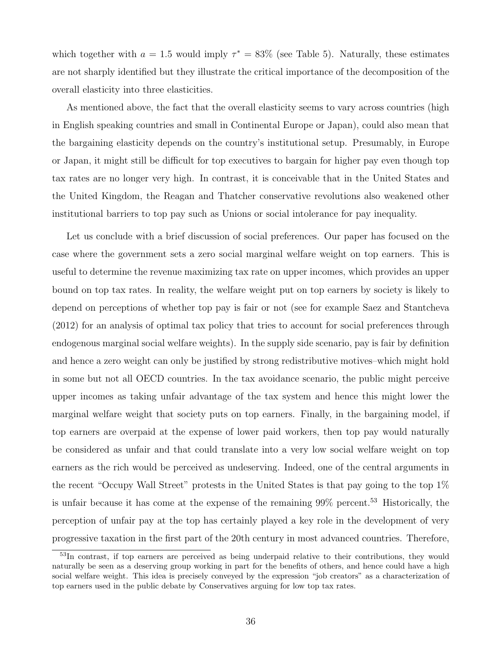which together with  $a = 1.5$  would imply  $\tau^* = 83\%$  (see Table 5). Naturally, these estimates are not sharply identified but they illustrate the critical importance of the decomposition of the overall elasticity into three elasticities.

As mentioned above, the fact that the overall elasticity seems to vary across countries (high in English speaking countries and small in Continental Europe or Japan), could also mean that the bargaining elasticity depends on the country's institutional setup. Presumably, in Europe or Japan, it might still be difficult for top executives to bargain for higher pay even though top tax rates are no longer very high. In contrast, it is conceivable that in the United States and the United Kingdom, the Reagan and Thatcher conservative revolutions also weakened other institutional barriers to top pay such as Unions or social intolerance for pay inequality.

Let us conclude with a brief discussion of social preferences. Our paper has focused on the case where the government sets a zero social marginal welfare weight on top earners. This is useful to determine the revenue maximizing tax rate on upper incomes, which provides an upper bound on top tax rates. In reality, the welfare weight put on top earners by society is likely to depend on perceptions of whether top pay is fair or not (see for example Saez and Stantcheva (2012) for an analysis of optimal tax policy that tries to account for social preferences through endogenous marginal social welfare weights). In the supply side scenario, pay is fair by definition and hence a zero weight can only be justified by strong redistributive motives–which might hold in some but not all OECD countries. In the tax avoidance scenario, the public might perceive upper incomes as taking unfair advantage of the tax system and hence this might lower the marginal welfare weight that society puts on top earners. Finally, in the bargaining model, if top earners are overpaid at the expense of lower paid workers, then top pay would naturally be considered as unfair and that could translate into a very low social welfare weight on top earners as the rich would be perceived as undeserving. Indeed, one of the central arguments in the recent "Occupy Wall Street" protests in the United States is that pay going to the top 1% is unfair because it has come at the expense of the remaining  $99\%$  percent.<sup>53</sup> Historically, the perception of unfair pay at the top has certainly played a key role in the development of very progressive taxation in the first part of the 20th century in most advanced countries. Therefore,

<sup>53</sup>In contrast, if top earners are perceived as being underpaid relative to their contributions, they would naturally be seen as a deserving group working in part for the benefits of others, and hence could have a high social welfare weight. This idea is precisely conveyed by the expression "job creators" as a characterization of top earners used in the public debate by Conservatives arguing for low top tax rates.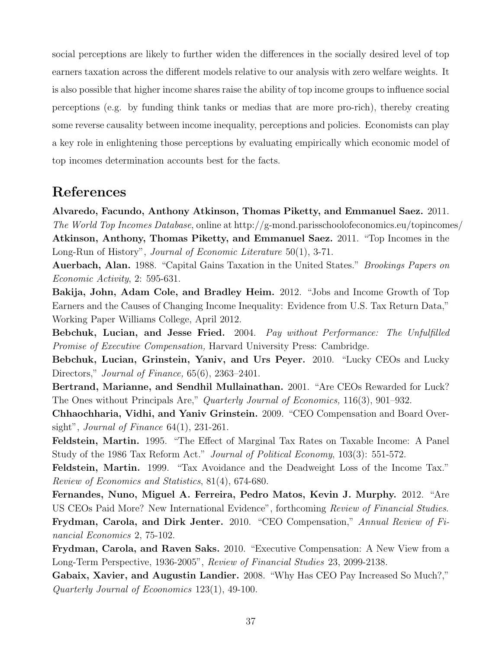social perceptions are likely to further widen the differences in the socially desired level of top earners taxation across the different models relative to our analysis with zero welfare weights. It is also possible that higher income shares raise the ability of top income groups to influence social perceptions (e.g. by funding think tanks or medias that are more pro-rich), thereby creating some reverse causality between income inequality, perceptions and policies. Economists can play a key role in enlightening those perceptions by evaluating empirically which economic model of top incomes determination accounts best for the facts.

# References

Alvaredo, Facundo, Anthony Atkinson, Thomas Piketty, and Emmanuel Saez. 2011. The World Top Incomes Database, online at http://g-mond.parisschoolofeconomics.eu/topincomes/ Atkinson, Anthony, Thomas Piketty, and Emmanuel Saez. 2011. "Top Incomes in the Long-Run of History", Journal of Economic Literature 50(1), 3-71.

Auerbach, Alan. 1988. "Capital Gains Taxation in the United States." Brookings Papers on Economic Activity, 2: 595-631.

Bakija, John, Adam Cole, and Bradley Heim. 2012. "Jobs and Income Growth of Top Earners and the Causes of Changing Income Inequality: Evidence from U.S. Tax Return Data," Working Paper Williams College, April 2012.

Bebchuk, Lucian, and Jesse Fried. 2004. Pay without Performance: The Unfulfilled Promise of Executive Compensation, Harvard University Press: Cambridge.

Bebchuk, Lucian, Grinstein, Yaniv, and Urs Peyer. 2010. "Lucky CEOs and Lucky Directors," *Journal of Finance*, 65(6), 2363–2401.

Bertrand, Marianne, and Sendhil Mullainathan. 2001. "Are CEOs Rewarded for Luck? The Ones without Principals Are," Quarterly Journal of Economics, 116(3), 901–932.

Chhaochharia, Vidhi, and Yaniv Grinstein. 2009. "CEO Compensation and Board Oversight", Journal of Finance  $64(1)$ , 231-261.

Feldstein, Martin. 1995. "The Effect of Marginal Tax Rates on Taxable Income: A Panel Study of the 1986 Tax Reform Act." Journal of Political Economy, 103(3): 551-572.

Feldstein, Martin. 1999. "Tax Avoidance and the Deadweight Loss of the Income Tax." Review of Economics and Statistics, 81(4), 674-680.

Fernandes, Nuno, Miguel A. Ferreira, Pedro Matos, Kevin J. Murphy. 2012. "Are US CEOs Paid More? New International Evidence", forthcoming Review of Financial Studies. Frydman, Carola, and Dirk Jenter. 2010. "CEO Compensation," Annual Review of Financial Economics 2, 75-102.

Frydman, Carola, and Raven Saks. 2010. "Executive Compensation: A New View from a Long-Term Perspective, 1936-2005", Review of Financial Studies 23, 2099-2138.

Gabaix, Xavier, and Augustin Landier. 2008. "Why Has CEO Pay Increased So Much?," Quarterly Journal of Ecoonomics 123(1), 49-100.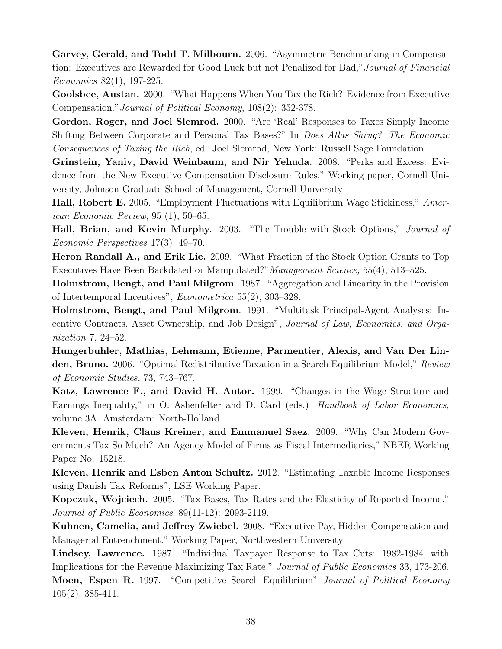Garvey, Gerald, and Todd T. Milbourn. 2006. "Asymmetric Benchmarking in Compensation: Executives are Rewarded for Good Luck but not Penalized for Bad,"Journal of Financial Economics 82(1), 197-225.

Goolsbee, Austan. 2000. "What Happens When You Tax the Rich? Evidence from Executive Compensation."Journal of Political Economy, 108(2): 352-378.

Gordon, Roger, and Joel Slemrod. 2000. "Are 'Real' Responses to Taxes Simply Income Shifting Between Corporate and Personal Tax Bases?" In Does Atlas Shrug? The Economic Consequences of Taxing the Rich, ed. Joel Slemrod, New York: Russell Sage Foundation.

Grinstein, Yaniv, David Weinbaum, and Nir Yehuda. 2008. "Perks and Excess: Evidence from the New Executive Compensation Disclosure Rules." Working paper, Cornell University, Johnson Graduate School of Management, Cornell University

Hall, Robert E. 2005. "Employment Fluctuations with Equilibrium Wage Stickiness," American Economic Review, 95 (1), 50–65.

Hall, Brian, and Kevin Murphy. 2003. "The Trouble with Stock Options," Journal of Economic Perspectives 17(3), 49–70.

Heron Randall A., and Erik Lie. 2009. "What Fraction of the Stock Option Grants to Top Executives Have Been Backdated or Manipulated?"Management Science, 55(4), 513–525.

Holmstrom, Bengt, and Paul Milgrom. 1987. "Aggregation and Linearity in the Provision of Intertemporal Incentives", Econometrica 55(2), 303–328.

Holmstrom, Bengt, and Paul Milgrom. 1991. "Multitask Principal-Agent Analyses: Incentive Contracts, Asset Ownership, and Job Design", Journal of Law, Economics, and Organization 7, 24–52.

Hungerbuhler, Mathias, Lehmann, Etienne, Parmentier, Alexis, and Van Der Linden, Bruno. 2006. "Optimal Redistributive Taxation in a Search Equilibrium Model," Review of Economic Studies, 73, 743–767.

Katz, Lawrence F., and David H. Autor. 1999. "Changes in the Wage Structure and Earnings Inequality," in O. Ashenfelter and D. Card (eds.) Handbook of Labor Economics, volume 3A. Amsterdam: North-Holland.

Kleven, Henrik, Claus Kreiner, and Emmanuel Saez. 2009. "Why Can Modern Governments Tax So Much? An Agency Model of Firms as Fiscal Intermediaries," NBER Working Paper No. 15218.

Kleven, Henrik and Esben Anton Schultz. 2012. "Estimating Taxable Income Responses using Danish Tax Reforms", LSE Working Paper.

Kopczuk, Wojciech. 2005. "Tax Bases, Tax Rates and the Elasticity of Reported Income." Journal of Public Economics, 89(11-12): 2093-2119.

Kuhnen, Camelia, and Jeffrey Zwiebel. 2008. "Executive Pay, Hidden Compensation and Managerial Entrenchment." Working Paper, Northwestern University

Lindsey, Lawrence. 1987. "Individual Taxpayer Response to Tax Cuts: 1982-1984, with Implications for the Revenue Maximizing Tax Rate," Journal of Public Economics 33, 173-206. Moen, Espen R. 1997. "Competitive Search Equilibrium" Journal of Political Economy 105(2), 385-411.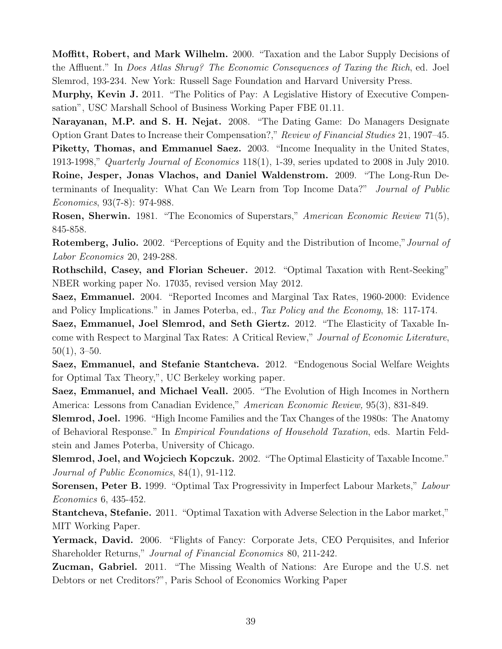Moffitt, Robert, and Mark Wilhelm. 2000. "Taxation and the Labor Supply Decisions of the Affluent." In Does Atlas Shrug? The Economic Consequences of Taxing the Rich, ed. Joel Slemrod, 193-234. New York: Russell Sage Foundation and Harvard University Press.

Murphy, Kevin J. 2011. "The Politics of Pay: A Legislative History of Executive Compensation", USC Marshall School of Business Working Paper FBE 01.11.

Narayanan, M.P. and S. H. Nejat. 2008. "The Dating Game: Do Managers Designate Option Grant Dates to Increase their Compensation?," Review of Financial Studies 21, 1907–45. Piketty, Thomas, and Emmanuel Saez. 2003. "Income Inequality in the United States, 1913-1998," Quarterly Journal of Economics 118(1), 1-39, series updated to 2008 in July 2010.

Roine, Jesper, Jonas Vlachos, and Daniel Waldenstrom. 2009. "The Long-Run Determinants of Inequality: What Can We Learn from Top Income Data?" Journal of Public Economics, 93(7-8): 974-988.

Rosen, Sherwin. 1981. "The Economics of Superstars," American Economic Review 71(5), 845-858.

Rotemberg, Julio. 2002. "Perceptions of Equity and the Distribution of Income,"Journal of Labor Economics 20, 249-288.

Rothschild, Casey, and Florian Scheuer. 2012. "Optimal Taxation with Rent-Seeking" NBER working paper No. 17035, revised version May 2012.

Saez, Emmanuel. 2004. "Reported Incomes and Marginal Tax Rates, 1960-2000: Evidence and Policy Implications." in James Poterba, ed., Tax Policy and the Economy, 18: 117-174.

Saez, Emmanuel, Joel Slemrod, and Seth Giertz. 2012. "The Elasticity of Taxable Income with Respect to Marginal Tax Rates: A Critical Review," Journal of Economic Literature,  $50(1), 3-50.$ 

Saez, Emmanuel, and Stefanie Stantcheva. 2012. "Endogenous Social Welfare Weights for Optimal Tax Theory,", UC Berkeley working paper.

Saez, Emmanuel, and Michael Veall. 2005. "The Evolution of High Incomes in Northern America: Lessons from Canadian Evidence," American Economic Review, 95(3), 831-849.

Slemrod, Joel. 1996. "High Income Families and the Tax Changes of the 1980s: The Anatomy of Behavioral Response." In Empirical Foundations of Household Taxation, eds. Martin Feldstein and James Poterba, University of Chicago.

Slemrod, Joel, and Wojciech Kopczuk. 2002. "The Optimal Elasticity of Taxable Income." Journal of Public Economics, 84(1), 91-112.

Sorensen, Peter B. 1999. "Optimal Tax Progressivity in Imperfect Labour Markets," Labour Economics 6, 435-452.

Stantcheva, Stefanie. 2011. "Optimal Taxation with Adverse Selection in the Labor market," MIT Working Paper.

Yermack, David. 2006. "Flights of Fancy: Corporate Jets, CEO Perquisites, and Inferior Shareholder Returns," Journal of Financial Economics 80, 211-242.

Zucman, Gabriel. 2011. "The Missing Wealth of Nations: Are Europe and the U.S. net Debtors or net Creditors?", Paris School of Economics Working Paper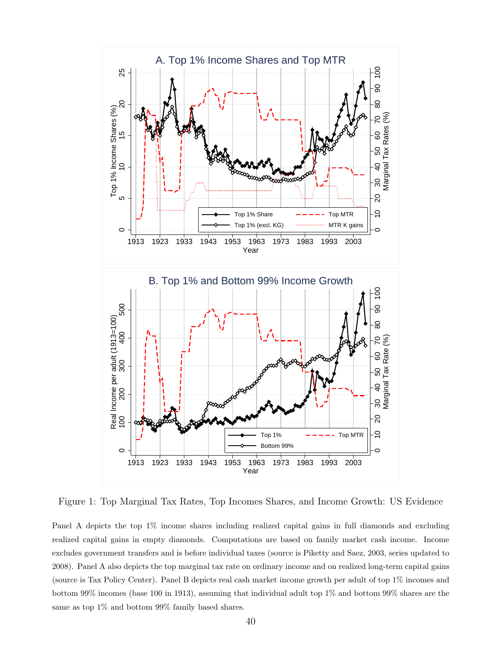

Figure 1: Top Marginal Tax Rates, Top Incomes Shares, and Income Growth: US Evidence

Panel A depicts the top 1% income shares including realized capital gains in full diamonds and excluding realized capital gains in empty diamonds. Computations are based on family market cash income. Income excludes government transfers and is before individual taxes (source is Piketty and Saez, 2003, series updated to 2008). Panel A also depicts the top marginal tax rate on ordinary income and on realized long-term capital gains (source is Tax Policy Center). Panel B depicts real cash market income growth per adult of top 1% incomes and bottom 99% incomes (base 100 in 1913), assuming that individual adult top 1% and bottom 99% shares are the same as top 1% and bottom 99% family based shares.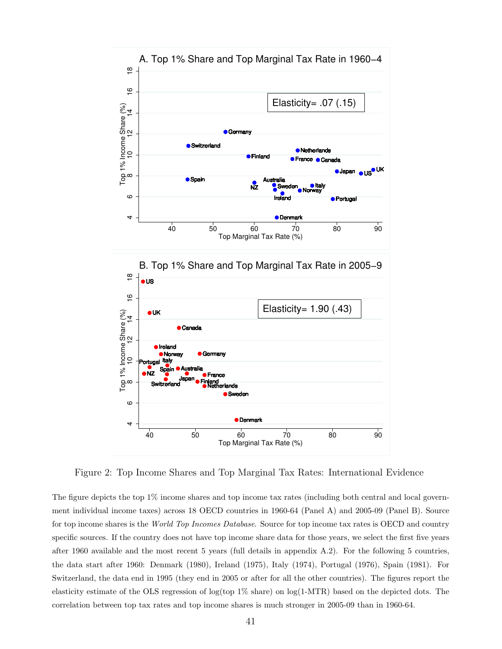

Figure 2: Top Income Shares and Top Marginal Tax Rates: International Evidence

The figure depicts the top 1% income shares and top income tax rates (including both central and local government individual income taxes) across 18 OECD countries in 1960-64 (Panel A) and 2005-09 (Panel B). Source for top income shares is the World Top Incomes Database. Source for top income tax rates is OECD and country specific sources. If the country does not have top income share data for those years, we select the first five years after 1960 available and the most recent 5 years (full details in appendix A.2). For the following 5 countries, the data start after 1960: Denmark (1980), Ireland (1975), Italy (1974), Portugal (1976), Spain (1981). For Switzerland, the data end in 1995 (they end in 2005 or after for all the other countries). The figures report the elasticity estimate of the OLS regression of log(top 1% share) on log(1-MTR) based on the depicted dots. The correlation between top tax rates and top income shares is much stronger in 2005-09 than in 1960-64.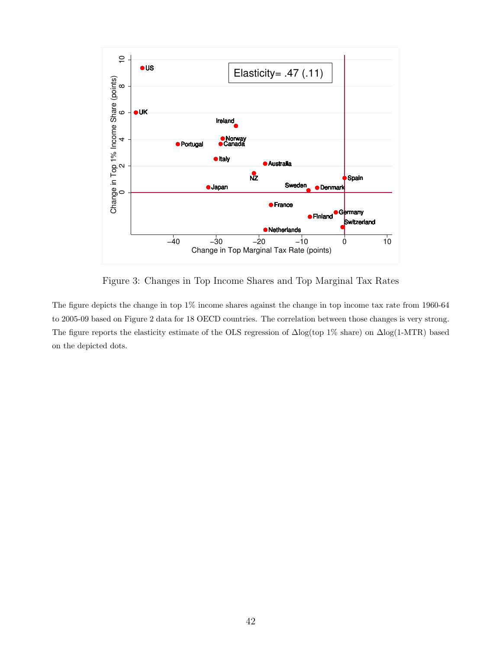

Figure 3: Changes in Top Income Shares and Top Marginal Tax Rates

The figure depicts the change in top 1% income shares against the change in top income tax rate from 1960-64 to 2005-09 based on Figure 2 data for 18 OECD countries. The correlation between those changes is very strong. The figure reports the elasticity estimate of the OLS regression of ∆log(top 1% share) on ∆log(1-MTR) based on the depicted dots.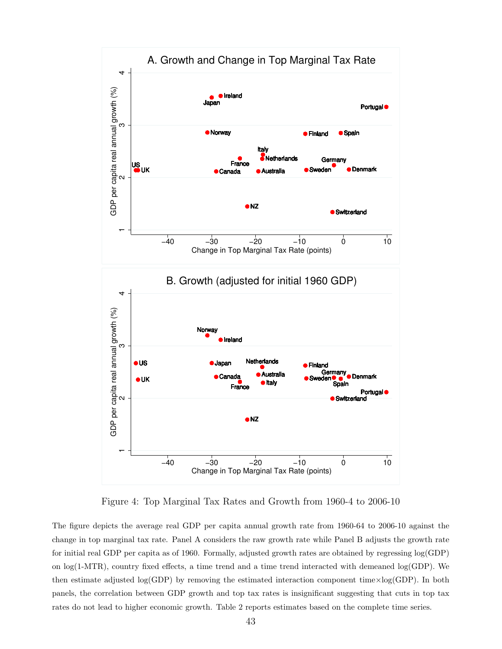

Figure 4: Top Marginal Tax Rates and Growth from 1960-4 to 2006-10

The figure depicts the average real GDP per capita annual growth rate from 1960-64 to 2006-10 against the change in top marginal tax rate. Panel A considers the raw growth rate while Panel B adjusts the growth rate for initial real GDP per capita as of 1960. Formally, adjusted growth rates are obtained by regressing log(GDP) on log(1-MTR), country fixed effects, a time trend and a time trend interacted with demeaned log(GDP). We then estimate adjusted log(GDP) by removing the estimated interaction component time $\times$ log(GDP). In both panels, the correlation between GDP growth and top tax rates is insignificant suggesting that cuts in top tax rates do not lead to higher economic growth. Table 2 reports estimates based on the complete time series.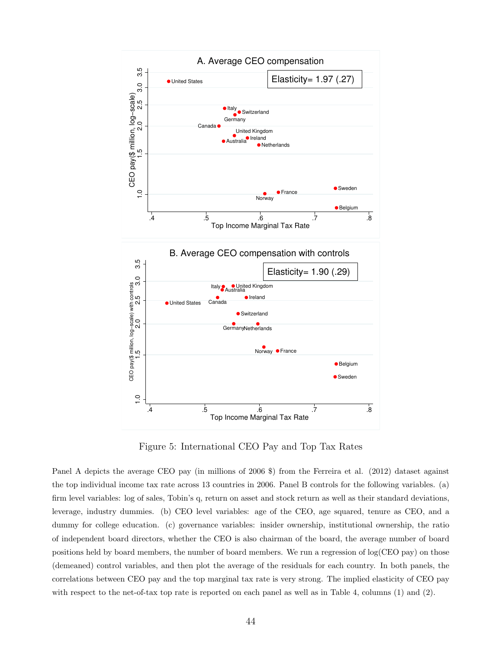

Figure 5: International CEO Pay and Top Tax Rates

Panel A depicts the average CEO pay (in millions of 2006 \$) from the Ferreira et al. (2012) dataset against the top individual income tax rate across 13 countries in 2006. Panel B controls for the following variables. (a) firm level variables: log of sales, Tobin's q, return on asset and stock return as well as their standard deviations, leverage, industry dummies. (b) CEO level variables: age of the CEO, age squared, tenure as CEO, and a dummy for college education. (c) governance variables: insider ownership, institutional ownership, the ratio of independent board directors, whether the CEO is also chairman of the board, the average number of board positions held by board members, the number of board members. We run a regression of log(CEO pay) on those (demeaned) control variables, and then plot the average of the residuals for each country. In both panels, the correlations between CEO pay and the top marginal tax rate is very strong. The implied elasticity of CEO pay with respect to the net-of-tax top rate is reported on each panel as well as in Table 4, columns (1) and (2).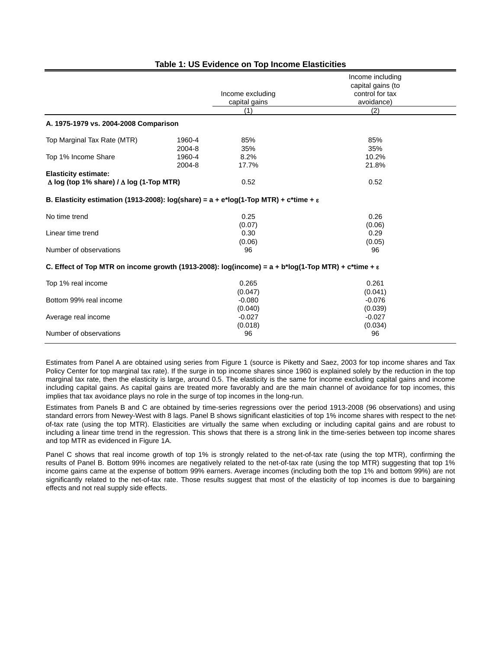|                                                                                                                      |        |                  | Income including  |
|----------------------------------------------------------------------------------------------------------------------|--------|------------------|-------------------|
|                                                                                                                      |        |                  | capital gains (to |
|                                                                                                                      |        | Income excluding | control for tax   |
|                                                                                                                      |        | capital gains    | avoidance)        |
|                                                                                                                      |        | (1)              | (2)               |
| A. 1975-1979 vs. 2004-2008 Comparison                                                                                |        |                  |                   |
| Top Marginal Tax Rate (MTR)                                                                                          | 1960-4 | 85%              | 85%               |
|                                                                                                                      | 2004-8 | 35%              | 35%               |
| Top 1% Income Share                                                                                                  | 1960-4 | 8.2%             | 10.2%             |
|                                                                                                                      | 2004-8 | 17.7%            | 21.8%             |
| <b>Elasticity estimate:</b>                                                                                          |        |                  |                   |
| $\Delta$ log (top 1% share) / $\Delta$ log (1-Top MTR)                                                               |        | 0.52             | 0.52              |
| B. Elasticity estimation (1913-2008): log(share) = $a + e^x \log(1-Top MTR) + c^x \lim e + \epsilon$                 |        |                  |                   |
| No time trend                                                                                                        |        | 0.25             | 0.26              |
|                                                                                                                      |        | (0.07)           | (0.06)            |
| Linear time trend                                                                                                    |        | 0.30             | 0.29              |
|                                                                                                                      |        | (0.06)           | (0.05)            |
| Number of observations                                                                                               |        | 96               | 96                |
| C. Effect of Top MTR on income growth (1913-2008): log(income) = $a + b^* \log(1 - Top MTR) + c^*$ time + $\epsilon$ |        |                  |                   |
| Top 1% real income                                                                                                   |        | 0.265            | 0.261             |
|                                                                                                                      |        | (0.047)          | (0.041)           |
| Bottom 99% real income                                                                                               |        | $-0.080$         | $-0.076$          |
|                                                                                                                      |        | (0.040)          | (0.039)           |
| Average real income                                                                                                  |        | $-0.027$         | $-0.027$          |
|                                                                                                                      |        | (0.018)          | (0.034)           |
| Number of observations                                                                                               |        | 96               | 96                |
|                                                                                                                      |        |                  |                   |

#### **Table 1: US Evidence on Top Income Elasticities**

Estimates from Panel A are obtained using series from Figure 1 (source is Piketty and Saez, 2003 for top income shares and Tax Policy Center for top marginal tax rate). If the surge in top income shares since 1960 is explained solely by the reduction in the top marginal tax rate, then the elasticity is large, around 0.5. The elasticity is the same for income excluding capital gains and income including capital gains. As capital gains are treated more favorably and are the main channel of avoidance for top incomes, this implies that tax avoidance plays no role in the surge of top incomes in the long-run.

Estimates from Panels B and C are obtained by time-series regressions over the period 1913-2008 (96 observations) and using standard errors from Newey-West with 8 lags. Panel B shows significant elasticities of top 1% income shares with respect to the netof-tax rate (using the top MTR). Elasticities are virtually the same when excluding or including capital gains and are robust to including a linear time trend in the regression. This shows that there is a strong link in the time-series between top income shares and top MTR as evidenced in Figure 1A.

Panel C shows that real income growth of top 1% is strongly related to the net-of-tax rate (using the top MTR), confirming the results of Panel B. Bottom 99% incomes are negatively related to the net-of-tax rate (using the top MTR) suggesting that top 1% income gains came at the expense of bottom 99% earners. Average incomes (including both the top 1% and bottom 99%) are not significantly related to the net-of-tax rate. Those results suggest that most of the elasticity of top incomes is due to bargaining effects and not real supply side effects.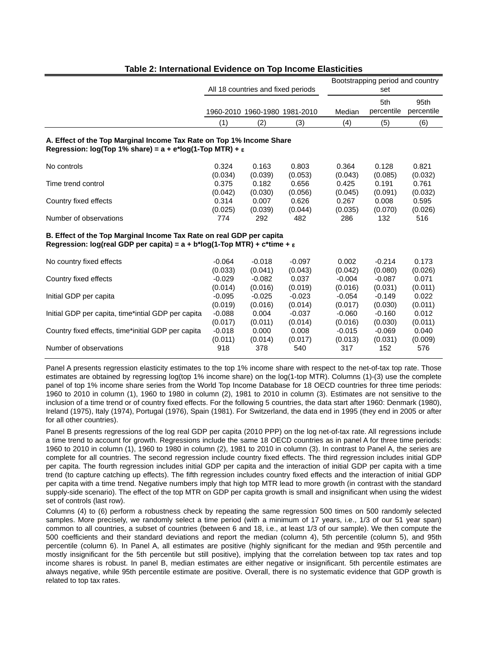|                                                                                                                                                              | All 18 countries and fixed periods |          |                               | Bootstrapping period and country<br>set |            |            |  |
|--------------------------------------------------------------------------------------------------------------------------------------------------------------|------------------------------------|----------|-------------------------------|-----------------------------------------|------------|------------|--|
|                                                                                                                                                              |                                    |          |                               |                                         | 5th        | 95th       |  |
|                                                                                                                                                              |                                    |          | 1960-2010 1960-1980 1981-2010 | Median                                  | percentile | percentile |  |
|                                                                                                                                                              | (1)                                | (2)      | (3)                           | (4)                                     | (5)        | (6)        |  |
| A. Effect of the Top Marginal Income Tax Rate on Top 1% Income Share<br>Regression: $log(Top 1% share) = a + e*log(1-Top MTR) + \varepsilon$                 |                                    |          |                               |                                         |            |            |  |
| No controls                                                                                                                                                  | 0.324                              | 0.163    | 0.803                         | 0.364                                   | 0.128      | 0.821      |  |
|                                                                                                                                                              | (0.034)                            | (0.039)  | (0.053)                       | (0.043)                                 | (0.085)    | (0.032)    |  |
| Time trend control                                                                                                                                           | 0.375                              | 0.182    | 0.656                         | 0.425                                   | 0.191      | 0.761      |  |
|                                                                                                                                                              | (0.042)                            | (0.030)  | (0.056)                       | (0.045)                                 | (0.091)    | (0.032)    |  |
| Country fixed effects                                                                                                                                        | 0.314                              | 0.007    | 0.626                         | 0.267                                   | 0.008      | 0.595      |  |
|                                                                                                                                                              | (0.025)                            | (0.039)  | (0.044)                       | (0.035)                                 | (0.070)    | (0.026)    |  |
| Number of observations                                                                                                                                       | 774                                | 292      | 482                           | 286                                     | 132        | 516        |  |
| B. Effect of the Top Marginal Income Tax Rate on real GDP per capita<br>Regression: log(real GDP per capita) = $a + b*log(1-Top MTR) + c*time + \varepsilon$ |                                    |          |                               |                                         |            |            |  |
| No country fixed effects                                                                                                                                     | $-0.064$                           | $-0.018$ | $-0.097$                      | 0.002                                   | $-0.214$   | 0.173      |  |
|                                                                                                                                                              | (0.033)                            | (0.041)  | (0.043)                       | (0.042)                                 | (0.080)    | (0.026)    |  |
| Country fixed effects                                                                                                                                        | $-0.029$                           | $-0.082$ | 0.037                         | $-0.004$                                | $-0.087$   | 0.071      |  |
|                                                                                                                                                              | (0.014)                            | (0.016)  | (0.019)                       | (0.016)                                 | (0.031)    | (0.011)    |  |
| Initial GDP per capita                                                                                                                                       | $-0.095$                           | $-0.025$ | $-0.023$                      | $-0.054$                                | $-0.149$   | 0.022      |  |
|                                                                                                                                                              | (0.019)                            | (0.016)  | (0.014)                       | (0.017)                                 | (0.030)    | (0.011)    |  |
| Initial GDP per capita, time*intial GDP per capita                                                                                                           | $-0.088$                           | 0.004    | $-0.037$                      | $-0.060$                                | $-0.160$   | 0.012      |  |
|                                                                                                                                                              | (0.017)                            | (0.011)  | (0.014)                       | (0.016)                                 | (0.030)    | (0.011)    |  |
| Country fixed effects, time*initial GDP per capita                                                                                                           | $-0.018$                           | 0.000    | 0.008                         | $-0.015$                                | $-0.069$   | 0.040      |  |
|                                                                                                                                                              | (0.011)                            | (0.014)  | (0.017)                       | (0.013)                                 | (0.031)    | (0.009)    |  |
| Number of observations                                                                                                                                       | 918                                | 378      | 540                           | 317                                     | 152        | 576        |  |

#### **Table 2: International Evidence on Top Income Elasticities**

Panel A presents regression elasticity estimates to the top 1% income share with respect to the net-of-tax top rate. Those estimates are obtained by regressing log(top 1% income share) on the log(1-top MTR). Columns (1)-(3) use the complete panel of top 1% income share series from the World Top Income Database for 18 OECD countries for three time periods: 1960 to 2010 in column (1), 1960 to 1980 in column (2), 1981 to 2010 in column (3). Estimates are not sensitive to the inclusion of a time trend or of country fixed effects. For the following 5 countries, the data start after 1960: Denmark (1980), Ireland (1975), Italy (1974), Portugal (1976), Spain (1981). For Switzerland, the data end in 1995 (they end in 2005 or after for all other countries).

Panel B presents regressions of the log real GDP per capita (2010 PPP) on the log net-of-tax rate. All regressions include a time trend to account for growth. Regressions include the same 18 OECD countries as in panel A for three time periods: 1960 to 2010 in column (1), 1960 to 1980 in column (2), 1981 to 2010 in column (3). In contrast to Panel A, the series are complete for all countries. The second regression include country fixed effects. The third regression includes initial GDP per capita. The fourth regression includes initial GDP per capita and the interaction of initial GDP per capita with a time trend (to capture catching up effects). The fifth regression includes country fixed effects and the interaction of initial GDP per capita with a time trend. Negative numbers imply that high top MTR lead to more growth (in contrast with the standard supply-side scenario). The effect of the top MTR on GDP per capita growth is small and insignificant when using the widest set of controls (last row).

Columns (4) to (6) perform a robustness check by repeating the same regression 500 times on 500 randomly selected samples. More precisely, we randomly select a time period (with a minimum of 17 years, i.e., 1/3 of our 51 year span) common to all countries, a subset of countries (between 6 and 18, i.e., at least 1/3 of our sample). We then compute the 500 coefficients and their standard deviations and report the median (column 4), 5th percentile (column 5), and 95th percentile (column 6). In Panel A, all estimates are positive (highly significant for the median and 95th percentile and mostly insignificant for the 5th percentile but still positive), implying that the correlation between top tax rates and top income shares is robust. In panel B, median estimates are either negative or insignificant. 5th percentile estimates are always negative, while 95th percentile estimate are positive. Overall, there is no systematic evidence that GDP growth is related to top tax rates.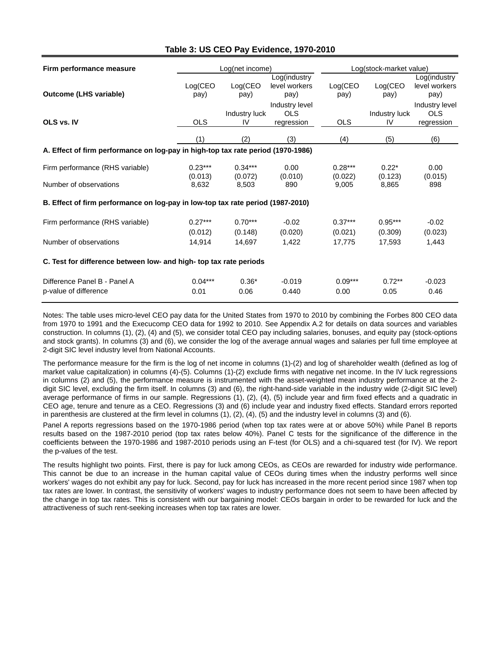#### **Table 3: US CEO Pay Evidence, 1970-2010**

| Firm performance measure                                                         | Log(net income)      |                      |                                       | Log(stock-market value) |                      |                                            |
|----------------------------------------------------------------------------------|----------------------|----------------------|---------------------------------------|-------------------------|----------------------|--------------------------------------------|
| <b>Outcome (LHS variable)</b>                                                    | Log(CEO<br>pay)      | Log(CEO)<br>pay)     | Log(industry<br>level workers<br>pay) | Log(CEO<br>pay)         | Log(CEO<br>pay)      | Log(industry<br>level workers<br>pay)      |
| OLS vs. IV                                                                       | <b>OLS</b>           | Industry luck<br>IV. | Industry level<br>OLS<br>regression   | <b>OLS</b>              | Industry luck<br>IV  | Industry level<br><b>OLS</b><br>regression |
|                                                                                  | (1)                  | (2)                  | (3)                                   | (4)                     | (5)                  | (6)                                        |
| A. Effect of firm performance on log-pay in high-top tax rate period (1970-1986) |                      |                      |                                       |                         |                      |                                            |
| Firm performance (RHS variable)                                                  | $0.23***$<br>(0.013) | $0.34***$<br>(0.072) | 0.00<br>(0.010)                       | $0.28***$<br>(0.022)    | $0.22*$<br>(0.123)   | 0.00<br>(0.015)                            |
| Number of observations                                                           | 8,632                | 8,503                | 890                                   | 9,005                   | 8,865                | 898                                        |
| B. Effect of firm performance on log-pay in low-top tax rate period (1987-2010)  |                      |                      |                                       |                         |                      |                                            |
| Firm performance (RHS variable)                                                  | $0.27***$<br>(0.012) | $0.70***$<br>(0.148) | $-0.02$<br>(0.020)                    | $0.37***$<br>(0.021)    | $0.95***$<br>(0.309) | $-0.02$<br>(0.023)                         |
| Number of observations                                                           | 14,914               | 14,697               | 1,422                                 | 17,775                  | 17,593               | 1,443                                      |
| C. Test for difference between low- and high- top tax rate periods               |                      |                      |                                       |                         |                      |                                            |
| Difference Panel B - Panel A<br>p-value of difference                            | $0.04***$<br>0.01    | $0.36*$<br>0.06      | $-0.019$<br>0.440                     | $0.09***$<br>0.00       | $0.72**$<br>0.05     | $-0.023$<br>0.46                           |

Notes: The table uses micro-level CEO pay data for the United States from 1970 to 2010 by combining the Forbes 800 CEO data from 1970 to 1991 and the Execucomp CEO data for 1992 to 2010. See Appendix A.2 for details on data sources and variables construction. In columns (1), (2), (4) and (5), we consider total CEO pay including salaries, bonuses, and equity pay (stock-options and stock grants). In columns (3) and (6), we consider the log of the average annual wages and salaries per full time employee at 2-digit SIC level industry level from National Accounts.

The performance measure for the firm is the log of net income in columns (1)-(2) and log of shareholder wealth (defined as log of market value capitalization) in columns (4)-(5). Columns (1)-(2) exclude firms with negative net income. In the IV luck regressions in columns (2) and (5), the performance measure is instrumented with the asset-weighted mean industry performance at the 2 digit SIC level, excluding the firm itself. In columns (3) and (6), the right-hand-side variable in the industry wide (2-digit SIC level) average performance of firms in our sample. Regressions (1), (2), (4), (5) include year and firm fixed effects and a quadratic in CEO age, tenure and tenure as a CEO. Regressions (3) and (6) include year and industry fixed effects. Standard errors reported in parenthesis are clustered at the firm level in columns (1), (2), (4), (5) and the industry level in columns (3) and (6).

Panel A reports regressions based on the 1970-1986 period (when top tax rates were at or above 50%) while Panel B reports results based on the 1987-2010 period (top tax rates below 40%). Panel C tests for the significance of the difference in the coefficients between the 1970-1986 and 1987-2010 periods using an F-test (for OLS) and a chi-squared test (for IV). We report the p-values of the test.

The results highlight two points. First, there is pay for luck among CEOs, as CEOs are rewarded for industry wide performance. This cannot be due to an increase in the human capital value of CEOs during times when the industry performs well since workers' wages do not exhibit any pay for luck. Second, pay for luck has increased in the more recent period since 1987 when top tax rates are lower. In contrast, the sensitivity of workers' wages to industry performance does not seem to have been affected by the change in top tax rates. This is consistent with our bargaining model: CEOs bargain in order to be rewarded for luck and the attractiveness of such rent-seeking increases when top tax rates are lower.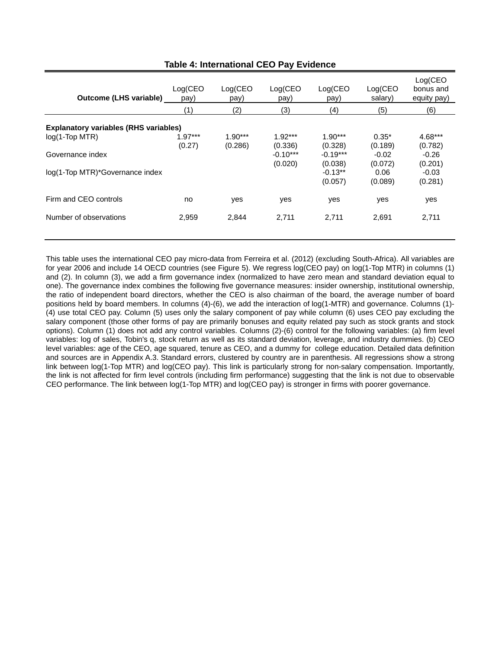| <b>Outcome (LHS variable)</b>                | Log(CEO<br>pay)     | Log(CEO)<br>pay)     | Log(CEO<br>pay)       | Log(CEO<br>pay)       | Log(CEO<br>salary) | Log(CEO<br>bonus and<br>equity pay) |
|----------------------------------------------|---------------------|----------------------|-----------------------|-----------------------|--------------------|-------------------------------------|
|                                              | (1)                 | (2)                  | (3)                   | (4)                   | (5)                | (6)                                 |
| <b>Explanatory variables (RHS variables)</b> |                     |                      |                       |                       |                    |                                     |
| $log(1-Top MTR)$                             | $1.97***$<br>(0.27) | $1.90***$<br>(0.286) | $1.92***$<br>(0.336)  | $1.90***$<br>(0.328)  | $0.35*$<br>(0.189) | 4.68***<br>(0.782)                  |
| Governance index                             |                     |                      | $-0.10***$<br>(0.020) | $-0.19***$<br>(0.038) | $-0.02$<br>(0.072) | $-0.26$<br>(0.201)                  |
| log(1-Top MTR)*Governance index              |                     |                      |                       | $-0.13**$<br>(0.057)  | 0.06<br>(0.089)    | $-0.03$<br>(0.281)                  |
| Firm and CEO controls                        | no                  | yes                  | yes                   | yes                   | yes                | yes                                 |
| Number of observations                       | 2,959               | 2,844                | 2,711                 | 2,711                 | 2,691              | 2,711                               |

**Table 4: International CEO Pay Evidence**

This table uses the international CEO pay micro-data from Ferreira et al. (2012) (excluding South-Africa). All variables are for year 2006 and include 14 OECD countries (see Figure 5). We regress log(CEO pay) on log(1-Top MTR) in columns (1) and (2). In column (3), we add a firm governance index (normalized to have zero mean and standard deviation equal to one). The governance index combines the following five governance measures: insider ownership, institutional ownership, the ratio of independent board directors, whether the CEO is also chairman of the board, the average number of board positions held by board members. In columns (4)-(6), we add the interaction of log(1-MTR) and governance. Columns (1)- (4) use total CEO pay. Column (5) uses only the salary component of pay while column (6) uses CEO pay excluding the salary component (those other forms of pay are primarily bonuses and equity related pay such as stock grants and stock options). Column (1) does not add any control variables. Columns (2)-(6) control for the following variables: (a) firm level variables: log of sales, Tobin's q, stock return as well as its standard deviation, leverage, and industry dummies. (b) CEO level variables: age of the CEO, age squared, tenure as CEO, and a dummy for college education. Detailed data definition and sources are in Appendix A.3. Standard errors, clustered by country are in parenthesis. All regressions show a strong link between log(1-Top MTR) and log(CEO pay). This link is particularly strong for non-salary compensation. Importantly, the link is not affected for firm level controls (including firm performance) suggesting that the link is not due to observable CEO performance. The link between log(1-Top MTR) and log(CEO pay) is stronger in firms with poorer governance.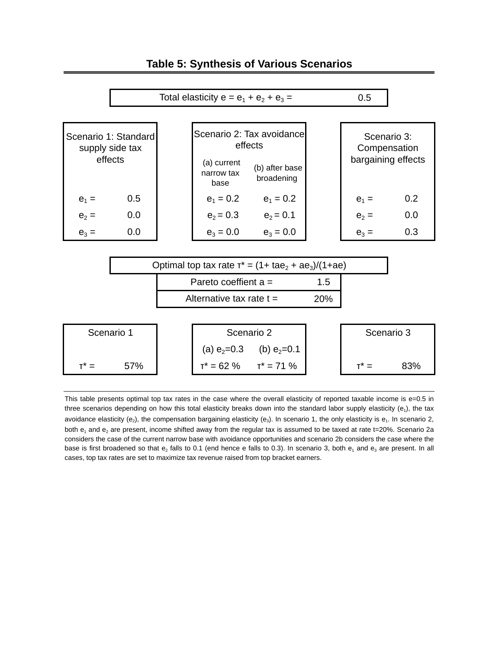

| $e_2 =$ | 0.0 | $e_2 = 0.3$                                                        | $e_2 = 0.1$ |     | $e_2 =$ | 0.0 |
|---------|-----|--------------------------------------------------------------------|-------------|-----|---------|-----|
| $e_3 =$ | 0.0 | $e_3 = 0.0$                                                        | $e_3 = 0.0$ |     | $e_3 =$ | 0.3 |
|         |     |                                                                    |             |     |         |     |
|         |     | Optimal top tax rate $\tau^* = (1 + \tan_2 + \tan_3)/(1 + \tan_3)$ |             |     |         |     |
|         |     | Pareto coeffient $a =$                                             |             | 1.5 |         |     |
|         |     | Alternative tax rate $t =$                                         |             | 20% |         |     |

 $e_1 = 0.5$  e<sub>1</sub> = 0.2 e<sub>1</sub> = 0.2 e<sub>1</sub> = 0.2

 (b) after base broadening

 (a) current narrow tax base

| Scenario 1 |     | Scenario 2      |                 |  | Scenario 3 |
|------------|-----|-----------------|-----------------|--|------------|
|            |     | (a) $e_2 = 0.3$ | (b) $e_2 = 0.1$ |  |            |
|            | 57% | $T^* = 62 \%$   | $T^* = 71 \%$   |  | 83%        |

This table presents optimal top tax rates in the case where the overall elasticity of reported taxable income is  $e=0.5$  in three scenarios depending on how this total elasticity breaks down into the standard labor supply elasticity  $(e_1)$ , the tax avoidance elasticity (e<sub>2</sub>), the compensation bargaining elasticity (e<sub>3</sub>). In scenario 1, the only elasticity is e<sub>1</sub>. In scenario 2, both  $e_1$  and  $e_2$  are present, income shifted away from the regular tax is assumed to be taxed at rate t=20%. Scenario 2a considers the case of the current narrow base with avoidance opportunities and scenario 2b considers the case where the base is first broadened so that  $e_2$  falls to 0.1 (end hence e falls to 0.3). In scenario 3, both  $e_1$  and  $e_3$  are present. In all cases, top tax rates are set to maximize tax revenue raised from top bracket earners.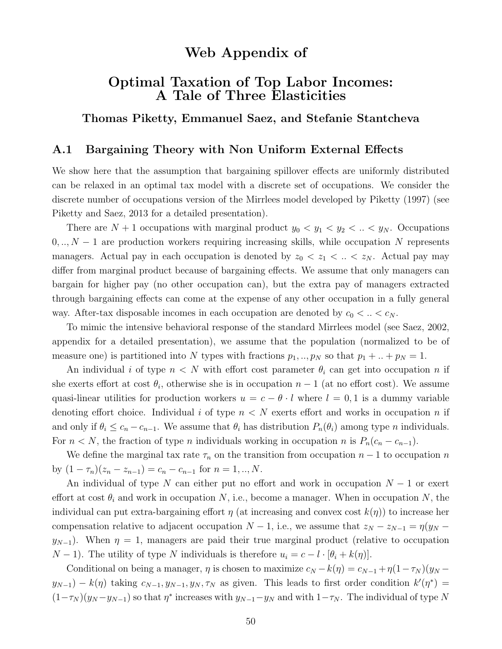# Web Appendix of

## Optimal Taxation of Top Labor Incomes: A Tale of Three Elasticities

Thomas Piketty, Emmanuel Saez, and Stefanie Stantcheva

### A.1 Bargaining Theory with Non Uniform External Effects

We show here that the assumption that bargaining spillover effects are uniformly distributed can be relaxed in an optimal tax model with a discrete set of occupations. We consider the discrete number of occupations version of the Mirrlees model developed by Piketty (1997) (see Piketty and Saez, 2013 for a detailed presentation).

There are  $N + 1$  occupations with marginal product  $y_0 < y_1 < y_2 < ... < y_N$ . Occupations  $0, \ldots, N-1$  are production workers requiring increasing skills, while occupation N represents managers. Actual pay in each occupation is denoted by  $z_0 < z_1 < ... < z_N$ . Actual pay may differ from marginal product because of bargaining effects. We assume that only managers can bargain for higher pay (no other occupation can), but the extra pay of managers extracted through bargaining effects can come at the expense of any other occupation in a fully general way. After-tax disposable incomes in each occupation are denoted by  $c_0 < ... < c_N$ .

To mimic the intensive behavioral response of the standard Mirrlees model (see Saez, 2002, appendix for a detailed presentation), we assume that the population (normalized to be of measure one) is partitioned into N types with fractions  $p_1, ..., p_N$  so that  $p_1 + ... + p_N = 1$ .

An individual i of type  $n < N$  with effort cost parameter  $\theta_i$  can get into occupation n if she exerts effort at cost  $\theta_i$ , otherwise she is in occupation  $n-1$  (at no effort cost). We assume quasi-linear utilities for production workers  $u = c - \theta \cdot l$  where  $l = 0, 1$  is a dummy variable denoting effort choice. Individual i of type  $n < N$  exerts effort and works in occupation n if and only if  $\theta_i \leq c_n - c_{n-1}$ . We assume that  $\theta_i$  has distribution  $P_n(\theta_i)$  among type *n* individuals. For  $n < N$ , the fraction of type n individuals working in occupation n is  $P_n(c_n - c_{n-1})$ .

We define the marginal tax rate  $\tau_n$  on the transition from occupation  $n-1$  to occupation n by  $(1 - \tau_n)(z_n - z_{n-1}) = c_n - c_{n-1}$  for  $n = 1, ..., N$ .

An individual of type N can either put no effort and work in occupation  $N-1$  or exert effort at cost  $\theta_i$  and work in occupation N, i.e., become a manager. When in occupation N, the individual can put extra-bargaining effort  $\eta$  (at increasing and convex cost  $k(\eta)$ ) to increase her compensation relative to adjacent occupation  $N-1$ , i.e., we assume that  $z_N - z_{N-1} = \eta(y_N - z_N)$  $y_{N-1}$ ). When  $\eta = 1$ , managers are paid their true marginal product (relative to occupation  $N-1$ ). The utility of type N individuals is therefore  $u_i = c - l \cdot [\theta_i + k(\eta)]$ .

Conditional on being a manager,  $\eta$  is chosen to maximize  $c_N - k(\eta) = c_{N-1} + \eta(1-\tau_N)(y_N - \eta)$  $y_{N-1}$ ) –  $k(\eta)$  taking  $c_{N-1}, y_{N-1}, y_N, \tau_N$  as given. This leads to first order condition  $k'(\eta^*)$  =  $(1-\tau_N)(y_N-y_{N-1})$  so that  $\eta^*$  increases with  $y_{N-1}-y_N$  and with  $1-\tau_N$ . The individual of type N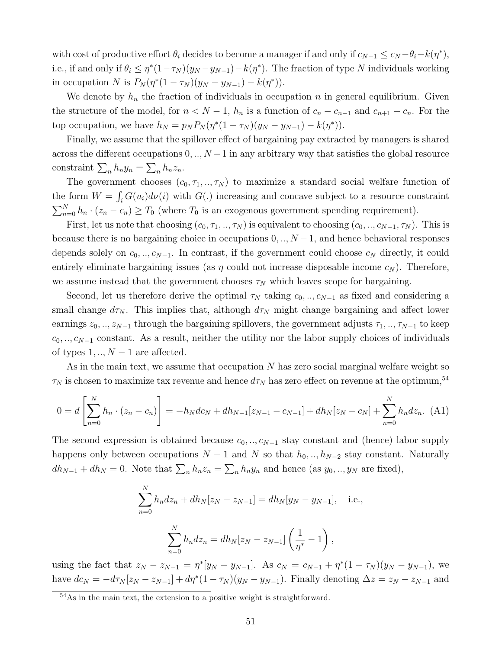with cost of productive effort  $\theta_i$  decides to become a manager if and only if  $c_{N-1} \leq c_N - \theta_i - k(\eta^*),$ i.e., if and only if  $\theta_i \leq \eta^*(1-\tau_N)(y_N-y_{N-1})-k(\eta^*)$ . The fraction of type N individuals working in occupation N is  $P_N(\eta^*(1 - \tau_N)(y_N - y_{N-1}) - k(\eta^*))$ .

We denote by  $h_n$  the fraction of individuals in occupation n in general equilibrium. Given the structure of the model, for  $n < N - 1$ ,  $h_n$  is a function of  $c_n - c_{n-1}$  and  $c_{n+1} - c_n$ . For the top occupation, we have  $h_N = p_N P_N (\eta^*(1 - \tau_N)(y_N - y_{N-1}) - k(\eta^*))$ .

Finally, we assume that the spillover effect of bargaining pay extracted by managers is shared across the different occupations  $0, ..., N-1$  in any arbitrary way that satisfies the global resource constraint  $\sum_n h_n y_n = \sum_n h_n z_n$ .

The government chooses  $(c_0, \tau_1, ..., \tau_N)$  to maximize a standard social welfare function of the form  $W = \int_i G(u_i) d\nu(i)$  with  $G(.)$  increasing and concave subject to a resource constraint  $\sum_{n=0}^{N} h_n \cdot (z_n - c_n) \geq T_0$  (where  $T_0$  is an exogenous government spending requirement).

First, let us note that choosing  $(c_0, \tau_1, ..., \tau_N)$  is equivalent to choosing  $(c_0, ..., c_{N-1}, \tau_N)$ . This is because there is no bargaining choice in occupations  $0, \ldots, N-1$ , and hence behavioral responses depends solely on  $c_0, \ldots, c_{N-1}$ . In contrast, if the government could choose  $c_N$  directly, it could entirely eliminate bargaining issues (as  $\eta$  could not increase disposable income  $c_N$ ). Therefore, we assume instead that the government chooses  $\tau_N$  which leaves scope for bargaining.

Second, let us therefore derive the optimal  $\tau_N$  taking  $c_0, \ldots, c_{N-1}$  as fixed and considering a small change  $d\tau_N$ . This implies that, although  $d\tau_N$  might change bargaining and affect lower earnings  $z_0, \ldots, z_{N-1}$  through the bargaining spillovers, the government adjusts  $\tau_1, \ldots, \tau_{N-1}$  to keep  $c_0, \ldots, c_{N-1}$  constant. As a result, neither the utility nor the labor supply choices of individuals of types  $1, ..., N-1$  are affected.

As in the main text, we assume that occupation N has zero social marginal welfare weight so  $\tau_N$  is chosen to maximize tax revenue and hence  $d\tau_N$  has zero effect on revenue at the optimum,<sup>54</sup>

$$
0 = d\left[\sum_{n=0}^{N} h_n \cdot (z_n - c_n)\right] = -h_N d c_N + dh_{N-1}[z_{N-1} - c_{N-1}] + dh_N[z_N - c_N] + \sum_{n=0}^{N} h_n d z_n. \tag{A1}
$$

The second expression is obtained because  $c_0, \ldots, c_{N-1}$  stay constant and (hence) labor supply happens only between occupations  $N-1$  and N so that  $h_0, ..., h_{N-2}$  stay constant. Naturally  $dh_{N-1} + dh_N = 0$ . Note that  $\sum_n h_n z_n = \sum_n h_n y_n$  and hence (as  $y_0, \ldots, y_N$  are fixed),

$$
\sum_{n=0}^{N} h_n dz_n + dh_N[z_N - z_{N-1}] = dh_N[y_N - y_{N-1}], \text{ i.e.,}
$$

$$
\sum_{n=0}^{N} h_n dz_n = dh_N[z_N - z_{N-1}] \left(\frac{1}{\eta^*} - 1\right),
$$

using the fact that  $z_N - z_{N-1} = \eta^* [y_N - y_{N-1}]$ . As  $c_N = c_{N-1} + \eta^* (1 - \tau_N)(y_N - y_{N-1})$ , we have  $dc_N = -d\tau_N[z_N - z_{N-1}] + d\eta^*(1 - \tau_N)(y_N - y_{N-1})$ . Finally denoting  $\Delta z = z_N - z_{N-1}$  and

<sup>54</sup>As in the main text, the extension to a positive weight is straightforward.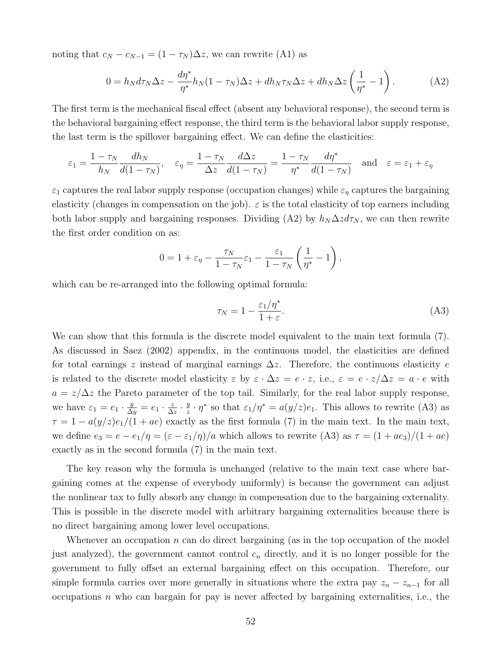noting that  $c_N - c_{N-1} = (1 - \tau_N) \Delta z$ , we can rewrite (A1) as

$$
0 = h_N d\tau_N \Delta z - \frac{d\eta^*}{\eta^*} h_N (1 - \tau_N) \Delta z + dh_N \tau_N \Delta z + dh_N \Delta z \left(\frac{1}{\eta^*} - 1\right). \tag{A2}
$$

The first term is the mechanical fiscal effect (absent any behavioral response), the second term is the behavioral bargaining effect response, the third term is the behavioral labor supply response, the last term is the spillover bargaining effect. We can define the elasticities:

$$
\varepsilon_1 = \frac{1 - \tau_N}{h_N} \frac{dh_N}{d(1 - \tau_N)}, \quad \varepsilon_\eta = \frac{1 - \tau_N}{\Delta z} \frac{d\Delta z}{d(1 - \tau_N)} = \frac{1 - \tau_N}{\eta^*} \frac{d\eta^*}{d(1 - \tau_N)} \quad \text{and} \quad \varepsilon = \varepsilon_1 + \varepsilon_\eta
$$

 $\varepsilon_1$  captures the real labor supply response (occupation changes) while  $\varepsilon_\eta$  captures the bargaining elasticity (changes in compensation on the job).  $\varepsilon$  is the total elasticity of top earners including both labor supply and bargaining responses. Dividing (A2) by  $h_N \Delta z d\tau_N$ , we can then rewrite the first order condition on as:

$$
0 = 1 + \varepsilon_{\eta} - \frac{\tau_N}{1 - \tau_N} \varepsilon_1 - \frac{\varepsilon_1}{1 - \tau_N} \left( \frac{1}{\eta^*} - 1 \right),
$$

which can be re-arranged into the following optimal formula:

$$
\tau_N = 1 - \frac{\varepsilon_1/\eta^*}{1+\varepsilon}.\tag{A3}
$$

We can show that this formula is the discrete model equivalent to the main text formula (7). As discussed in Saez (2002) appendix, in the continuous model, the elasticities are defined for total earnings z instead of marginal earnings  $\Delta z$ . Therefore, the continuous elasticity e is related to the discrete model elasticity  $\varepsilon$  by  $\varepsilon \cdot \Delta z = e \cdot z$ , i.e.,  $\varepsilon = e \cdot z/\Delta z = a \cdot e$  with  $a = z/\Delta z$  the Pareto parameter of the top tail. Similarly, for the real labor supply response, we have  $\varepsilon_1 = e_1 \cdot \frac{y}{\Delta y} = e_1 \cdot \frac{z}{\Delta}$  $\frac{z}{\Delta z} \cdot \frac{y}{z}$  $\frac{y}{z} \cdot \eta^*$  so that  $\varepsilon_1/\eta^* = a(y/z)e_1$ . This allows to rewrite (A3) as  $\tau = 1 - a(y/z)e_1/(1 + ae)$  exactly as the first formula (7) in the main text. In the main text, we define  $e_3 = e - \frac{e_1}{\eta} = \frac{\varepsilon - \varepsilon_1}{\eta}$  which allows to rewrite (A3) as  $\tau = \frac{(1 + ae_3)}{(1 + ae)}$ exactly as in the second formula (7) in the main text.

The key reason why the formula is unchanged (relative to the main text case where bargaining comes at the expense of everybody uniformly) is because the government can adjust the nonlinear tax to fully absorb any change in compensation due to the bargaining externality. This is possible in the discrete model with arbitrary bargaining externalities because there is no direct bargaining among lower level occupations.

Whenever an occupation  $n$  can do direct bargaining (as in the top occupation of the model just analyzed), the government cannot control  $c_n$  directly, and it is no longer possible for the government to fully offset an external bargaining effect on this occupation. Therefore, our simple formula carries over more generally in situations where the extra pay  $z_n - z_{n-1}$  for all occupations  $n$  who can bargain for pay is never affected by bargaining externalities, i.e., the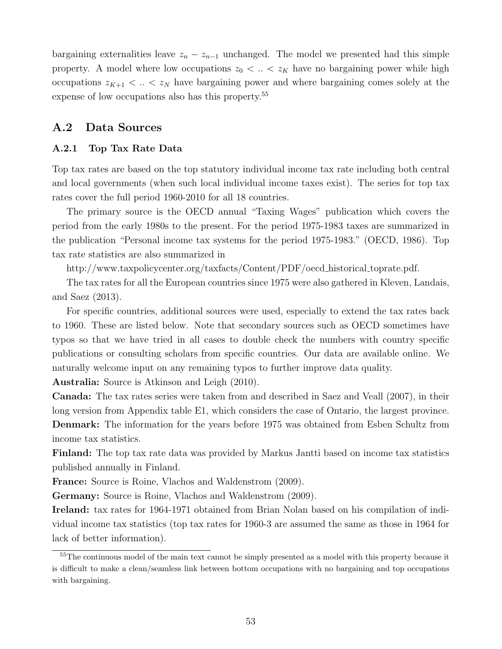bargaining externalities leave  $z_n - z_{n-1}$  unchanged. The model we presented had this simple property. A model where low occupations  $z_0 < \ldots < z_K$  have no bargaining power while high occupations  $z_{K+1} < ... < z_N$  have bargaining power and where bargaining comes solely at the expense of low occupations also has this property.<sup>55</sup>

### A.2 Data Sources

### A.2.1 Top Tax Rate Data

Top tax rates are based on the top statutory individual income tax rate including both central and local governments (when such local individual income taxes exist). The series for top tax rates cover the full period 1960-2010 for all 18 countries.

The primary source is the OECD annual "Taxing Wages" publication which covers the period from the early 1980s to the present. For the period 1975-1983 taxes are summarized in the publication "Personal income tax systems for the period 1975-1983." (OECD, 1986). Top tax rate statistics are also summarized in

http://www.taxpolicycenter.org/taxfacts/Content/PDF/oecd historical toprate.pdf.

The tax rates for all the European countries since 1975 were also gathered in Kleven, Landais, and Saez (2013).

For specific countries, additional sources were used, especially to extend the tax rates back to 1960. These are listed below. Note that secondary sources such as OECD sometimes have typos so that we have tried in all cases to double check the numbers with country specific publications or consulting scholars from specific countries. Our data are available online. We naturally welcome input on any remaining typos to further improve data quality.

Australia: Source is Atkinson and Leigh (2010).

Canada: The tax rates series were taken from and described in Saez and Veall (2007), in their long version from Appendix table E1, which considers the case of Ontario, the largest province. Denmark: The information for the years before 1975 was obtained from Esben Schultz from income tax statistics.

Finland: The top tax rate data was provided by Markus Jantti based on income tax statistics published annually in Finland.

France: Source is Roine, Vlachos and Waldenstrom (2009).

Germany: Source is Roine, Vlachos and Waldenstrom (2009).

Ireland: tax rates for 1964-1971 obtained from Brian Nolan based on his compilation of individual income tax statistics (top tax rates for 1960-3 are assumed the same as those in 1964 for lack of better information).

<sup>&</sup>lt;sup>55</sup>The continuous model of the main text cannot be simply presented as a model with this property because it is difficult to make a clean/seamless link between bottom occupations with no bargaining and top occupations with bargaining.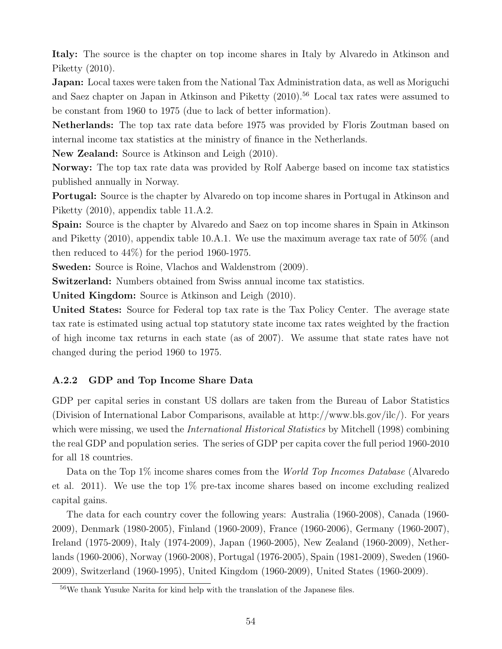Italy: The source is the chapter on top income shares in Italy by Alvaredo in Atkinson and Piketty (2010).

Japan: Local taxes were taken from the National Tax Administration data, as well as Moriguchi and Saez chapter on Japan in Atkinson and Piketty (2010).<sup>56</sup> Local tax rates were assumed to be constant from 1960 to 1975 (due to lack of better information).

Netherlands: The top tax rate data before 1975 was provided by Floris Zoutman based on internal income tax statistics at the ministry of finance in the Netherlands.

New Zealand: Source is Atkinson and Leigh (2010).

Norway: The top tax rate data was provided by Rolf Aaberge based on income tax statistics published annually in Norway.

Portugal: Source is the chapter by Alvaredo on top income shares in Portugal in Atkinson and Piketty (2010), appendix table 11.A.2.

Spain: Source is the chapter by Alvaredo and Saez on top income shares in Spain in Atkinson and Piketty (2010), appendix table 10.A.1. We use the maximum average tax rate of 50% (and then reduced to 44%) for the period 1960-1975.

Sweden: Source is Roine, Vlachos and Waldenstrom (2009).

Switzerland: Numbers obtained from Swiss annual income tax statistics.

United Kingdom: Source is Atkinson and Leigh (2010).

United States: Source for Federal top tax rate is the Tax Policy Center. The average state tax rate is estimated using actual top statutory state income tax rates weighted by the fraction of high income tax returns in each state (as of 2007). We assume that state rates have not changed during the period 1960 to 1975.

#### A.2.2 GDP and Top Income Share Data

GDP per capital series in constant US dollars are taken from the Bureau of Labor Statistics (Division of International Labor Comparisons, available at http://www.bls.gov/ilc/). For years which were missing, we used the *International Historical Statistics* by Mitchell (1998) combining the real GDP and population series. The series of GDP per capita cover the full period 1960-2010 for all 18 countries.

Data on the Top 1% income shares comes from the World Top Incomes Database (Alvaredo et al. 2011). We use the top 1% pre-tax income shares based on income excluding realized capital gains.

The data for each country cover the following years: Australia (1960-2008), Canada (1960- 2009), Denmark (1980-2005), Finland (1960-2009), France (1960-2006), Germany (1960-2007), Ireland (1975-2009), Italy (1974-2009), Japan (1960-2005), New Zealand (1960-2009), Netherlands (1960-2006), Norway (1960-2008), Portugal (1976-2005), Spain (1981-2009), Sweden (1960- 2009), Switzerland (1960-1995), United Kingdom (1960-2009), United States (1960-2009).

<sup>56</sup>We thank Yusuke Narita for kind help with the translation of the Japanese files.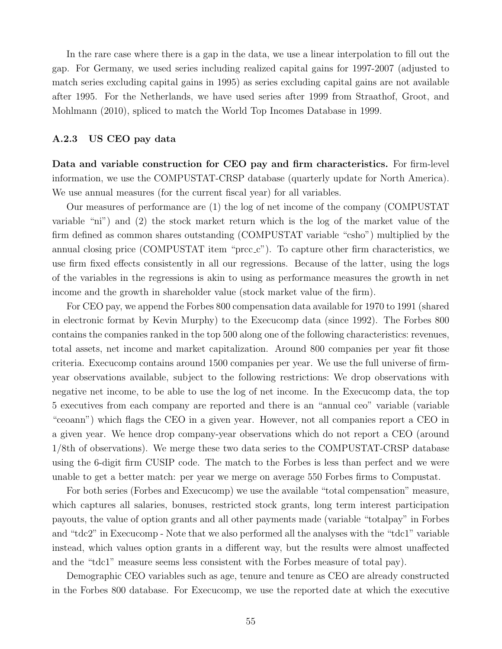In the rare case where there is a gap in the data, we use a linear interpolation to fill out the gap. For Germany, we used series including realized capital gains for 1997-2007 (adjusted to match series excluding capital gains in 1995) as series excluding capital gains are not available after 1995. For the Netherlands, we have used series after 1999 from Straathof, Groot, and Mohlmann (2010), spliced to match the World Top Incomes Database in 1999.

#### A.2.3 US CEO pay data

Data and variable construction for CEO pay and firm characteristics. For firm-level information, we use the COMPUSTAT-CRSP database (quarterly update for North America). We use annual measures (for the current fiscal year) for all variables.

Our measures of performance are (1) the log of net income of the company (COMPUSTAT variable "ni") and (2) the stock market return which is the log of the market value of the firm defined as common shares outstanding (COMPUSTAT variable "csho") multiplied by the annual closing price (COMPUSTAT item "prcc.c"). To capture other firm characteristics, we use firm fixed effects consistently in all our regressions. Because of the latter, using the logs of the variables in the regressions is akin to using as performance measures the growth in net income and the growth in shareholder value (stock market value of the firm).

For CEO pay, we append the Forbes 800 compensation data available for 1970 to 1991 (shared in electronic format by Kevin Murphy) to the Execucomp data (since 1992). The Forbes 800 contains the companies ranked in the top 500 along one of the following characteristics: revenues, total assets, net income and market capitalization. Around 800 companies per year fit those criteria. Execucomp contains around 1500 companies per year. We use the full universe of firmyear observations available, subject to the following restrictions: We drop observations with negative net income, to be able to use the log of net income. In the Execucomp data, the top 5 executives from each company are reported and there is an "annual ceo" variable (variable "ceoann") which flags the CEO in a given year. However, not all companies report a CEO in a given year. We hence drop company-year observations which do not report a CEO (around 1/8th of observations). We merge these two data series to the COMPUSTAT-CRSP database using the 6-digit firm CUSIP code. The match to the Forbes is less than perfect and we were unable to get a better match: per year we merge on average 550 Forbes firms to Compustat.

For both series (Forbes and Execucomp) we use the available "total compensation" measure, which captures all salaries, bonuses, restricted stock grants, long term interest participation payouts, the value of option grants and all other payments made (variable "totalpay" in Forbes and "tdc2" in Execucomp - Note that we also performed all the analyses with the "tdc1" variable instead, which values option grants in a different way, but the results were almost unaffected and the "tdc1" measure seems less consistent with the Forbes measure of total pay).

Demographic CEO variables such as age, tenure and tenure as CEO are already constructed in the Forbes 800 database. For Execucomp, we use the reported date at which the executive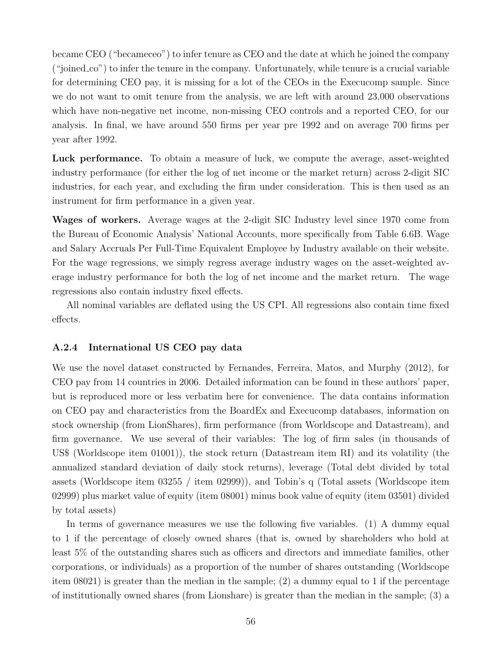became CEO ("becameceo") to infer tenure as CEO and the date at which he joined the company ("joined co") to infer the tenure in the company. Unfortunately, while tenure is a crucial variable for determining CEO pay, it is missing for a lot of the CEOs in the Execucomp sample. Since we do not want to omit tenure from the analysis, we are left with around 23,000 observations which have non-negative net income, non-missing CEO controls and a reported CEO, for our analysis. In final, we have around 550 firms per year pre 1992 and on average 700 firms per year after 1992.

Luck performance. To obtain a measure of luck, we compute the average, asset-weighted industry performance (for either the log of net income or the market return) across 2-digit SIC industries, for each year, and excluding the firm under consideration. This is then used as an instrument for firm performance in a given year.

Wages of workers. Average wages at the 2-digit SIC Industry level since 1970 come from the Bureau of Economic Analysis' National Accounts, more specifically from Table 6.6B. Wage and Salary Accruals Per Full-Time Equivalent Employee by Industry available on their website. For the wage regressions, we simply regress average industry wages on the asset-weighted average industry performance for both the log of net income and the market return. The wage regressions also contain industry fixed effects.

All nominal variables are deflated using the US CPI. All regressions also contain time fixed effects.

#### A.2.4 International US CEO pay data

We use the novel dataset constructed by Fernandes, Ferreira, Matos, and Murphy (2012), for CEO pay from 14 countries in 2006. Detailed information can be found in these authors' paper, but is reproduced more or less verbatim here for convenience. The data contains information on CEO pay and characteristics from the BoardEx and Execucomp databases, information on stock ownership (from LionShares), firm performance (from Worldscope and Datastream), and firm governance. We use several of their variables: The log of firm sales (in thousands of US\$ (Worldscope item 01001)), the stock return (Datastream item RI) and its volatility (the annualized standard deviation of daily stock returns), leverage (Total debt divided by total assets (Worldscope item 03255 / item 02999)), and Tobin's q (Total assets (Worldscope item 02999) plus market value of equity (item 08001) minus book value of equity (item 03501) divided by total assets)

In terms of governance measures we use the following five variables. (1) A dummy equal to 1 if the percentage of closely owned shares (that is, owned by shareholders who hold at least 5% of the outstanding shares such as officers and directors and immediate families, other corporations, or individuals) as a proportion of the number of shares outstanding (Worldscope item 08021) is greater than the median in the sample; (2) a dummy equal to 1 if the percentage of institutionally owned shares (from Lionshare) is greater than the median in the sample; (3) a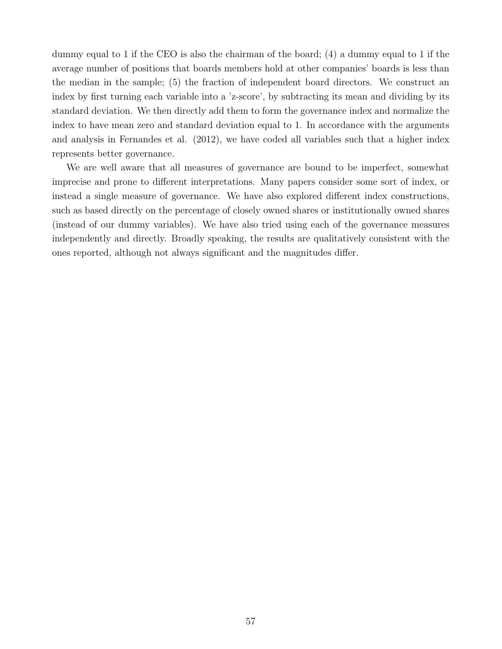dummy equal to 1 if the CEO is also the chairman of the board; (4) a dummy equal to 1 if the average number of positions that boards members hold at other companies' boards is less than the median in the sample; (5) the fraction of independent board directors. We construct an index by first turning each variable into a 'z-score', by subtracting its mean and dividing by its standard deviation. We then directly add them to form the governance index and normalize the index to have mean zero and standard deviation equal to 1. In accordance with the arguments and analysis in Fernandes et al. (2012), we have coded all variables such that a higher index represents better governance.

We are well aware that all measures of governance are bound to be imperfect, somewhat imprecise and prone to different interpretations. Many papers consider some sort of index, or instead a single measure of governance. We have also explored different index constructions, such as based directly on the percentage of closely owned shares or institutionally owned shares (instead of our dummy variables). We have also tried using each of the governance measures independently and directly. Broadly speaking, the results are qualitatively consistent with the ones reported, although not always significant and the magnitudes differ.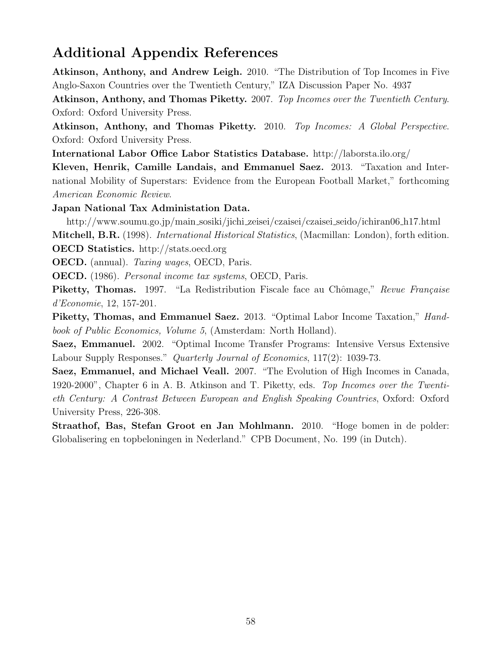# Additional Appendix References

Atkinson, Anthony, and Andrew Leigh. 2010. "The Distribution of Top Incomes in Five Anglo-Saxon Countries over the Twentieth Century," IZA Discussion Paper No. 4937

Atkinson, Anthony, and Thomas Piketty. 2007. Top Incomes over the Twentieth Century. Oxford: Oxford University Press.

Atkinson, Anthony, and Thomas Piketty. 2010. Top Incomes: A Global Perspective. Oxford: Oxford University Press.

International Labor Office Labor Statistics Database. http://laborsta.ilo.org/

Kleven, Henrik, Camille Landais, and Emmanuel Saez. 2013. "Taxation and International Mobility of Superstars: Evidence from the European Football Market," forthcoming American Economic Review.

Japan National Tax Administation Data.

http://www.soumu.go.jp/main sosiki/jichi zeisei/czaisei/czaisei seido/ichiran06 h17.html Mitchell, B.R. (1998). International Historical Statistics, (Macmillan: London), forth edition. OECD Statistics. http://stats.oecd.org

OECD. (annual). Taxing wages, OECD, Paris.

OECD. (1986). Personal income tax systems, OECD, Paris.

Piketty, Thomas. 1997. "La Redistribution Fiscale face au Chômage," Revue Française d'Economie, 12, 157-201.

Piketty, Thomas, and Emmanuel Saez. 2013. "Optimal Labor Income Taxation," Handbook of Public Economics, Volume 5, (Amsterdam: North Holland).

Saez, Emmanuel. 2002. "Optimal Income Transfer Programs: Intensive Versus Extensive Labour Supply Responses." *Quarterly Journal of Economics*, 117(2): 1039-73.

Saez, Emmanuel, and Michael Veall. 2007. "The Evolution of High Incomes in Canada, 1920-2000", Chapter 6 in A. B. Atkinson and T. Piketty, eds. Top Incomes over the Twentieth Century: A Contrast Between European and English Speaking Countries, Oxford: Oxford University Press, 226-308.

Straathof, Bas, Stefan Groot en Jan Mohlmann. 2010. "Hoge bomen in de polder: Globalisering en topbeloningen in Nederland." CPB Document, No. 199 (in Dutch).